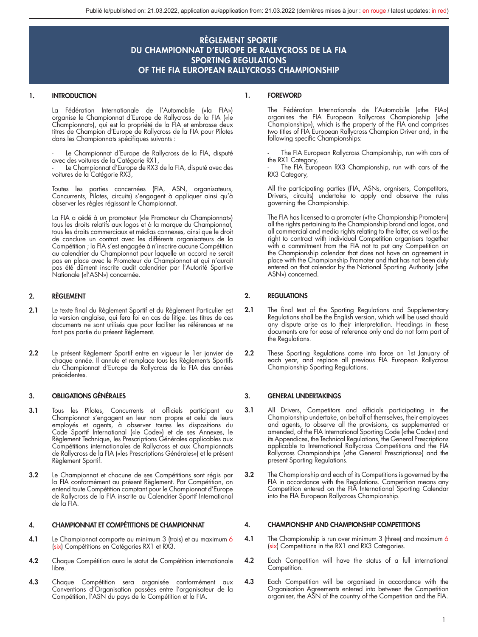#### 1. INTRODUCTION

La Fédération Internationale de l'Automobile («la FIA») organise le Championnat d'Europe de Rallycross de la FIA («le Championnat»), qui est la propriété de la FIA et embrasse deux titres de Champion d'Europe de Rallycross de la FIA pour Pilotes dans les Championnats spécifiques suivants :

Le Championnat d'Europe de Rallycross de la FIA, disputé avec des voitures de la Catégorie RX1,

Le Championnat d'Europe de RX3 de la FIA, disputé avec des voitures de la Catégorie RX3,

Toutes les parties concernées (FIA, ASN, organisateurs, Concurrents, Pilotes, circuits) s'engagent à appliquer ainsi qu'à observer les règles régissant le Championnat.

La FIA a cédé à un promoteur («le Promoteur du Championnat») tous les droits relatifs aux logos et à la marque du Championnat, tous les droits commerciaux et médias connexes, ainsi que le droit de conclure un contrat avec les différents organisateurs de la Compétition ; la FIA s'est engagée à n'inscrire aucune Compétition au calendrier du Championnat pour laquelle un accord ne serait pas en place avec le Promoteur du Championnat et qui n'aurait pas été dûment inscrite audit calendrier par l'Autorité Sportive Nationale («l'ASN») concernée.

#### 2. RÈGLEMENT

- 2.1 Le texte final du Règlement Sportif et du Règlement Particulier est la version anglaise, qui fera foi en cas de litige. Les titres de ces documents ne sont utilisés que pour faciliter les références et ne font pas partie du présent Règlement.
- 2.2 Le présent Règlement Sportif entre en vigueur le 1er janvier de chaque année. Il annule et remplace tous les Règlements Sportifs du Championnat d'Europe de Rallycross de la FIA des années précédentes.

#### 3. OBLIGATIONS GÉNÉRALES

- 3.1 Tous les Pilotes, Concurrents et officiels participant au Championnat s'engagent en leur nom propre et celui de leurs employés et agents, à observer toutes les dispositions du Code Sportif International («le Code») et de ses Annexes, le Règlement Technique, les Prescriptions Générales applicables aux Compétitions internationales de Rallycross et aux Championnats de Rallycross de la FIA («les Prescriptions Générales») et le présent Règlement Sportif.
- 3.2 Le Championnat et chacune de ses Compétitions sont régis par la FIA conformément au présent Règlement. Par Compétition, on entend toute Compétition comptant pour le Championnat d'Europe de Rallycross de la FIA inscrite au Calendrier Sportif International de la FIA.

#### 4. CHAMPIONNAT ET COMPÉTITIONS DE CHAMPIONNAT

- 4.1 Le Championnat comporte au minimum 3 (trois) et au maximum 6 (six) Compétitions en Catégories RX1 et RX3.
- 4.2 Chaque Compétition aura le statut de Compétition internationale libre.
- 4.3 Chaque Compétition sera organisée conformément aux Conventions d'Organisation passées entre l'organisateur de la Compétition, l'ASN du pays de la Compétition et la FIA.

#### 1. FOREWORD

The Fédération Internationale de l'Automobile («the FIA») organises the FIA European Rallycross Championship («the Championship»), which is the property of the FIA and comprises two titles of FIA European Rallycross Champion Driver and, in the following specific Championships:

The FIA European Rallycross Championship, run with cars of the RX1 Category,

- The FIA European RX3 Championship, run with cars of the RX3 Category,

All the participating parties (FIA, ASNs, orgnisers, Competitors, Drivers, circuits) undertake to apply and observe the rules governing the Championship.

The FIA has licensed to a promoter («the Championship Promoter») all the rights pertaining to the Championship brand and logos, and all commercial and media rights relating to the latter, as well as the right to contract with individual Competition organisers together with a commitment from the FIA not to put any Competition on the Championship calendar that does not have an agreement in place with the Championship Promoter and that has not been duly entered on that calendar by the National Sporting Authority («the ASN») concerned.

#### 2. REGULATIONS

- 2.1 The final text of the Sporting Regulations and Supplementary Regulations shall be the English version, which will be used should any dispute arise as to their interpretation. Headings in these documents are for ease of reference only and do not form part of the Regulations.
- 2.2 These Sporting Regulations come into force on 1st January of each year, and replace all previous FIA European Rallycross Championship Sporting Regulations.

#### 3. GENERAL UNDERTAKINGS

- 3.1 All Drivers, Competitors and officials participating in the Championship undertake, on behalf of themselves, their employees and agents, to observe all the provisions, as supplemented or<br>amended, of the FIA International Sporting Code («the Code») and<br>its Appendices, the Technical Regulations, the General Prescriptions applicable to International Rallycross Competitions and the FIA Rallycross Championships («the General Prescriptions») and the present Sporting Regulations.
- 3.2 The Championship and each of its Competitions is governed by the FIA in accordance with the Regulations. Competition means any Competition entered on the FIA International Sporting Calendar into the FIA European Rallycross Championship.

#### 4. CHAMPIONSHIP AND CHAMPIONSHIP COMPETITIONS

- 4.1 The Championship is run over minimum 3 (three) and maximum 6 (six) Competitions in the RX1 and RX3 Categories.
- 4.2 Each Competition will have the status of a full international Competition.
- 4.3 Each Competition will be organised in accordance with the Organisation Agreements entered into between the Competition organiser, the ASN of the country of the Competition and the FIA.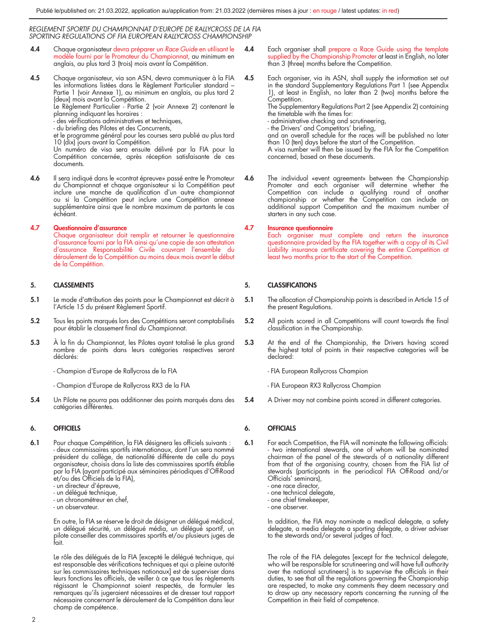- 4.4 Chaque organisateur devra préparer un *Race Guide* en utilisant le modèle fourni par le Promoteur du Championnat, au minimum en anglais, au plus tard 3 (trois) mois avant la Compétition.
- 4.5 Chaque organisateur, via son ASN, devra communiquer à la FIA les informations listées dans le Règlement Particulier standard – Partie 1 (voir Annexe 1), au minimum en anglais, au plus tard 2 (deux) mois avant la Compétition. Le Règlement Particulier - Partie 2 (voir Annexe 2) contenant le

planning indiquant les horaires :

- des vérifications administratives et techniques,
- du briefing des Pilotes et des Concurrents,

et le programme général pour les courses sera publié au plus tard 10 (dix) jours avant la Compétition.

Un numéro de visa sera ensuite délivré par la FIA pour la Compétition concernée, après réception satisfaisante de ces documents.

4.6 Il sera indiqué dans le «contrat épreuve» passé entre le Promoteur du Championnat et chaque organisateur si la Compétition peut inclure une manche de qualification d'un autre championnat ou si la Compétition peut inclure une Compétition annexe supplémentaire ainsi que le nombre maximum de partants le cas échéant.

#### 4.7 Questionnaire d'assurance

Chaque organisateur doit remplir et retourner le questionnaire d'assurance fourni par la FIA ainsi qu'une copie de son attestation d'assurance Responsabilité Civile couvrant l'ensemble du déroulement de la Compétition au moins deux mois avant le début de la Compétition.

#### 5. CLASSEMENTS

- 5.1 Le mode d'attribution des points pour le Championnat est décrit à l'Article 15 du présent Règlement Sportif.
- 5.2 Tous les points marqués lors des Compétitions seront comptabilisés pour établir le classement final du Championnat.
- 5.3 À la fin du Championnat, les Pilotes ayant totalisé le plus grand nombre de points dans leurs catégories respectives seront déclarés:

- Champion d'Europe de Rallycross de la FIA

- Champion d'Europe de Rallycross RX3 de la FIA
- 5.4 Un Pilote ne pourra pas additionner des points marqués dans des catégories différentes.

#### 6. OFFICIELS

- 6.1 Pour chaque Compétition, la FIA désignera les officiels suivants : - deux commissaires sportifs internationaux, dont l'un sera nommé président du collège, de nationalité différente de celle du pays organisateur, choisis dans la liste des commissaires sportifs établie par la FIA (ayant participé aux séminaires périodiques d'Off-Road et/ou des Officiels de la FIA),
	- un directeur d'épreuve,
	- un délégué technique,
	- un chronométreur en chef,
	- un observateur.

En outre, la FIA se réserve le droit de désigner un délégué médical, un délégué sécurité, un délégué média, un délégué sportif, un pilote conseiller des commissaires sportifs et/ou plusieurs juges de fait.

Le rôle des délégués de la FIA [excepté le délégué technique, qui est responsable des vérifications techniques et qui a pleine autorité sur les commissaires techniques nationaux] est de superviser dans leurs fonctions les officiels, de veiller à ce que tous les règlements régissant le Championnat soient respectés, de formuler les remarques qu'ils jugeraient nécessaires et de dresser tout rapport nécessaire concernant le déroulement de la Compétition dans leur champ de compétence.

- 4.4 Each organiser shall prepare a Race Guide using the template supplied by the Championship Promoter at least in English, no later than 3 (three) months before the Competition.
- 4.5 Each organiser, via its ASN, shall supply the information set out in the standard Supplementary Regulations Part 1 (see Appendix 1), at least in English, no later than 2 (two) months before the Competition.

The Supplementary Regulations Part 2 (see Appendix 2) containing the timetable with the times for:

- administrative checking and scrutineering,
- the Drivers' and Competitors' briefing,

and an overall schedule for the races will be published no later

than 10 (ten) days before the start of the Competition. A visa number will then be issued by the FIA for the Competition concerned, based on these documents.

4.6 The individual «event agreement» between the Championship Promoter and each organiser will determine whether the Competition can include a qualifying round of another championship or whether the Competition can include an additional support Competition and the maximum number of starters in any such case.

#### 4.7 Insurance questionnaire

Each organiser must complete and return the insurance questionnaire provided by the FIA together with a copy of its Civil Liability insurance certificate covering the entire Competition at least two months prior to the start of the Competition.

### 5. CLASSIFICATIONS

- 5.1 The allocation of Championship points is described in Article 15 of the present Regulations.
- 5.2 All points scored in all Competitions will count towards the final classification in the Championship.
- 5.3 At the end of the Championship, the Drivers having scored the highest total of points in their respective categories will be declared:
	- FIA European Rallycross Champion
	- FIA European RX3 Rallycross Champion
- 5.4 A Driver may not combine points scored in different categories.

#### 6. OFFICIALS

- 6.1 For each Competition, the FIA will nominate the following officials: - two international stewards, one of whom will be nominated chairman of the panel of the stewards of a nationality different from that of the organising country, chosen from the FIA list of stewards (participants in the periodical FIA Off-Road and/or Officials' seminars),
	- one race director,
	- one technical delegate,
	- one chief timekeeper,
	- one observer.

In addition, the FIA may nominate a medical delegate, a safety delegate, a media delegate a sporting delegate, a driver adviser to the stewards and/or several judges of fact.

The role of the FIA delegates [except for the technical delegate, who will be responsible for scrutineering and will have full authority over the national scrutineers] is to supervise the officials in their duties, to see that all the regulations governing the Championship are respected, to make any comments they deem necessary and to draw up any necessary reports concerning the running of the Competition in their field of competence.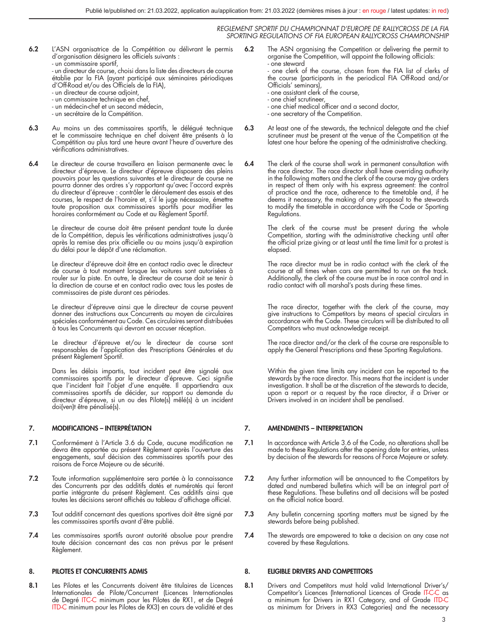6.2 L'ASN organisatrice de la Compétition ou délivrant le permis d'organisation désignera les officiels suivants : - un commissaire sportif,

- un directeur de course, choisi dans la liste des directeurs de course établie par la FIA (ayant participé aux séminaires périodiques d'Off-Road et/ou des Officiels de la FIA),

- un directeur de course adjoint,
- un commissaire technique en chef,
- un médecin-chef et un second médecin,
- un secrétaire de la Compétition.
- 6.3 Au moins un des commissaires sportifs, le délégué technique et le commissaire technique en chef doivent être présents à la Compétition au plus tard une heure avant l'heure d'ouverture des vérifications administratives.
- 6.4 Le directeur de course travaillera en liaison permanente avec le directeur d'épreuve. Le directeur d'épreuve disposera des pleins pouvoirs pour les questions suivantes et le directeur de course ne pourra donner des ordres s'y rapportant qu'avec l'accord exprès du directeur d'épreuve : contrôler le déroulement des essais et des courses, le respect de l'horaire et, s'il le juge nécessaire, émettre toute proposition aux commissaires sportifs pour modifier les horaires conformément au Code et au Règlement Sportif.

Le directeur de course doit être présent pendant toute la durée de la Compétition, depuis les vérifications administratives jusqu'à après la remise des prix officielle ou au moins jusqu'à expiration du délai pour le dépôt d'une réclamation.

Le directeur d'épreuve doit être en contact radio avec le directeur de course à tout moment lorsque les voitures sont autorisées à rouler sur la piste. En outre, le directeur de course doit se tenir à la direction de course et en contact radio avec tous les postes de commissaires de piste durant ces périodes.

Le directeur d'épreuve ainsi que le directeur de course peuvent donner des instructions aux Concurrents au moyen de circulaires spéciales conformément au Code. Ces circulaires seront distribuées à tous les Concurrents qui devront en accuser réception.

Le directeur d'épreuve et/ou le directeur de course sont responsables de l'application des Prescriptions Générales et du présent Règlement Sportif.

Dans les délais impartis, tout incident peut être signalé aux commissaires sportifs par le directeur d'épreuve. Ceci signifie que l'incident fait l'objet d'une enquête. Il appartiendra aux commissaires sportifs de décider, sur rapport ou demande du directeur d'épreuve, si un ou des Pilote(s) mêlé(s) à un incident doi(ven)t être pénalisé(s).

#### 7. MODIFICATIONS – INTERPRÉTATION

- 7.1 Conformément à l'Article 3.6 du Code, aucune modification ne devra être apportée au présent Règlement après l'ouverture des engagements, sauf décision des commissaires sportifs pour des raisons de Force Majeure ou de sécurité.
- 7.2 Toute information supplémentaire sera portée à la connaissance des Concurrents par des additifs datés et numérotés qui feront partie intégrante du présent Règlement. Ces additifs ainsi que toutes les décisions seront affichés au tableau d'affichage officiel.
- 7.3 Tout additif concernant des questions sportives doit être signé par les commissaires sportifs avant d'être publié.
- 7.4 Les commissaires sportifs auront autorité absolue pour prendre toute décision concernant des cas non prévus par le présent Règlement.

#### 8. PILOTES ET CONCURRENTS ADMIS

8.1 Les Pilotes et les Concurrents doivent être titulaires de Licences Internationales de Pilote/Concurrent (Licences Internationales de Degré ITC-C minimum pour les Pilotes de RX1, et de Degré ITD-C minimum pour les Pilotes de RX3) en cours de validité et des

6.2 The ASN organising the Competition or delivering the permit to organise the Competition, will appoint the following officials: - one steward

- one clerk of the course, chosen from the FIA list of clerks of the course (participants in the periodical FIA Off-Road and/or Officials' seminars),

- one assistant clerk of the course,
- 
- one chief scrutineer, one chief medical officer and a second doctor,
- one secretary of the Competition.
- 6.3 At least one of the stewards, the technical delegate and the chief scrutineer must be present at the venue of the Competition at the latest one hour before the opening of the administrative checking.
- 6.4 The clerk of the course shall work in permanent consultation with the race director. The race director shall have overriding authority in the following matters and the clerk of the course may give orders in respect of them only with his express agreement: the control of practice and the race, adherence to the timetable and, if he deems it necessary, the making of any proposal to the stewards to modify the timetable in accordance with the Code or Sporting Regulations.

The clerk of the course must be present during the whole Competition, starting with the administrative checking until after the official prize giving or at least until the time limit for a protest is elapsed.

The race director must be in radio contact with the clerk of the course at all times when cars are permitted to run on the track. Additionally, the clerk of the course must be in race control and in radio contact with all marshal's posts during these times.

The race director, together with the clerk of the course, may give instructions to Competitors by means of special circulars in accordance with the Code. These circulars will be distributed to all Competitors who must acknowledge receipt.

The race director and/or the clerk of the course are responsible to apply the General Prescriptions and these Sporting Regulations.

Within the given time limits any incident can be reported to the stewards by the race director. This means that the incident is under investigation. It shall be at the discretion of the stewards to decide, upon a report or a request by the race director, if a Driver or Drivers involved in an incident shall be penalised.

#### 7. AMENDMENTS – INTERPRETATION

- 7.1 In accordance with Article 3.6 of the Code, no alterations shall be made to these Regulations after the opening date for entries, unless by decision of the stewards for reasons of Force Majeure or safety.
- 7.2 Any further information will be announced to the Competitors by dated and numbered bulletins which will be an integral part of these Regulations. These bulletins and all decisions will be posted on the official notice board.
- 7.3 Any bulletin concerning sporting matters must be signed by the stewards before being published.
- 7.4 The stewards are empowered to take a decision on any case not covered by these Regulations.

#### 8. ELIGIBLE DRIVERS AND COMPETITORS

8.1 Drivers and Competitors must hold valid International Driver's/ Competitor's Licences (International Licences of Grade IT-C-C as a minimum for Drivers in RX1 Category, and of Grade ITD-C as minimum for Drivers in RX3 Categories) and the necessary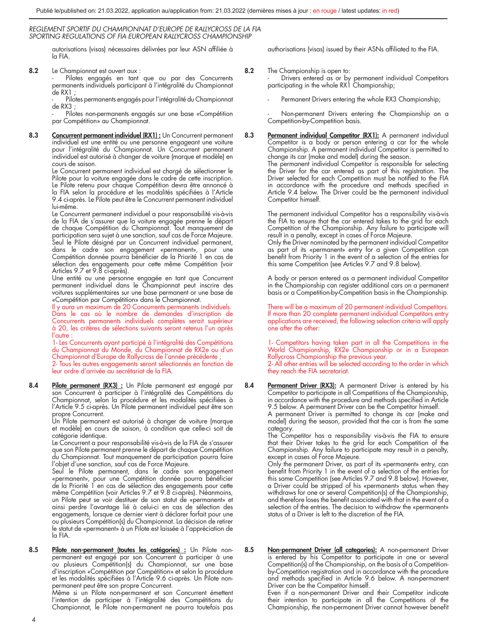autorisations (visas) nécessaires délivrées par leur ASN affiliée à la FIA.

8.2 Le Championnat est ouvert aux :

Pilotes engagés en tant que ou par des Concurrents permanents individuels participant à l'intégralité du Championnat de RX1 ;

Pilotes permanents engagés pour l'intégralité du Championnat  $de$  RX $3 \cdot$ 

Pilotes non-permanents engagés sur une base «Compétition par Compétition» au Championnat.

8.3 Concurrent permanent individuel (RX1) : Un Concurrent permanent individuel est une entité ou une personne engageant une voiture pour l'intégralité du Championnat. Un Concurrent permanent individuel est autorisé à changer de voiture (marque et modèle) en cours de saison.

Le Concurrent permanent individuel est chargé de sélectionner le Pilote pour la voiture engagée dans le cadre de cette inscription. Le Pilote retenu pour chaque Compétition devra être annoncé à la FIA selon la procédure et les modalités spécifiées à l'Article 9.4 ci-après. Le Pilote peut être le Concurrent permanent individuel lui-même.

Le Concurrent permanent individuel a pour responsabilité vis-à-vis de la FIA de s'assurer que la voiture engagée prenne le départ de chaque Compétition du Championnat. Tout manquement de participation sera sujet à une sanction, sauf cas de Force Majeure. Seul le Pilote désigné par un Concurrent individuel permanent, dans le cadre son engagement «permanent», pour une Compétition donnée pourra bénéficier de la Priorité 1 en cas de sélection des engagements pour cette même Compétition (voir Articles 9.7 et 9.8 ci-après).

Une entité ou une personne engagée en tant que Concurrent permanent individuel dans le Championnat peut inscrire des voitures supplémentaires sur une base permanent or une base de «Compétition par Compétition» dans le Championnat.

Il y aura un maximum de 20 Concurrents permanents individuels. Dans le cas où le nombre de demandes d'inscription de Concurrents permanents individuels complètes serait supérieur à 20, les critères de sélections suivants seront retenus l'un après  $l'$ autre

1- Les Concurrents ayant participé à l'intégralité des Compétitions du Championnat du Monde, du Championnat de RX2e ou d'un Championnat d'Europe de Rallycross de l'année précédente ; 2- Tous les autres engagements seront sélectionnés en fonction de leur ordre d'arrivée au secrétariat de la FIA.

8.4 Pilote permanent (RX3) : Un Pilote permanent est engagé par son Concurrent à participer à l'intégralité des Compétitions du Championnat, selon la procédure et les modalités spécifiées à l'Article 9.5 ci-après. Un Pilote permanent individuel peut être son

propre Concurrent. Un Pilote permanent est autorisé à changer de voiture (marque et modèle) en cours de saison, à condition que celle-ci soit de catégorie identique.

Le Concurrent a pour responsabilité vis-à-vis de la FIA de s'assurer que son Pilote permanent prenne le départ de chaque Compétition du Championnat. Tout manquement de participation pourra faire l'objet d'une sanction, sauf cas de Force Majeure.

Seul le Pilote permanent, dans le cadre son engagement «permanent», pour une Compétition donnée pourra bénéficier de la Priorité 1 en cas de sélection des engagements pour cette même Compétition (voir Articles 9.7 et 9.8 ci-après). Néanmoins, un Pilote peut se voir destituer de son statut de «permanent» et ainsi perdre l'avantage lié à celui-ci en cas de sélection des engagements, lorsque ce dernier vient à déclarer forfait pour une ou plusieurs Compétition(s) du Championnat. La décision de retirer le statut de «permanent» à un Pilote est laissée à l'appréciation de la FIA.

8.5 Pilote non-permanent (toutes les catégories) : Un Pilote nonpermanent est engagé par son Concurrent à participer à une ou plusieurs Compétition(s) du Championnat, sur une base d'inscription «Compétition par Compétition» et selon la procédure et les modalités spécifiées à l'Article 9.6 ci-après. Un Pilote nonpermanent peut être son propre Concurrent.

Même si un Pilote non-permanent et son Concurrent émettent l'intention de participer à l'intégralité des Compétitions du Championnat, le Pilote non-permanent ne pourra toutefois pas authorisations (visas) issued by their ASNs affiliated to the FIA.

8.2 The Championship is open to:

- Drivers entered as or by permanent individual Competitors participating in the whole RX1 Championship;

Permanent Drivers entering the whole RX3 Championship;

Non-permanent Drivers entering the Championship on a Competition-by-Competition basis.

8.3 Permanent individual Competitor (RX1): A permanent individual Competitor is a body or person entering  $a$  car for the whole Championship. A permanent individual Competitor is permitted to change its car (make and model) during the season. The permanent individual Competitor is responsible for selecting the Driver for the car entered as part of this registration. The Driver selected for each Competition must be notified to the FIA in accordance with the procedure and methods specified in Article 9.4 below. The Driver could be the permanent individual Competitor himself.

> The permanent individual Competitor has a responsibility vis-à-vis the FIA to ensure that the car entered takes to the grid for each Competition of the Championship. Any failure to participate will result in a penalty, except in cases of Force Majeure.

> Only the Driver nominated by the permanent individual Competitor as part of its «permanent» entry for a given Competition can benefit from Priority 1 in the event of a selection of the entries for this same Competition (see Articles 9.7 and 9.8 below).

> A body or person entered as a permanent individual Competitor in the Championship can register additional cars on a permanent basis or a Competition-by-Competition basis in the Championship.

> There will be a maximum of 20 permanent individual Competitors. If more than 20 complete permanent individual Competitors entry applications are received, the following selection criteria will apply one after the other:

> 1- Competitors having taken part in all the Competitions in the World Championship, RX2e Championship or in a European Rallycross Championship the previous year. 2- All other entries will be selected according to the order in which they reach the FIA secretariat.

8.4 Permanent Driver (RX3): A permanent Driver is entered by his Competitor to participate in all Competitions of the Championship, in accordance with the procedure and methods specified in Article 9.5 below. A permanent Driver can be the Competitor himself.

A permanent Driver is permitted to change its car (make and model) during the season, provided that the car is from the same category.

The Competitor has a responsibility vis-à-vis the FIA to ensure that their Driver takes to the grid for each Competition of the Championship. Any failure to participate may result in a penalty, except in cases of Force Majeure.

Only the permanent Driver, as part of its «permanent» entry, can benefit from Priority 1 in the event of a selection of the entries for this same Competition (see Articles 9.7 and 9.8 below). However, a Driver could be stripped of his «permanent» status when they withdraws for one or several Competition(s) of the Championship, and therefore loses the benefit associated with that in the event of a selection of the entries. The decision to withdraw the «permanent» status of a Driver is left to the discretion of the FIA.

8.5 Non-permanent Driver (all categories): A non-permanent Driver is entered by his Competitor to participate in one or several Competition(s) of the Championship, on the basis of a Competitionby-Competition registration and in accordance with the procedure and methods specified in Article 9.6 below. A non-permanent Driver can be the Competitor himself.

Even if a non-permanent Driver and their Competitor indicate their intention to participate in all the Competitions of the Championship, the non-permanent Driver cannot however benefit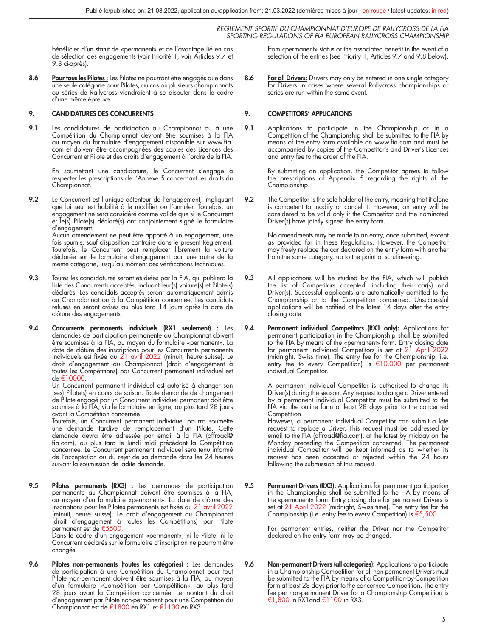bénéficier d'un statut de «permanent» et de l'avantage lié en cas de sélection des engagements (voir Priorité 1, voir Articles 9.7 et 9.8 ci-après).

8.6 Pour tous les Pilotes : Les Pilotes ne pourront être engagés que dans une seule catégorie pour Pilotes, au cas où plusieurs championnats ou séries de Rallycross viendraient à se disputer dans le cadre d'une même épreuve.

#### 9. CANDIDATURES DES CONCURRENTS

9.1 Les candidatures de participation au Championnat ou à une Compétition du Championnat devront être soumises à la FIA au moyen du formulaire d'engagement disponible sur www.fia. com et doivent être accompagnées des copies des Licences des Concurrent et Pilote et des droits d'engagement à l'ordre de la FIA.

> En soumettant une candidature, le Concurrent s'engage à respecter les prescriptions de l'Annexe 5 concernant les droits du Championnat.

**9.2** Le Concurrent est l'unique détenteur de l'engagement, impliquant<br>que lui seul est habilité à le modifier ou l'annuler. Toutefois, un<br>engagement ne sera considéré comme valide que si le Concurrent et le(s) Pilote(s) déclaré(s) ont conjointement signé le formulaire d'engagement.

Aucun amendement ne peut être apporté à un engagement, une fois soumis, sauf disposition contraire dans le présent Règlement. Toutefois, le Concurrent peut remplacer librement la voiture déclarée sur le formulaire d'engagement par une autre de la même catégorie, jusqu'au moment des vérifications techniques.

- 9.3 Toutes les candidatures seront étudiées par la FIA, qui publiera la liste des Concurrents acceptés, incluant leur(s) voiture(s) et Pilote(s) déclarés. Les candidats acceptés seront automatiquement admis au Championnat ou à la Compétition concernée. Les candidats refusés en seront avisés au plus tard 14 jours après la date de clôture des engagements.
- 9.4 Concurrents permanents individuels (RX1 seulement) : Les demandes de participation permanente au Championnat doivent être soumises à la FIA, au moyen du formulaire «permanent». La date de clôture des inscriptions pour les Concurrents permanents individuels est fixée au 21 avril 2022 (minuit, heure suisse). Le droit d'engagement au Championnat (droit d'engagement à toutes les Compétitions) par Concurrent permanent individuel est de €10000.

Un Concurrent permanent individuel est autorisé à changer son (ses) Pilote(s) en cours de saison. Toute demande de changement de Pilote engagé par un Concurrent individuel permanent doit être soumise à la FIA, via le formulaire en ligne, au plus tard 28 jours avant la Compétition concernée.

Toutefois, un Concurrent permanent individuel pourra soumette une demande tardive de remplacement d'un Pilote. Cette demande devra être adressée par email à la FIA (offroad@ fia.com), au plus tard le lundi midi précédant la Compétition concernée. Le Concurrent permanent individuel sera tenu informé de l'acceptation ou du rejet de sa demande dans les 24 heures suivant la soumission de ladite demande.

9.5 Pilotes permanents (RX3) : Les demandes de participation permanente au Championnat doivent être soumises à la FIA, au moyen d'un formulaire «permanent». La date de clôture des inscriptions pour les Pilotes permanents est fixée au 21 avril 2022 (minuit, heure suisse). Le droit d'engagement au Championnat (droit d'engagement à toutes les Compétitions) par Pilote permanent est de €5500.

Dans le cadre d'un engagement «permanent», ni le Pilote, ni le Concurrent déclarés sur le formulaire d'inscription ne pourront être changés.

9.6 Pilotes non-permanents (toutes les catégories) : Les demandes de participation à une Compétition du Championnat pour tout Pilote non-permanent doivent être soumises à la FIA, au moyen d'un formulaire «Compétition par Compétition», au plus tard 28 jours avant la Compétition concernée. Le montant du droit d'engagement par Pilote non-permanent pour une Compétition du<br>Championnat est de €1800 en RX1 et €1100 en RX3. from «permanent» status or the associated benefit in the event of a selection of the entries (see Priority 1, Articles 9.7 and 9.8 below).

8.6 For all Drivers: Drivers may only be entered in one single category for Drivers in cases where several Rallycross championships or series are run within the same event.

#### 9. COMPETITORS' APPLICATIONS

9.1 Applications to participate in the Championship or in a Competition of the Championship shall be submitted to the FIA by means of the entry form available on www.fia.com and must be accompanied by copies of the Competitor's and Driver's Licences and entry fee to the order of the FIA.

By submitting an application, the Competitor agrees to follow the prescriptions of Appendix 5 regarding the rights of the Championship.

9.2 The Competitor is the sole holder of the entry, meaning that it alone is competent to modify or cancel it. However, an entry will be considered to be valid only if the Competitor and the nominated Driver(s) have jointly signed the entry form.

> No amendments may be made to an entry, once submitted, except as provided for in these Regulations. However, the Competitor may freely replace the car declared on the entry form with another from the same category, up to the point of scrutineering.

- 9.3 All applications will be studied by the FIA, which will publish the list of Competitors accepted, including their car(s) and Driver(s). Successful applicants are automatically admitted to the Championship or to the Competition concerned. Unsuccessful applications will be notified at the latest 14 days after the entry closing date.
- 9.4 Permanent individual Competitors (RX1 only): Applications for permanent participation in the Championship shall be submitted to the FIA by means of the «permanent» form. Entry closing date for permanent individual Competitors is set at 21 April 2022 (midnight, Swiss time). The entry fee for the Championship (i.e. entry fee to every Competition) is €10,000 per permanent individual Competitor.

A permanent individual Competitor is authorised to change its Driver(s) during the season. Any request to change a Driver entered by a permanent individual Competitor must be submitted to the FIA via the online form at least 28 days prior to the concerned Competition.

However, a permanent individual Competitor can submit a late request to replace a Driver. This request must be addressed by email to the FIA (offroad@fia.com), at the latest by midday on the Monday preceding the Competition concerned. The permanent individual Competitor will be kept informed as to whether its request has been accepted or rejected within the 24 hours following the submission of this request.

9.5 Permanent Drivers (RX3): Applications for permanent participation in the Championship shall be submitted to the FIA by means of the «permanent» form. Entry closing date for permanent Drivers is<br>set at 21 April 2022 (midnight, Swiss time). The entry fee for the Championship (i.e. entry fee to every Competition) is €5,500.

> For permanent entries, neither the Driver nor the Competitor declared on the entry form may be changed.

9.6 Non-permanent Drivers (all categories): Applications to participate in a Championship Competition for all non-permanent Drivers must be submitted to the FIA by means of a Competition-by-Competition form at least 28 days prior to the concerned Competition. The entry fee per non-permanent Driver for a Championship Competition is €1,800 in RX1and €1100 in RX3.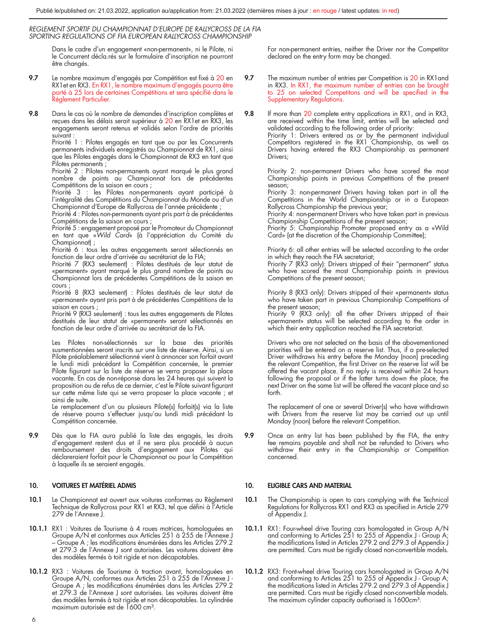Dans le cadre d'un engagement «non-permanent», ni le Pilote, ni le Concurrent décla.rés sur le formulaire d'inscription ne pourront être changés.

- 9.7 Le nombre maximum d'engagés par Compétition est fixé à 20 en RX1et en RX3. En RX1, le nombre maximum d'engagés pourra être porté à 25 lors de certaines Compétitions et sera spécifié dans le Réglement Particulier.
- 9.8 Dans le cas où le nombre de demandes d'inscription complètes et reçues dans les délais serait supérieur à 20 en RX1et en RX3, les engagements seront retenus et validés selon l'ordre de priorités suivant :

Priorité 1 : Pilotes engagés en tant que ou par les Concurrents permanents individuels enregistrés au Championnat de RX1, ainsi que les Pilotes engagés dans le Championnat de RX3 en tant que Pilotes permanents ;

Priorité 2 : Pilotes non-permanents ayant marqué le plus grand nombre de points au Championnat lors de précédentes Compétitions de la saison en cours ;

Priorité 3 : les Pilotes non-permanents ayant participé à l'intégralité des Compétitions du Championnat du Monde ou d'un Championnat d'Europe de Rallycross de l'année précédente ;

Priorité 4 : Pilotes non-permanents ayant pris part à de précédentes

Compétitions de la saison en cours ; Priorité 5 : engagement proposé par le Promoteur du Championnat en tant que «*Wild Card*» (à l'appréciation du Comité du Championnat) ;

Priorité 6 : tous les autres engagements seront sélectionnés en fonction de leur ordre d'arrivée au secrétariat de la FIA;

Priorité 7 (RX3 seulement) : Pilotes destitués de leur statut de «permanent» ayant marqué le plus grand nombre de points au Championnat lors de précédentes Compétitions de la saison en cours ;

Priorité 8 (RX3 seulement) : Pilotes destitués de leur statut de «permanent» ayant pris part à de précédentes Compétitions de la saison en cours ;

Priorité 9 (RX3 seulement) : tous les autres engagements de Pilotes destitués de leur statut de «permanent» seront sélectionnés en fonction de leur ordre d'arrivée au secrétariat de la FIA.

Les Pilotes non-sélectionnés sur la base des priorités susmentionnées seront inscrits sur une liste de réserve. Ainsi, si un Pilote préalablement sélectionné vient à annoncer son forfait avant le lundi midi précédant la Compétition concernée, le premier Pilote figurant sur la liste de réserve se verra proposer la place vacante. En cas de non-réponse dans les 24 heures qui suivent la proposition ou de refus de ce dernier, c'est le Pilote suivant figurant sur cette même liste qui se verra proposer la place vacante ; et ainsi de suite.

Le remplacement d'un ou plusieurs Pilote(s) forfait(s) via la liste de réserve pourra s'effectuer jusqu'au lundi midi précédant la Compétition concernée.

9.9 Dès que la FIA aura publié la liste des engagés, les droits d'engagement restent dus et il ne sera plus procédé à aucun remboursement des droits d'engagement aux Pilotes qui déclareraient forfait pour le Championnat ou pour la Compétition à laquelle ils se seraient engagés.

#### 10. VOITURES ET MATÉRIEL ADMIS

- 10.1 Le Championnat est ouvert aux voitures conformes au Règlement Technique de Rallycross pour RX1 et RX3, tel que défini à l'Article 279 de l'Annexe J.
- 10.1.1 RX1 : Voitures de Tourisme à 4 roues motrices, homologuées en Groupe A/N et conformes aux Articles 251 à 255 de l'Annexe J – Groupe A ; les modifications énumérées dans les Articles 279.2 et 279.3 de l'Annexe J sont autorisées. Les voitures doivent être des modèles fermés à toit rigide et non décapotables.
- 10.1.2 RX3 : Voitures de Tourisme à traction avant, homologuées en Groupe A/N, conformes aux Articles 251 à 255 de l'Annexe J - Groupe A ; les modifications énumérées dans les Articles 279.2 et 279.3 de l'Annexe J sont autorisées. Les voitures doivent être des modèles fermés à toit rigide et non décapotables. La cylindrée maximum autorisée est de 1600 cm³.

For non-permanent entries, neither the Driver nor the Competitor declared on the entry form may be changed.

9.7 The maximum number of entries per Competition is 20 in RX1 and in RX3. In RX1, the maximum number of entries can be brought to 25 on selected Competitons and will be specified in the Supplementary Regulations.

9.8 If more than 20 complete entry applications in RX1, and in RX3, are received within the time limit, entries will be selected and validated according to the following order of priority: Priority 1: Drivers entered as or by the permanent individual Competitors registered in the RX1 Championship, as well as

Drivers having entered the RX3 Championship as permanent Drivers;

Priority 2: non-permanent Drivers who have scored the most Championship points in previous Competitions of the present season;

Priority 3: non-permanent Drivers having taken part in all the Competitions in the World Championship or in a European Rallycross Championship the previous year;

Priority 4: non-permanent Drivers who have taken part in previous

Championship Competitions of the present season; Priority 5: Championship Promoter proposed entry as a «Wild Card» (at the discretion of the Championship Committee);

Priority 6: all other entries will be selected according to the order in which they reach the FIA secretariat;

Priority 7 (RX3 only): Drivers stripped of their "permanent" status who have scored the most Championship points in previous Competitions of the present season;

Priority 8 (RX3 only): Drivers stripped of their «permanent» status who have taken part in previous Championship Competitions of the present season;

Priority 9 (RX3 only): all the other Drivers stripped of their «permanent» status will be selected according to the order in which their entry application reached the FIA secretariat.

Drivers who are not selected on the basis of the abovementioned priorities will be entered on a reserve list. Thus, it a pre-selected<br>Driver withdraws his entry before the Monday (noon) preceding<br>the relevant Competition, the first Driver on the reserve list will be offered the vacant place. If no reply is received within 24 hours following the proposal or if the latter turns down the place, the next Driver on the same list will be offered the vacant place and so forth.

The replacement of one or several Driver(s) who have withdrawn with Drivers from the reserve list may be carried out up until Monday (noon) before the relevant Competition.

9.9 Once an entry list has been published by the FIA, the entry fee remains payable and shall not be refunded to Drivers who withdraw their entry in the Championship or Competition concerned.

#### 10. ELIGIBLE CARS AND MATERIAL

- 10.1 The Championship is open to cars complying with the Technical Regulations for Rallycross RX1 and RX3 as specified in Article 279 of Appendix J.
- 10.1.1 RX1: Four-wheel drive Touring cars homologated in Group A/N and conforming to Articles 251 to 255 of Appendix J Group A; the modifications listed in Articles 279.2 and 279.3 of Appendix J are permitted. Cars must be rigidly closed non-convertible models.
- 10.1.2 RX3: Front-wheel drive Touring cars homologated in Group A/N and conforming to Articles 251 to 255 of Appendix J - Group A;<br>the modifications listed in Articles 279.2 and 279.3 of Appendix J are permitted. Cars must be rigidly closed non-convertible models. The maximum cylinder capacity authorised is 1600cm<sup>3</sup>.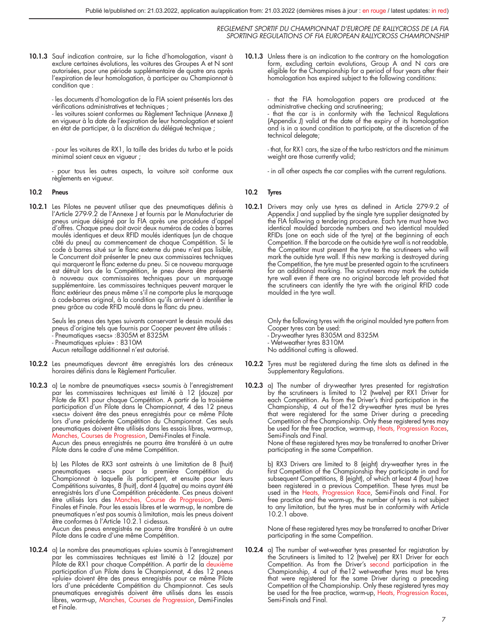10.1.3 Sauf indication contraire, sur la fiche d'homologation, visant à exclure certaines évolutions, les voitures des Groupes A et N sont autorisées, pour une période supplémentaire de quatre ans après l'expiration de leur homologation, à participer au Championnat à condition que :

> - les documents d'homologation de la FIA soient présentés lors des vérifications administratives et techniques ;

> - les voitures soient conformes au Règlement Technique (Annexe J) en vigueur à la date de l'expiration de leur homologation et soient en état de participer, à la discrétion du délégué technique ;

> - pour les voitures de RX1, la taille des brides du turbo et le poids minimal soient ceux en vigueur ;

> - pour tous les autres aspects, la voiture soit conforme aux règlements en vigueur.

#### 10.2 Pneus

10.2.1 Les Pilotes ne peuvent utiliser que des pneumatiques définis à l'Article 279-9.2 de l'Annexe J et fournis par le Manufacturier de pneus unique désigné par la FIA après une procédure d'appel d'offres. Chaque pneu doit avoir deux numéros de codes à barres moulés identiques et deux RFID moulés identiques (un de chaque côté du pneu) au commencement de chaque Compétition. Si le code à barres situé sur le flanc externe du pneu n'est pas lisible, le Concurrent doit présenter le pneu aux commissaires techniques qui marqueront le flanc externe du pneu. Si ce nouveau marquage est détruit lors de la Compétition, le pneu devra être présenté à nouveau aux commissaires techniques pour un marquage supplémentaire. Les commissaires techniques peuvent marquer le flanc extérieur des pneus même s'il ne comporte plus le marquage à code-barres original, à la condition qu'ils arrivent à identifier le pneu grâce au code RFID moulé dans le flanc du pneu.

> Seuls les pneus des types suivants conservant le dessin moulé des pneus d'origine tels que fournis par Cooper peuvent être utilisés : - Pneumatiques «secs» :8305M et 8325M - Pneumatiques «pluie» : 8310M Aucun retaillage additionnel n'est autorisé.

- 10.2.2 Les pneumatiques devront être enregistrés lors des créneaux horaires définis dans le Règlement Particulier.
- 10.2.3 a) Le nombre de pneumatiques «secs» soumis à l'enregistrement par les commissaires techniques est limité à 12 (douze) par Pilote de RX1 pour chaque Compétition. A partir de la troisième participation d'un Pilote dans le Championnat, 4 des 12 pneus «secs» doivent être des pneus enregistrés pour ce même Pilote lors d'une précédente Compétition du Championnat. Ces seuls pneumatiques doivent être utilisés dans les essais libres, warm-up, Manches, Courses de Progression, Demi-Finales et Finale. Aucun des pneus enregistrés ne pourra être transféré à un autre Pilote dans le cadre d'une même Compétition.

b) Les Pilotes de RX3 sont astreints à une limitation de 8 (huit) pneumatiques «secs» pour la première Compétition du Championnat à laquelle ils participent, et ensuite pour leurs Compétitions suivantes, 8 (huit), dont 4 (quatre) au moins ayant été enregistrés lors d'une Compétition précédente. Ces pneus doivent être utilisés lors des Manches, Course de Progression, Demi-Finales et Finale. Pour les essais libres et le warm-up, le nombre de pneumatiques n'est pas soumis à limitation, mais les pneus doivent être conformes à l'Article 10.2.1 ci-dessus. Aucun des pneus enregistrés ne pourra être transféré à un autre

Pilote dans le cadre d'une même Compétition.

10.2.4 a) Le nombre des pneumatiques «pluie» soumis à l'enregistrement par les commissaires techniques est limité à 12 (douze) par<br>Pilote de RX1 pour chaque Compétition. A partir de la deuxième<br>participation d'un Pilote dans le Championnat, 4 des 12 pneus «pluie» doivent être des pneus enregistrés pour ce même Pilote lors d'une précédente Compétition du Championnat. Ces seuls pneumatiques enregistrés doivent être utilisés dans les essais libres, warm-up, Manches, Courses de Progression, Demi-Finales et Finale.

10.1.3 Unless there is an indication to the contrary on the homologation form, excluding certain evolutions, Group A and N cars are eligible for the Championship for a period of four years after their homologation has expired subject to the following conditions:

- that the FIA homologation papers are produced at the<br>administrative checking and scrutineering;<br>- that the car is in conformity with the Technical Regulations<br>(Appendix J) valid at the date of the expiry of its homologat and is in a sound condition to participate, at the discretion of the technical delegate;

- that, for RX1 cars, the size of the turbo restrictors and the minimum weight are those currently valid;

- in all other aspects the car complies with the current regulations.

#### 10.2 Tyres

10.2.1 Drivers may only use tyres as defined in Article 279-9.2 of Appendix J and supplied by the single tyre supplier designated by the FIA following a tendering procedure. Each tyre must have two identical moulded barcode numbers and two identical moulded RFIDs (one on each side of the tyre) at the beginning of each Competition. If the barcode on the outside tyre wall is not readable, the Competitor must present the tyre to the scrutineers who will mark the outside tyre wall. If this new marking is destroyed during the Competition, the tyre must be presented again to the scrutineers for an additional marking. The scrutineers may mark the outside tyre wall even if there are no original barcode left provided that the scrutineers can identify the tyre with the original RFID code moulded in the tyre wall.

> Only the following tyres with the original moulded tyre pattern from Cooper tyres can be used:

- Dry-weather tyres 8305M and 8325M

- Wet-weather tyres 8310M

No additional cutting is allowed.

- 10.2.2 Tyres must be registered during the time slots as defined in the Supplementary Regulations.
- 10.2.3 a) The number of dry-weather tyres presented for registration by the scrutineers is limited to 12 (twelve) per RX1 Driver for each Competition. As from the Driver's third participation in the Championship, 4 out of the12 dry-weather tyres must be tyres that were registered for the same Driver during a preceding Competition of the Championship. Only these registered tyres may be used for the free practice, warm-up, Heats, Progression Races, Semi-Finals and Final.

None of these registered tyres may be transferred to another Driver participating in the same Competition.

b) RX3 Drivers are limited to 8 (eight) dry-weather tyres in the first Competition of the Championship they participate in and for subsequent Competitions, 8 (eight), of which at least 4 (four) have been registered in a previous Competition. These tyres must be used in the Heats, Progression Race, Semi-Finals and Final. For<br>free practice and the warm-up, the number of tyres is not subject to any limitation, but the tyres must be in conformity with Article 10.2.1 above.

None of these registered tyres may be transferred to another Driver participating in the same Competition.

10.2.4 a) The number of wet-weather tyres presented for registration by the Scrutineers is limited to 12 (twelve) per RX1 Driver for each Competition. As from the Driver's second participation in the Championship, 4 out of the12 wet-weather tyres must be tyres that were registered for the same Driver during a preceding Competition of the Championship. Only these registered tyres may be used for the free practice, warm-up, Heats, Progression Races, Semi-Finals and Final.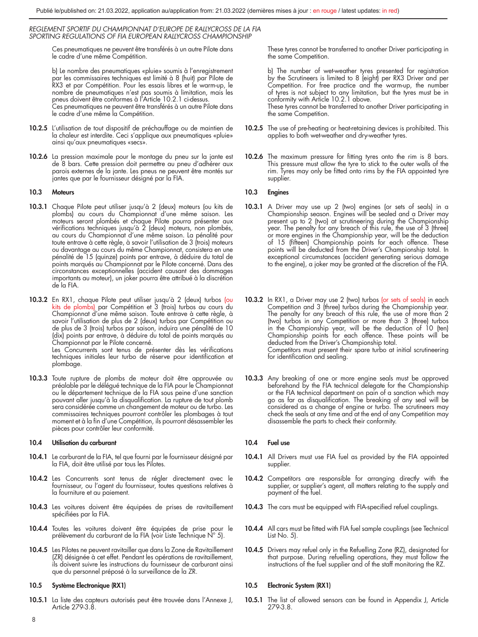Ces pneumatiques ne peuvent être transférés à un autre Pilote dans le cadre d'une même Compétition.

b) Le nombre des pneumatiques «pluie» soumis à l'enregistrement par les commissaires techniques est limité à 8 (huit) par Pilote de RX3 et par Compétition. Pour les essais libres et le warm-up, le nombre de pneumatiques n'est pas soumis à limitation, mais les pneus doivent être conformes à l'Article 10.2.1 ci-dessus. Ces pneumatiques ne peuvent être transférés à un autre Pilote dans le cadre d'une même la Compétition.

- 10.2.5 L'utilisation de tout dispositif de préchauffage ou de maintien de la chaleur est interdite. Ceci s'applique aux pneumatiques «pluie» ainsi qu'aux pneumatiques «secs».
- 10.2.6 La pression maximale pour le montage du pneu sur la jante est de 8 bars. Cette pression doit permettre au pneu d'adhérer aux parois externes de la jante. Les pneus ne peuvent être montés sur jantes que par le fournisseur désigné par la FIA.

#### 10.3 Moteurs

- 10.3.1 Chaque Pilote peut utiliser jusqu'à 2 (deux) moteurs (ou kits de plombs) au cours du Championnat d'une même saison. Les moteurs seront plombés et chaque Pilote pourra présenter aux vérifications techniques jusqu'à 2 (deux) moteurs, non plombés, au cours du Championnat d'une même saison. La pénalité pour toute entrave à cette règle, à savoir l'utilisation de 3 (trois) moteurs ou davantage au cours du même Championnat, consistera en une pénalité de 15 (quinze) points par entrave, à déduire du total de points marqués au Championnat par le Pilote concerné. Dans des circonstances exceptionnelles (accident causant des dommages importants au moteur), un joker pourra être attribué à la discrétion de la FIA.
- 10.3.2 En RX1, chaque Pilote peut utiliser jusqu'à 2 (deux) turbos (ou kits de plombs) par Compétition et 3 (trois) turbos au cours du Championnat d'une même saison. Toute entrave à cette règle, à savoir l'utilisation de plus de 2 (deux) turbos par Compétition ou de plus de 3 (trois) turbos par saison, induira une pénalité de 10 (dix) points par entrave, à déduire du total de points marqués au Championnat par le Pilote concerné.

Les Concurrents sont tenus de présenter dès les vérifications techniques initiales leur turbo de réserve pour identification et plombage.

10.3.3 Toute rupture de plombs de moteur doit être approuvée au préalable par le délégué technique de la FIA pour le Championnat ou le département technique de la FIA sous peine d'une sanction pouvant aller jusqu'à la disqualification. La rupture de tout plomb sera considérée comme un changement de moteur ou de turbo. Les commissaires techniques pourront contrôler les plombages à tout moment et à la fin d'une Compétition, ils pourront désassembler les pièces pour contrôler leur conformité.

#### 10.4 Utilisation du carburant

- 10.4.1 Le carburant de la FIA, tel que fourni par le fournisseur désigné par la FIA, doit être utilisé par tous les Pilotes.
- 10.4.2 Les Concurrents sont tenus de régler directement avec le fournisseur, ou l'agent du fournisseur, toutes questions relatives à la fourniture et au paiement.
- 10.4.3 Les voitures doivent être équipées de prises de ravitaillement spécifiées par la FIA.
- 10.4.4 Toutes les voitures doivent être équipées de prise pour le prélèvement du carburant de la FIA (voir Liste Technique N° 5).
- 10.4.5 Les Pilotes ne peuvent ravitailler que dans la Zone de Ravitaillement (ZR) désignée à cet effet. Pendant les opérations de ravitaillement, ils doivent suivre les instructions du fournisseur de carburant ainsi que du personnel préposé à la surveillance de la ZR.

#### 10.5 Système Electronique (RX1)

10.5.1 La liste des capteurs autorisés peut être trouvée dans l'Annexe J, Article 279-3.8.

These tyres cannot be transferred to another Driver participating in the same Competition.

b) The number of wet-weather tyres presented for registration by the Scrutineers is limited to 8 (eight) per RX3 Driver and per Competition. For free practice and the warm-up, the number of tyres is not subject to any limitation, but the tyres must be in conformity with Article 10.2.1 above.

These tyres cannot be transferred to another Driver participating in the same Competition.

- 10.2.5 The use of pre-heating or heat-retaining devices is prohibited. This applies to both wet-weather and dry-weather tyres.
- 10.2.6 The maximum pressure for fitting tyres onto the rim is 8 bars. This pressure must allow the tyre to stick to the outer walls of the rim. Tyres may only be fitted onto rims by the FIA appointed tyre supplier.

#### 10.3 Engines

- 10.3.1 A Driver may use up 2 (two) engines (or sets of seals) in a Championship season. Engines will be sealed and a Driver may present up to 2 (two) at scrutineering during the Championship year. The penalty for any breach of this rule, the use of 3 (three) or more engines in the Championship year, will be the deduction of 15 (fifteen) Championship points for each offence. These points will be deducted from the Driver's Championship total. In exceptional circumstances (accident generating serious damage to the engine), a joker may be granted at the discretion of the FIA.
- **10.3.2** In RX1, a Driver may use 2 (two) turbos (or sets of seals) in each Competition and 3 (three) turbos during the Championship year. The penalty for any breach of this rule, the use of more than 2 (two) turbos in any Competition or more than 3 (three) turbos in the Championship year, will be the deduction of 10 (ten) Championship points for each offence. These points will be deducted from the Driver's Championship total. Competitors must present their spare turbo at initial scrutineering for identification and sealing.
- 10.3.3 Any breaking of one or more engine seals must be approved beforehand by the FIA technical delegate for the Championship or the FIA technical department on pain of a sanction which may go as far as disqualification. The breaking of any seal will be considered as a change of engine or turbo. The scrutineers may check the seals at any time and at the end of any Competition may disassemble the parts to check their conformity.

#### 10.4 Fuel use

- 10.4.1 All Drivers must use FIA fuel as provided by the FIA appointed supplier.
- 10.4.2 Competitors are responsible for arranging directly with the supplier, or supplier's agent, all matters relating to the supply and payment of the fuel.
- 10.4.3 The cars must be equipped with FIA-specified refuel couplings.
- 10.4.4 All cars must be fitted with FIA fuel sample couplings (see Technical List No. 5).
- 10.4.5 Drivers may refuel only in the Refuelling Zone (RZ), designated for that purpose. During refuelling operations, they must follow the instructions of the fuel supplier and of the staff monitoring the RZ.

#### 10.5 Electronic System (RX1)

10.5.1 The list of allowed sensors can be found in Appendix J, Article 279-3.8.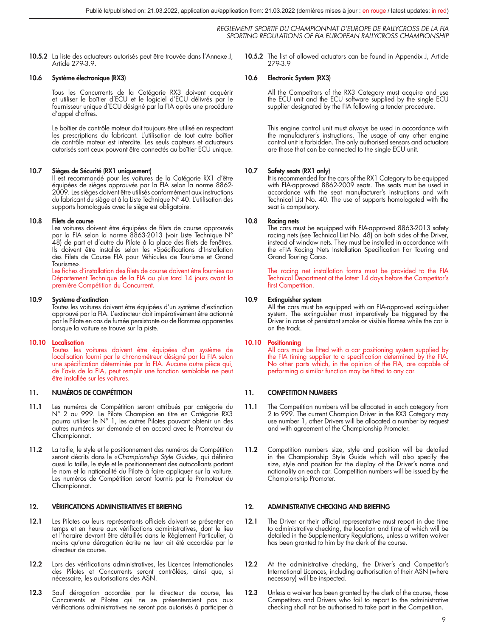10.5.2 La liste des actuateurs autorisés peut être trouvée dans l'Annexe J, Article 279-3.9.

#### 10.6 Système électronique (RX3)

Tous les Concurrents de la Catégorie RX3 doivent acquérir et utiliser le boîtier d'ECU et le logiciel d'ECU délivrés par le fournisseur unique d'ECU désigné par la FIA après une procédure d'appel d'offres.

Le boîtier de contrôle moteur doit toujours être utilisé en respectant les prescriptions du fabricant. L'utilisation de tout autre boîtier de contrôle moteur est interdite. Les seuls capteurs et actuateurs autorisés sont ceux pouvant être connectés au boîtier ECU unique.

#### 10.7 Sièges de Sécurité (RX1 uniquement)

ll est recommandé pour les voitures de la Catégorie RX1 d'être<br>équipées de sièges approuvés par la FIA selon la norme 8862-<br>2009. Les sièges doivent être utilisés conformément aux instructions du fabricant du siège et à la Liste Technique N° 40. L'utilisation des supports homologués avec le siège est obligatoire.

#### 10.8 Filets de course

Les voitures doivent être équipées de filets de course approuvés par la FIA selon la norme 8863-2013 (voir Liste Technique N° 48) de part et d'autre du Pilote à la place des filets de fenêtres. Ils doivent être installés selon les «Spécifications d'Installation des Filets de Course FIA pour Véhicules de Tourisme et Grand Tourisme».

Les fiches d'installation des filets de course doivent être fournies au Département Technique de la FIA au plus tard 14 jours avant la première Compétition du Concurrent.

#### 10.9 Système d'extinction

Toutes les voitures doivent être équipées d'un système d'extinction approuvé par la FIA. L'extincteur doit impérativement être actionné par le Pilote en cas de fumée persistante ou de flammes apparentes lorsque la voiture se trouve sur la piste.

#### 10.10 Localisation

Toutes les voitures doivent être équipées d'un système de localisation fourni par le chronométreur désigné par la FIA selon une spécification déterminée par la FIA. Aucune autre pièce qui, de l'avis de la FIA, peut remplir une fonction semblable ne peut être installée sur les voitures.

#### 11. NUMÉROS DE COMPÉTITION

- 11.1 Les numéros de Compétition seront attribués par catégorie du N° 2 au 999. Le Pilote Champion en titre en Catégorie RX3 pourra utiliser le N° 1, les autres Pilotes pouvant obtenir un des autres numéros sur demande et en accord avec le Promoteur du Championnat.
- 11.2 La taille, le style et le positionnement des numéros de Compétition seront décrits dans le «*Championship Style Guide*», qui définira aussi la taille, le style et le positionnement des autocollants portant le nom et la nationalité du Pilote à faire appliquer sur la voiture. Les numéros de Compétition seront fournis par le Promoteur du Championnat.

#### 12. VÉRIFICATIONS ADMINISTRATIVES ET BRIEFING

- 12.1 Les Pilotes ou leurs représentants officiels doivent se présenter en temps et en heure aux vérifications administratives, dont le lieu et l'horaire devront être détaillés dans le Règlement Particulier, à moins qu'une dérogation écrite ne leur ait été accordée par le directeur de course.
- 12.2 Lors des vérifications administratives, les Licences Internationales des Pilotes et Concurrents seront contrôlées, ainsi que, si nécessaire, les autorisations des ASN.
- 12.3 Sauf dérogation accordée par le directeur de course. les Concurrents et Pilotes qui ne se présenteraient pas aux vérifications administratives ne seront pas autorisés à participer à

10.5.2 The list of allowed actuators can be found in Appendix J, Article 279-3.9

#### 10.6 Electronic System (RX3)

All the Competitors of the RX3 Category must acquire and use the ECU unit and the ECU software supplied by the single ECU supplier designated by the FIA following a tender procedure.

This engine control unit must always be used in accordance with the manufacturer's instructions. The usage of any other engine control unit is forbidden. The only authorised sensors and actuators are those that can be connected to the single ECU unit.

#### 10.7 Safety seats (RX1 only)

It is recommended for the cars of the RX1 Category to be equipped with FIA-approved 8862-2009 seats. The seats must be used in accordance with the seat manufacturer's instructions and with Technical List No. 40. The use of supports homologated with the seat is compulsory.

#### 10.8 Racing nets

The cars must be equipped with FIA-approved 8863-2013 safety racing nets (see Technical List No. 48) on both sides of the Driver, instead of window nets. They must be installed in accordance with the «FIA Racing Nets Installation Specification For Touring and Grand Touring Cars».

The racing net installation forms must be provided to the FIA Technical Department at the latest 14 days before the Competitor's first Competition.

#### 10.9 Extinguisher system

All the cars must be equipped with an FIA-approved extinguisher system. The extinguisher must imperatively be triggered by the Driver in case of persistant smoke or visible flames while the car is on the track.

#### 10.10 Positionning

All cars must be fitted with a car positioning system supplied by the FIA timing supplier to a specification determined by the FIA. No other parts which, in the opinion of the FIA, are capable of performing a similar function may be fitted to any car.

#### 11. COMPETITION NUMBERS

- 11.1 The Competition numbers will be allocated in each category from 2 to 999. The current Champion Driver in the RX3 Category may use number 1, other Drivers will be allocated a number by request and with agreement of the Championship Promoter.
- 11.2 Competition numbers size, style and position will be detailed in the Championship Style Guide which will also specify the size, style and position for the display of the Driver's name and nationality on each car. Competition numbers will be issued by the Championship Promoter.

#### 12. ADMINISTRATIVE CHECKING AND BRIEFING

- 12.1 The Driver or their official representative must report in due time to administrative checking, the location and time of which will be detailed in the Supplementary Regulations, unless a written waiver has been granted to him by the clerk of the course.
- 12.2 At the administrative checking, the Driver's and Competitor's International Licences, including authorisation of their ASN (where necessary) will be inspected.
- 12.3 Unless a waiver has been granted by the clerk of the course, those Competitors and Drivers who fail to report to the administrative checking shall not be authorised to take part in the Competition.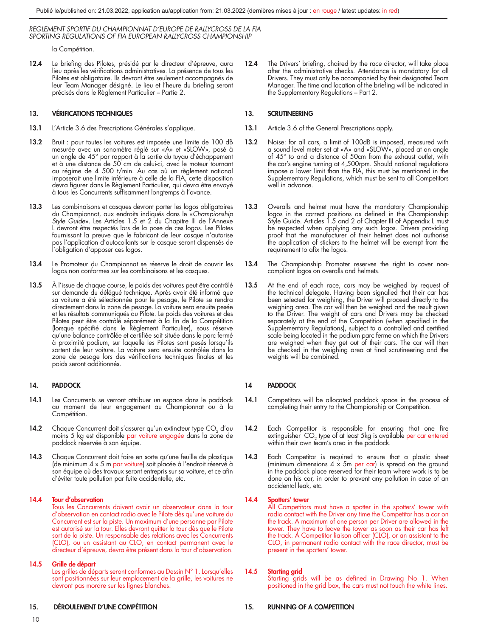la Compétition.

12.4 Le briefing des Pilotes, présidé par le directeur d'épreuve, aura lieu après les vérifications administratives. La présence de tous les Pilotes est obligatoire. Ils devront être seulement accompagnés de leur Team Manager désigné. Le lieu et l'heure du briefing seront précisés dans le Règlement Particulier – Partie 2.

#### 13. VÉRIFICATIONS TECHNIQUES

- 13.1 L'Article 3.6 des Prescriptions Générales s'applique.
- 13.2 Bruit : pour toutes les voitures est imposée une limite de 100 dB mesurée avec un sonomètre réglé sur «A» et «SLOW», posé à un angle de 45° par rapport à la sortie du tuyau d'échappement et à une distance de 50 cm de celui-ci, avec le moteur tournant au régime de 4 500 t/min. Au cas où un règlement national imposerait une limite inférieure à celle de la FIA, cette disposition devra figurer dans le Règlement Particulier, qui devra être envoyé à tous les Concurrents suffisamment longtemps à l'avance.
- 13.3 Les combinaisons et casques devront porter les logos obligatoires du Championnat, aux endroits indiqués dans le «*Championship Style Guide*». Les Articles 1.5 et 2 du Chapitre III de l'Annexe L devront être respectés lors de la pose de ces logos. Les Pilotes fournissant la preuve que le fabricant de leur casque n'autorise pas l'application d'autocollants sur le casque seront dispensés de l'obligation d'apposer ces logos.
- 13.4 Le Promoteur du Championnat se réserve le droit de couvrir les logos non conformes sur les combinaisons et les casques.
- 13.5 À l'issue de chaque course, le poids des voitures peut être contrôlé sur demande du délégué technique. Après avoir été informé que sa voiture a été sélectionnée pour le pesage, le Pilote se rendra directement dans la zone de pesage. La voiture sera ensuite pesée et les résultats communiqués au Pilote. Le poids des voitures et des Pilotes peut être contrôlé séparément à la fin de la Compétition (lorsque spécifié dans le Règlement Particulier), sous réserve qu'une balance contrôlée et certifiée soit située dans le parc fermé à proximité podium, sur laquelle les Pilotes sont pesés lorsqu'ils sortent de leur voiture. La voiture sera ensuite contrôlée dans la zone de pesage lors des vérifications techniques finales et les poids seront additionnés.

#### 14. PADDOCK

- 14.1 Les Concurrents se verront attribuer un espace dans le paddock au moment de leur engagement au Championnat ou à la Compétition.
- 14.2 Chaque Concurrent doit s'assurer qu'un extincteur type CO<sub>2</sub> d'au moins 5 kg est disponible par voiture engagée dans la zone de paddock réservée à son équipe.
- 14.3 Chaque Concurrent doit faire en sorte qu'une feuille de plastique (de minimum 4 x 5 m par voiture) soit placée à l'endroit réservé à son équipe où des travaux seront entrepris sur sa voiture, et ce afin d'éviter toute pollution par fuite accidentelle, etc.

#### 14.4 Tour d'observation

Tous les Concurrents doivent avoir un observateur dans la tour d'observation en contact radio avec le Pilote dès qu'une voiture du Concurrent est sur la piste. Un maximum d'une personne par Pilote est autorisé sur la tour. Elles devront quitter la tour dès que le Pilote sort de la piste. Un responsable des relations avec les Concurrents (CLO), ou un assistant au CLO, en contact permanent avec le directeur d'épreuve, devra être présent dans la tour d'observation.

#### 14.5 Grille de départ

Les grilles de départs seront conformes au Dessin N° 1. Lorsqu'elles sont positionnées sur leur emplacement de la grille, les voitures ne devront pas mordre sur les lignes blanches.

#### 15. DÉROULEMENT D'UNE COMPÉTITION

12.4 The Drivers' briefing, chaired by the race director, will take place after the administrative checks. Attendance is mandatory for all Drivers. They must only be accompanied by their designated Team Manager. The time and location of the briefing will be indicated in the Supplementary Regulations – Part 2.

#### 13. SCRUTINEERING

- 13.1 Article 3.6 of the General Prescriptions apply.
- 13.2 Noise: for all cars, a limit of 100dB is imposed, measured with a sound level meter set at «A» and «SLOW», placed at an angle of 45° to and a distance of 50cm from the exhaust outlet, with the car's engine turning at 4,500rpm. Should national regulations impose a lower limit than the FIA, this must be mentioned in the Supplementary Regulations, which must be sent to all Competitors well in advance.
- 13.3 Overalls and helmet must have the mandatory Championship logos in the correct positions as defined in the Championship Style Guide. Articles 1.5 and 2 of Chapter III of Appendix L must be respected when applying any such logos. Drivers providing proof that the manufacturer of their helmet does not authorise the application of stickers to the helmet will be exempt from the requirement to afix the logos.
- 13.4 The Championship Promoter reserves the right to cover noncompliant logos on overalls and helmets.
- 13.5 At the end of each race, cars may be weighed by request of the technical delegate. Having been signalled that their car has been selected for weighing, the Driver will proceed directly to the weighing area. The car will then be weighed and the result given to the Driver. The weight of cars and Drivers may be checked separately at the end of the Competition (when specified in the Supplementary Regulations), subject to a controlled and certified scale being located in the podium parc ferme on which the Drivers are weighed when they get out of their cars. The car will then be checked in the weighing area at final scrutineering and the weights will be combined.

#### 14 PADDOCK

- 14.1 Competitors will be allocated paddock space in the process of completing their entry to the Championship or Competition.
- 14.2 Each Competitor is responsible for ensuring that one fire extinguisher CO<sub>2</sub> type of at least 5kg is available per car entered within their own team's area in the paddock.
- 14.3 Each Competitor is required to ensure that a plastic sheet (minimum dimensions  $4 \times 5$ m per car) is spread on the ground in the paddock place reserved for their team where work is to be done on his car, in order to prevent any pollution in case of an accidental leak, etc.

### 14.4 Spotters' tower

All Competitors must have a spotter in the spotters' tower with radio contact with the Driver any time the Competitor has a car on the track. A maximum of one person per Driver are allowed in the tower. They have to leave the tower as soon as their car has left the track. A Competitor liaison officer (CLO), or an assistant to the CLO, in permanent radio contact with the race director, must be present in the spotters' tower.

#### 14.5 Starting grid

Starting grids will be as defined in Drawing No 1. When positioned in the grid box, the cars must not touch the white lines.

#### 15. RUNNING OF A COMPETITION

10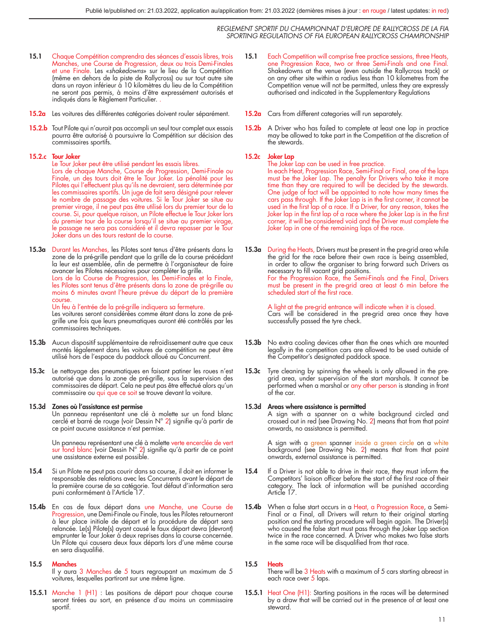- 15.1 Chaque Compétition comprendra des séances d'essais libres, trois Manches, une Course de Progression, deux ou trois Demi-Finales et une Finale. Les «*shakedowns*» sur le lieu de la Compétition (même en dehors de la piste de Rallycross) ou sur tout autre site dans un rayon inférieur à 10 kilomètres du lieu de la Compétition ne seront pas permis, à moins d'être expressément autorisés et indiqués dans le Règlement Particulier. .
- 15.2a Les voitures des différentes catégories doivent rouler séparément.
- 15.2.b Tout Pilote qui n'aurait pas accompli un seul tour complet aux essais pourra être autorisé à poursuivre la Compétition sur décision des commissaires sportifs.

#### 15.2.c Tour Joker

- Le Tour Joker peut être utilisé pendant les essais libres. Lors de chaque Manche, Course de Progression, Demi-Finale ou Finale, un des tours doit être le Tour Joker. La pénalité pour les Pilotes qui l'effectuent plus qu'ils ne devraient, sera déterminée par les commissaires sportifs. Un juge de fait sera désigné pour relever le nombre de passage des voitures. Si le Tour Joker se situe au<br>premier virage, il ne peut pas être utilisé lors du premier tour de la<br>course. Si, pour quelque raison, un Pilote effectue le Tour Joker lors du premier tour de la course lorsqu'il se situe au premier virage, le passage ne sera pas considéré et il devra repasser par le Tour Joker dans un des tours restant de la course.
- 15.3a Durant les Manches, les Pilotes sont tenus d'être présents dans la zone de la pré-grille pendant que la grille de la course précédant la leur est assemblée, afin de permettre à l'organisateur de faire avancer les Pilotes nécessaires pour compléter la grille.

Lors de la Course de Progression, les Demi-Finales et la Finale, les Pilotes sont tenus d'être présents dans la zone de pré-grille au moins 6 minutes avant l'heure prévue du départ de la première course.

#### Un feu à l'entrée de la pré-grille indiquera sa fermeture.

Les voitures seront considérées comme étant dans la zone de prégrille une fois que leurs pneumatiques auront été contrôlés par les commissaires techniques.

- 15.3b Aucun dispositif supplémentaire de refroidissement autre que ceux montés légalement dans les voitures de compétition ne peut être utilisé hors de l'espace du paddock alloué au Concurrent.
- 15.3c Le nettoyage des pneumatiques en faisant patiner les roues n'est autorisé que dans la zone de pré-grille, sous la supervision des commissaires de départ. Cela ne peut pas être effectué alors qu'un commissaire ou qui que ce soit se trouve devant la voiture.

#### 15.3d Zones où l'assistance est permise

Un panneau représentant une clé à molette sur un fond blanc cerclé et barré de rouge (voir Dessin N° 2) signifie qu'à partir de ce point aucune assistance n'est permise.

Un panneau représentant une clé à molette verte encerclée de vert sur fond blanc (voir Dessin N° 2) signifie qu'à partir de ce point une assistance externe est possible.

- 15.4 Si un Pilote ne peut pas courir dans sa course, il doit en informer le responsable des relations avec les Concurrents avant le départ de la première course de sa catégorie. Tout défaut d'information sera puni conformément à l'Article 17.
- 15.4b En cas de faux départ dans une Manche, une Course de Progression, une Demi-Finale ou Finale, tous les Pilotes retourneront à leur place initiale de départ et la procédure de départ sera relancée. Le(s) Pilote(s) ayant causé le faux départ devra (devront) emprunter le Tour Joker à deux reprises dans la course concernée. Un Pilote qui causera deux faux départs lors d'une même course en sera disqualifié.

#### 15.5 Manches

Il y aura 3 Manches de 5 tours regroupant un maximum de 5 voitures, lesquelles partiront sur une même ligne.

15.5.1 Manche 1 (H1) : Les positions de départ pour chaque course seront tirées au sort, en présence d'au moins un commissaire sportif.

- 15.1 Each Competition will comprise free practice sessions, three Heats, one Progression Race, two or three Semi-Finals and one Final. Shakedowns at the venue (even outside the Rallycross track) or on any other site within a radius less than 10 kilometres from the Competition venue will not be permitted, unless they are expressly authorised and indicated in the Supplementary Regulations
- 15.2a Cars from different categories will run separately.
- 15.2b A Driver who has failed to complete at least one lap in practice may be allowed to take part in the Competition at the discretion of the stewards.

#### 15.2c Joker Lap

The Joker Lap can be used in free practice. In each Heat, Progression Race, Semi-Final or Final, one of the laps must be the Joker Lap. The penalty for Drivers who take it more time than they are required to will be decided by the stewards. One judge of fact will be appointed to note how many times the cars pass through. If the Joker Lap is in the first corner, it cannot be used in the first lap of a race. If a Driver, for any reason, takes the Joker lap in the first lap of a race where the Joker Lap is in the first corner, it will be considered void and the Driver must complete the Joker lap in one of the remaining laps of the race.

15.3a During the Heats, Drivers must be present in the pre-grid area while the grid for the race before their own race is being assembled, in order to allow the organiser to bring forward such Drivers as necessary to fill vacant grid positions. For the Progression Race, the Semi-Finals and the Final, Drivers must be present in the pre-grid area at least 6 min before the scheduled start of the first race.

> A light at the pre-grid entrance will indicate when it is closed. Cars will be considered in the pre-grid area once they have successfully passed the tyre check.

- 15.3b No extra cooling devices other than the ones which are mounted legally in the competition cars are allowed to be used outside of the Competitor's designated paddock space.
- Tyre cleaning by spinning the wheels is only allowed in the pregrid area, under supervision of the start marshals. It cannot be performed when a marshal or any other person is standing in front of the car.

#### 15.3d Areas where assistance is permitted

A sign with a spanner on a white background circled and crossed out in red (see Drawing No. 2) means that from that point onwards, no assistance is permitted.

A sign with a green spanner inside a green circle on a white background (see Drawing No. 2) means that from that point onwards, external assistance is permitted.

- 15.4 If a Driver is not able to drive in their race, they must inform the Competitors' liaison officer before the start of the first race of their category. The lack of information will be punished according Article 17.
- 15.4b When a false start occurs in a Heat, a Progression Race, a Semi-Final or a Final, all Drivers will return to their original starting position and the starting procedure will begin again. The Driver(s) who caused the false start must pass through the Joker Lap section twice in the race concerned. A Driver who makes two false starts in the same race will be disqualified from that race.

#### 15.5 Heats

There will be 3 Heats with a maximum of 5 cars starting abreast in each race over 5 laps.

15.5.1 Heat One (H1): Starting positions in the races will be determined by a draw that will be carried out in the presence of at least one steward.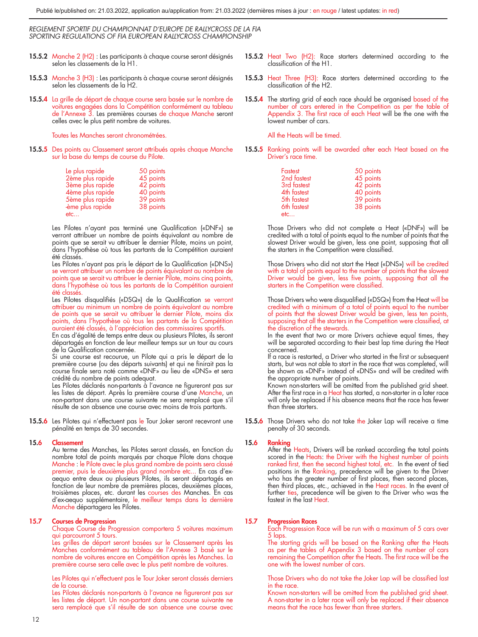- 15.5.2 Manche 2 (H2) : Les participants à chaque course seront désignés selon les classements de la H1.
- 15.5.3 Manche 3 (H3) : Les participants à chaque course seront désignés selon les classements de la H2.
- 15.5.4 La grille de départ de chaque course sera basée sur le nombre de voitures engagées dans la Compétition conformément au tableau de l'Annexe 3. Les premières courses de chaque Manche seront celles avec le plus petit nombre de voitures.

Toutes les Manches seront chronométrées.

15.5.5 Des points au Classement seront attribués après chaque Manche sur la base du temps de course du Pilote.

| Le plus rapide<br>2ème plus rapide<br>3ème plus rapide<br>4ème plus rapide<br>5ème plus rapide | 50 points<br>45 points<br>42 points<br>40 points<br>39 points |
|------------------------------------------------------------------------------------------------|---------------------------------------------------------------|
| ème plus rapide                                                                                | 38 points                                                     |
| etc                                                                                            |                                                               |

Les Pilotes n'ayant pas terminé une Qualification («DNF») se verront attribuer un nombre de points équivalant au nombre de points que se serait vu attribuer le dernier Pilote, moins un point, dans l'hypothèse où tous les partants de la Compétition auraient été classés.

Les Pilotes n'ayant pas pris le départ de la Qualification («DNS») se verront attribuer un nombre de points équivalant au nombre de points que se serait vu attribuer le dernier Pilote, moins cinq points, dans l'hypothèse où tous les partants de la Compétition auraient été classés.

Les Pilotes disqualifiés («DSQ») de la Qualification se verront attribuer au minimum un nombre de points équivalant au nombre de points que se serait vu attribuer le dernier Pilote, moins dix points, dans l'hypothèse où tous les partants de la Compétition auraient été classés, à l'appréciation des commissaires sportifs.

En cas d'égalité de temps entre deux ou plusieurs Pilotes, ils seront départagés en fonction de leur meilleur temps sur un tour au cours de la Qualification concernée.

Si une course est recourue, un Pilote qui a pris le départ de la première course (ou des départs suivants) et qui ne finirait pas la course finale sera noté comme «DNF» au lieu de «DNS» et sera crédité du nombre de points adequat.

Les Pilotes déclarés non-partants à l'avance ne figureront pas sur les listes de départ. Après la première course d'une Manche, un non-partant dans une course suivante ne sera remplacé que s'il résulte de son absence une course avec moins de trois partants.

15.5.6 Les Pilotes qui n'effectuent pas le Tour Joker seront recevront une pénalité en temps de 30 secondes.

#### 15.6 Classement

Au terme des Manches, les Pilotes seront classés, en fonction du nombre total de points marqués par chaque Pilote dans chaque Manche : le Pilote avec le plus grand nombre de points sera classé premier, puis le deuxième plus grand nombre etc... En cas d'ex-aequo entre deux ou plusieurs Pilotes, ils seront départagés en fonction de leur nombre de premières places, deuxièmes places, troisièmes places, etc. durant les courses des Manches. En cas<br>d'ex-aequo supplémentaire, le meilleur temps dans la dernière<br><mark>Manch</mark>e départagera les Pilotes.

#### 15.7 Courses de Progression

Chaque Course de Progression comportera 5 voitures maximum qui parcourront 5 tours.

Les grilles de départ seront basées sur le Classement après les Manches conformément au tableau de l'Annexe 3 basé sur le nombre de voitures encore en Compétition après les Manches. La première course sera celle avec le plus petit nombre de voitures.

Les Pilotes qui n'effectuent pas le Tour Joker seront classés derniers de la course.

Les Pilotes déclarés non-partants à l'avance ne figureront pas sur les listes de départ. Un non-partant dans une course suivante ne sera remplacé que s'il résulte de son absence une course avec

- 15.5.2 Heat Two (H2): Race starters determined according to the classification of the H1.
- **15.5.3** Heat Three (H3): Race starters determined according to the classification of the H2.
- 15.5.4 The starting grid of each race should be organised based of the number of cars entered in the Competition as per the table of Appendix 3. The first race of each Heat will be the one with the lowest number of cars.

All the Heats will be timed.

 15.5.5 Ranking points will be awarded after each Heat based on the Driver's race time.

| Fastest     | 50 points |
|-------------|-----------|
| 2nd fastest | 45 points |
| 3rd fastest | 42 points |
| 4th fastest | 40 points |
| 5th fastest | 39 points |
| 6th fastest | 38 points |
| etc         |           |

Those Drivers who did not complete a Heat («DNF») will be credited with a total of points equal to the number of points that the slowest Driver would be given, less one point, supposing that all the starters in the Competition were classified.

Those Drivers who did not start the Heat («DNS») will be credited with a total of points equal to the number of points that the slowest Driver would be given, less five points, supposing that all the starters in the Competition were classified.

Those Drivers who were disqualified («DSQ») from the Heat will be credited with a minimum of a total of points equal to the number of points that the slowest Driver would be given, less ten points, supposing that all the starters in the Competition were classified, at the discretion of the stewards.

In the event that two or more Drivers achieve equal times, they will be separated according to their best lap time during the Heat concerned.

If a race is restarted, a Driver who started in the first or subsequent starts, but was not able to start in the race that was completed, will be shown as «DNF» instead of «DNS» and will be credited with the appropriate number of points.

Known non-starters will be omitted from the published grid sheet. After the first race in a Heat has started, a non-starter in a later race will only be replaced if his absence means that the race has fewer than three starters.

15.5.6 Those Drivers who do not take the Joker Lap will receive a time penalty of 30 seconds.

#### 15.6 Ranking

After the Heats, Drivers will be ranked according the total points scored in the Heats: the Driver with the highest number of points ranked first, then the second highest total, etc. In the event of tied positions in the Ranking, precedence will be given to the Driver<br>who has the greater number of first places, then second places, then third places, etc., achieved in the Heat races. In the event of further ties, precedence will be given to the Driver who was the fastest in the last Heat.

#### 15.7 Progression Races

Each Progression Race will be run with a maximum of 5 cars over 5 laps.

The starting grids will be based on the Ranking after the Heats as per the tables of Appendix 3 based on the number of cars remaining the Competition after the Heats. The first race will be the one with the lowest number of cars.

Those Drivers who do not take the Joker Lap will be classified last in the race.

Known non-starters will be omitted from the published grid sheet. A non-starter in a later race will only be replaced if their absence means that the race has fewer than three starters.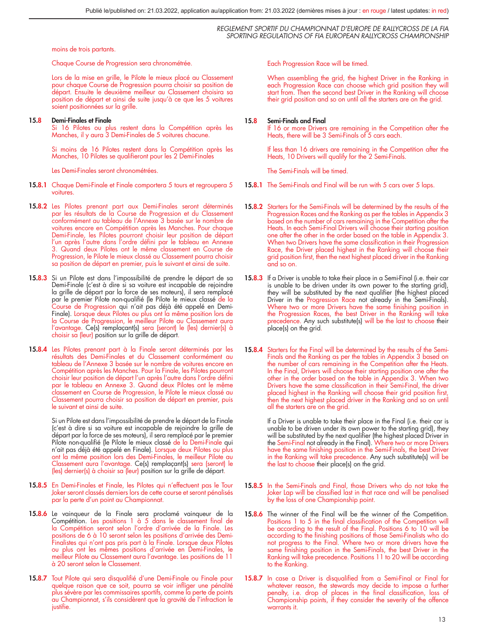moins de trois partants.

Chaque Course de Progression sera chronométrée.

Lors de la mise en grille, le Pilote le mieux placé au Classement pour chaque Course de Progression pourra choisir sa position de départ. Ensuite le deuxième meilleur au Classement choisira sa position de départ et ainsi de suite jusqu'à ce que les 5 voitures soient positionnées sur la grille.

#### 15.8 Demi-Finales et Finale

Si 16 Pilotes ou plus restent dans la Compétition après les Manches, il y aura 3 Demi-Finales de 5 voitures chacune.

Si moins de 16 Pilotes restent dans la Compétition après les Manches, 10 Pilotes se qualifieront pour les 2 Demi-Finales

Les Demi-Finales seront chronométrées.

- 15.8.1 Chaque Demi-Finale et Finale comportera 5 tours et regroupera 5 voitures.
- 15.8.2 Les Pilotes prenant part aux Demi-Finales seront déterminés par les résultats de la Course de Progression et du Classement conformément au tableau de l'Annexe 3 basée sur le nombre de voitures encore en Compétition après les Manches. Pour chaque Demi-Finale, les Pilotes pourront choisir leur position de départ l'un après l'autre dans l'ordre défini par le tableau en Annexe 3. Quand deux Pilotes ont le même classement en Course de Progression, le Pilote le mieux classé au Classement pourra choisir sa position de départ en premier, puis le suivant et ainsi de suite.
- 15.8.3 Si un Pilote est dans l'impossibilité de prendre le départ de sa Demi-Finale (c'est à dire si sa voiture est incapable de rejoindre la grille de départ par la force de ses moteurs), il sera remplacé par le premier Pilote non-qualifié (le Pilote le mieux classé de la Course de Progression qui n'ait pas déjà été appelé en Demi-Finale). Lorsque deux Pilotes ou plus ont la même position lors de la Course de Progression, le meilleur Pilote au Classement aura l'avantage. Ce(s) remplaçant(s) sera (seront) le (les) dernier(s) à choisir sa (leur) position sur la grille de départ.
- 15.8.4 Les Pilotes prenant part à la Finale seront déterminés par les résultats des Demi-Finales et du Classement conformément au tableau de l'Annexe 3 basée sur le nombre de voitures encore en Compétition après les Manches. Pour la Finale, les Pilotes pourront choisir leur position de départ l'un après l'autre dans l'ordre défini par le tableau en Annexe 3. Quand deux Pilotes ont le même classement en Course de Progression, le Pilote le mieux classé au Classement pourra choisir sa position de départ en premier, puis le suivant et ainsi de suite.

Si un Pilote est dans l'impossibilité de prendre le départ de la Finale (c'est à dire si sa voiture est incapable de rejoindre la grille de départ par la force de ses moteurs), il sera remplacé par le premier Pilote non-qualifié (le Pilote le mieux classé de la Demi-Finale qui n'ait pas déjà été appelé en Finale). Lorsque deux Pilotes ou plus ont la même position lors des Demi-Finales, le meilleur Pilote au<br>Classement aura l'avantage. Ce(s) remplaçant(s) sera (seront) le<br>(les) dernier(s) à choisir sa (leur) position sur la grille de départ.

- 15.8.5 En Demi-Finales et Finale, les Pilotes qui n'effectuent pas le Tour Joker seront classés derniers lors de cette course et seront pénalisés par la perte d'un point au Championnat.
- 15.8.6 Le vainqueur de la Finale sera proclamé vainqueur de la Compétition. Les positions 1 à 5 dans le classement final de la Compétition seront selon l'ordre d'arrivée de la Finale. Les positions de 6 à 10 seront selon les positions d'arrivée des Demi-Finalistes qui n'ont pas pris part à la Finale. Lorsque deux Pilotes ou plus ont les mêmes positions d'arrivée en Demi-Finales, le meilleur Pilote au Classement aura l'avantage. Les positions de 11 à 20 seront selon le Classement.
- 15.8.7 Tout Pilote qui sera disqualifié d'une Demi-Finale ou Finale pour quelque raison que ce soit, pourra se voir infliger une pénalité plus sévère par les commissaires sportifs, comme la perte de points au Championnat, s'ils considèrent que la gravité de l'infraction le justifie.

Each Progression Race will be timed.

When assembling the grid, the highest Driver in the Ranking in each Progression Race can choose which grid position they will start from. Then the second best Driver in the Ranking will choose their grid position and so on until all the starters are on the grid.

#### 15.8 Semi-Finals and Final

If 16 or more Drivers are remaining in the Competition after the Heats, there will be 3 Semi-Finals of 5 cars each.

If less than 16 drivers are remaining in the Competition after the Heats, 10 Drivers will qualify for the 2 Semi-Finals.

The Semi-Finals will be timed.

- 15.8.1 The Semi-Finals and Final will be run with 5 cars over 5 laps.
- 15.8.2 Starters for the Semi-Finals will be determined by the results of the Progression Races and the Ranking as per the tables in Appendix 3 based on the number of cars remaining in the Competition after the Heats. In each Semi-Final Drivers will choose their starting position one after the other in the order based on the table in Appendix 3. When two Drivers have the same classification in their Progression Race, the Driver placed highest in the Ranking will choose their grid position first, then the next highest placed driver in the Ranking and so on.
- 15.8.3 If a Driver is unable to take their place in a Semi-Final (i.e. their car is unable to be driven under its own power to the starting grid), they will be substituted by the next qualifier (the highest placed Driver in the Progression Race not already in the Semi-Finals). Where two or more Drivers have the same finishing position in the Progression Races, the best Driver in the Ranking will take precedence. Any such substitute(s) will be the last to choose their place(s) on the grid.
- 15.8.4 Starters for the Final will be determined by the results of the Semi-Finals and the Ranking as per the tables in Appendix 3 based on the number of cars remaining in the Competition after the Heats. In the Final, Drivers will choose their starting position one after the other in the order based on the table in Appendix 3. When two Drivers have the same classification in their Semi-Final, the driver placed highest in the Ranking will choose their grid position first, then the next highest placed driver in the Ranking and so on until all the starters are on the grid.

If a Driver is unable to take their place in the Final (i.e. their car is unable to be driven under its own power to the starting grid), they will be substituted by the next qualifier (the highest placed Driver in the Semi-Final not already in the Final). Where two or more Drivers have the same finishing position in the Semi-Finals, the best Driver in the Ranking will take precedence. Any such substitute(s) will be the last to choose their place(s) on the grid.

- 15.8.5 In the Semi-Finals and Final, those Drivers who do not take the Joker Lap will be classified last in that race and will be penalised by the loss of one Championship point.
- 15.8.6 The winner of the Final will be the winner of the Competition. Positions 1 to 5 in the final classification of the Competition will be according to the result of the Final. Positions 6 to 10 will be according to the finishing positions of those Semi-Finalists who do not progress to the Final. Where two or more drivers have the same finishing position in the Semi-Finals, the best Driver in the Ranking will take precedence. Positions 11 to 20 will be according to the Ranking.
- 15.8.7 In case a Driver is disqualified from a Semi-Final or Final for whatever reason, the stewards may decide to impose a further penalty, i.e. drop of places in the final classification, loss of Championship points, if they consider the severity of the offence warrants it.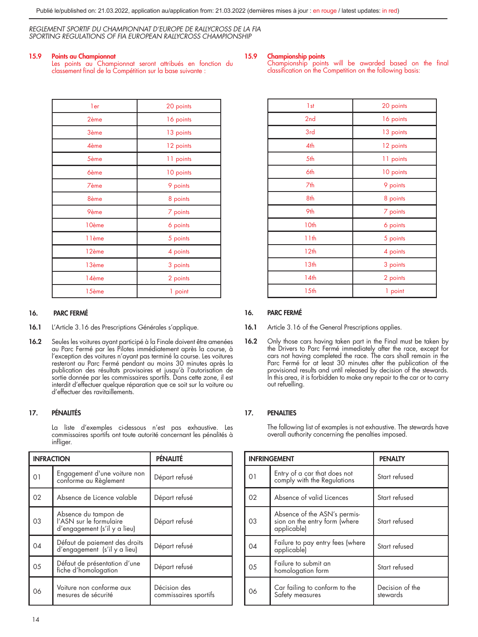#### 15.9 Points au Championnat

Les points au Championnat seront attribués en fonction du classement final de la Compétition sur la base suivante :

#### 15.9 Championship points

Championship points will be awarded based on the final classification on the Competition on the following basis:

| ler         | 20 points |
|-------------|-----------|
| 2ème        | 16 points |
| 3ème        | 13 points |
| 4ème        | 12 points |
| 5ème        | 11 points |
| <b>6ème</b> | 10 points |
| 7ème        | 9 points  |
| 8ème        | 8 points  |
| 9ème        | 7 points  |
| 10ème       | 6 points  |
| 11ème       | 5 points  |
| 12ème       | 4 points  |
| 13ème       | 3 points  |
| 14ème       | 2 points  |
| 15ème       | 1 point   |

### 16. PARC FERMÉ

- 16.1 L'Article 3.16 des Prescriptions Générales s'applique.
- 16.2 Seules les voitures ayant participé à la Finale doivent être amenées au Parc Fermé par les Pilotes immédiatement après la course, à l'exception des voitures n'ayant pas terminé la course. Les voitures resteront au Parc Fermé pendant au moins 30 minutes après la publication des résultats provisoires et jusqu'à l'autorisation de sortie donnée par les commissaires sportifs. Dans cette zone, il est interdit d'effectuer quelque réparation que ce soit sur la voiture ou d'effectuer des ravitaillements.

### 17. PÉNALITÉS

La liste d'exemples ci-dessous n'est pas exhaustive. Les commissaires sportifs ont toute autorité concernant les pénalités à infliger.

| <b>INFRACTION</b> |                                                                                 | PÉNALITÉ                              |
|-------------------|---------------------------------------------------------------------------------|---------------------------------------|
| $\overline{0}$    | Engagement d'une voiture non<br>conforme au Règlement                           | Départ refusé                         |
| 02                | Absence de Licence valable                                                      | Départ refusé                         |
| 03                | Absence du tampon de<br>l'ASN sur le formulaire<br>d'engagement (s'il y a lieu) | Départ refusé                         |
| 04                | Défaut de paiement des droits<br>d'engagement (s'il y a lieu)                   | Départ refusé                         |
| 0 <sub>5</sub>    | Défaut de présentation d'une<br>fiche d'homologation                            | Départ refusé                         |
| 06                | Voiture non conforme aux<br>mesures de sécurité                                 | Décision des<br>commissaires sportifs |

| 1 <sub>st</sub>  | 20 points |
|------------------|-----------|
| 2nd              | 16 points |
| 3rd              | 13 points |
| 4th              | 12 points |
| 5th              | 11 points |
| 6th              | 10 points |
| 7th              | 9 points  |
| 8th              | 8 points  |
| 9th              | 7 points  |
| 10th             | 6 points  |
| 11 <sub>th</sub> | 5 points  |
| 12 <sub>th</sub> | 4 points  |
| 13 <sub>th</sub> | 3 points  |
| 14 <sub>th</sub> | 2 points  |
| 15 <sub>th</sub> | 1 point   |

#### 16. PARC FERMÉ

- 16.1 Article 3.16 of the General Prescriptions applies.
- 16.2 Only those cars having taken part in the Final must be taken by the Drivers to Parc Fermé immediately after the race, except for cars not having completed the race. The cars shall remain in the Parc Fermé for at least 30 minutes after the publication of the provisional results and until released by decision of the stewards. In this area, it is forbidden to make any repair to the car or to carry out refuelling.

#### 17. PENALTIES

The following list of examples is not exhaustive. The stewards have overall authority concerning the penalties imposed.

|     | <b>INFRINGEMENT</b>                                                          | <b>PENALTY</b>              |
|-----|------------------------------------------------------------------------------|-----------------------------|
| 01  | Entry of a car that does not<br>comply with the Regulations                  | Start refused               |
| 02  | Absence of valid Licences                                                    | Start refused               |
| 03  | Absence of the ASN's permis-<br>sion on the entry form (where<br>applicable) | Start refused               |
| 04  | Failure to pay entry fees (where<br>applicable)                              | Start refused               |
| 0.5 | Failure to submit an<br>homologation form                                    | Start refused               |
| 06  | Car failing to conform to the<br>Safety measures                             | Decision of the<br>stewards |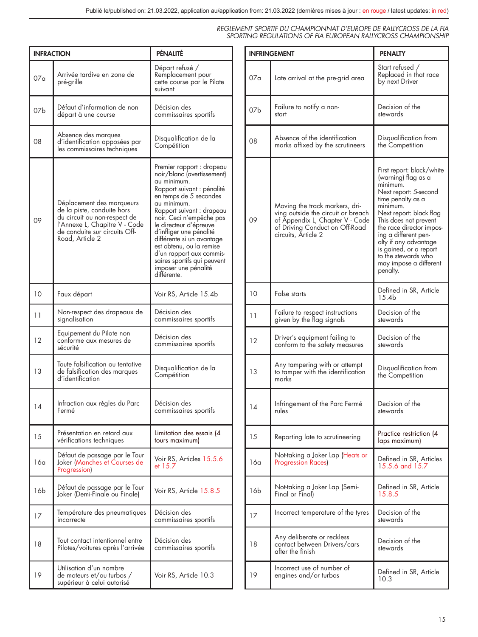| <b>INFRACTION</b> |                                                                                                                                                                              | PÉNALITÉ                                                                                                                                                                                                                                                                                                                                                                                                               |
|-------------------|------------------------------------------------------------------------------------------------------------------------------------------------------------------------------|------------------------------------------------------------------------------------------------------------------------------------------------------------------------------------------------------------------------------------------------------------------------------------------------------------------------------------------------------------------------------------------------------------------------|
| 07a               | Arrivée tardive en zone de<br>pré-grille                                                                                                                                     | Départ refusé /<br>Remplacement pour<br>cette course par le Pilote<br>suivant                                                                                                                                                                                                                                                                                                                                          |
| 07 <sub>b</sub>   | Défaut d'information de non<br>départ à une course                                                                                                                           | Décision des<br>commissaires sportits                                                                                                                                                                                                                                                                                                                                                                                  |
| 08                | Absence des marques<br>d'identification apposées par<br>les commissaires techniques                                                                                          | Disqualification de la<br>Compétition                                                                                                                                                                                                                                                                                                                                                                                  |
| 09                | Déplacement des marqueurs<br>de la piste, conduite hors<br>du circuit ou non-respect de<br>l'Annexe L, Chapitre V - Code<br>de conduite sur circuits Off-<br>Road, Article 2 | Premier rapport : drapeau<br>noir/blanc (avertissement)<br>au minimum.<br>Rapport suivant : pénalité<br>en temps de 5 secondes<br>au minimum.<br>Rapport suivant : drapeau<br>noir. Ceci n'empêche pas<br>le directeur d'épreuve<br>d'infliger une pénalité<br>dittérente si un avantage<br>est obtenu, ou la remise<br>d'un rapport aux commis-<br>saires sportits qui peuvent<br>imposer une pénalité<br>différente. |
| 10                | Faux départ                                                                                                                                                                  | Voir RS, Article 15.4b                                                                                                                                                                                                                                                                                                                                                                                                 |
| 11                | Non-respect des drapeaux de<br>signalisation                                                                                                                                 | Décision des<br>commissaires sportifs                                                                                                                                                                                                                                                                                                                                                                                  |
| 12                | Equipement du Pilote non<br>conforme aux mesures de<br>sécurité                                                                                                              | Décision des<br>commissaires sportits                                                                                                                                                                                                                                                                                                                                                                                  |
| 13                | Toute falsification ou tentative<br>de falsification des marques<br>d'identification                                                                                         | Disqualification de la<br>Compétition                                                                                                                                                                                                                                                                                                                                                                                  |
| 14                | Intraction aux règles du Parc<br>Fermé                                                                                                                                       | Décision des<br>commissaires sportits                                                                                                                                                                                                                                                                                                                                                                                  |
| 15                | Présentation en retard aux<br>vérifications techniques                                                                                                                       | Limitation des essais (4<br>tours maximum)                                                                                                                                                                                                                                                                                                                                                                             |
| 16a               | Détaut de passage par le Tour<br>Joker (Manches et Courses de<br>Progression)                                                                                                | Voir RS, Articles 15.5.6<br>et 15.7                                                                                                                                                                                                                                                                                                                                                                                    |
| 16b               | Détaut de passage par le Tour<br>Joker (Demi-Finale ou Finale)                                                                                                               | Voir RS, Article 15.8.5                                                                                                                                                                                                                                                                                                                                                                                                |
| 17                | Température des pneumatiques<br>incorrecte                                                                                                                                   | Décision des<br>commissaires sportifs                                                                                                                                                                                                                                                                                                                                                                                  |
| 18                | Tout contact intentionnel entre<br>Pilotes/voitures après l'arrivée                                                                                                          | Décision des<br>commissaires sportifs                                                                                                                                                                                                                                                                                                                                                                                  |
| 19                | Utilisation d'un nombre<br>de moteurs et/ou turbos /<br>supérieur à celui autorisé                                                                                           | Voir RS, Article 10.3                                                                                                                                                                                                                                                                                                                                                                                                  |

|     | <b>INFRINGEMENT</b>                                                                                                                                              | <b>PENALTY</b>                                                                                                                                                                                                                                                                                                                                 |  |  |
|-----|------------------------------------------------------------------------------------------------------------------------------------------------------------------|------------------------------------------------------------------------------------------------------------------------------------------------------------------------------------------------------------------------------------------------------------------------------------------------------------------------------------------------|--|--|
| 07a | Late arrival at the pre-grid area                                                                                                                                | Start refused /<br>Replaced in that race<br>by next Driver                                                                                                                                                                                                                                                                                     |  |  |
| 07b | Failure to notify a non-<br>start                                                                                                                                | Decision of the<br>stewards                                                                                                                                                                                                                                                                                                                    |  |  |
| 08  | Absence of the identification<br>marks affixed by the scrutineers                                                                                                | Disqualification from<br>the Competition                                                                                                                                                                                                                                                                                                       |  |  |
| 09  | Moving the track markers, dri-<br>ving outside the circuit or breach<br>of Appendix L, Chapter V - Code<br>of Driving Conduct on Off-Road<br>circuits, Article 2 | First report: black/white<br>(warning) tlag as a<br>minimum.<br>Next report: 5-second<br>time penalty as a<br>minimum.<br>Next report: black tlag<br>This does not prevent<br>the race director impos-<br>ing a different pen-<br>ally if any advantage<br>is gained, or a report<br>to the stewards who<br>may impose a different<br>penalty. |  |  |
| 10  | False starts                                                                                                                                                     | Defined in SR, Article<br>15.4 <sub>b</sub>                                                                                                                                                                                                                                                                                                    |  |  |
| 11  | Failure to respect instructions<br>given by the flag signals                                                                                                     | Decision of the<br>stewards                                                                                                                                                                                                                                                                                                                    |  |  |
| 12  | Driver's equipment failing to<br>conform to the safety measures                                                                                                  | Decision of the<br>stewards                                                                                                                                                                                                                                                                                                                    |  |  |
| 13  | Any tampering with or attempt<br>to tamper with the identification<br>marks                                                                                      | Disqualification from<br>the Competition                                                                                                                                                                                                                                                                                                       |  |  |
| 14  | Infringement of the Parc Fermé<br>rules                                                                                                                          | Decision of the<br>stewards                                                                                                                                                                                                                                                                                                                    |  |  |
| 15  | Reporting late to scrutineering                                                                                                                                  | Practice restriction (4<br>laps maximum)                                                                                                                                                                                                                                                                                                       |  |  |
| 16a | Not-taking a Joker Lap (Heats or<br><b>Progression Races</b> )                                                                                                   | Defined in SR, Articles<br>15.5.6 and 15.7                                                                                                                                                                                                                                                                                                     |  |  |
| 16b | Not-taking a Joker Lap (Semi-<br>Final or Final)                                                                                                                 | Defined in SR, Article<br>15.8.5                                                                                                                                                                                                                                                                                                               |  |  |
| 17  | Incorrect temperature of the tyres                                                                                                                               | Decision of the<br>stewards                                                                                                                                                                                                                                                                                                                    |  |  |
| 18  | Any deliberate or reckless<br>contact between Drivers/cars<br>after the finish                                                                                   | Decision of the<br>stewards                                                                                                                                                                                                                                                                                                                    |  |  |
| 19  | Incorrect use of number of<br>engines and/or turbos                                                                                                              | Defined in SR, Article<br>10.3                                                                                                                                                                                                                                                                                                                 |  |  |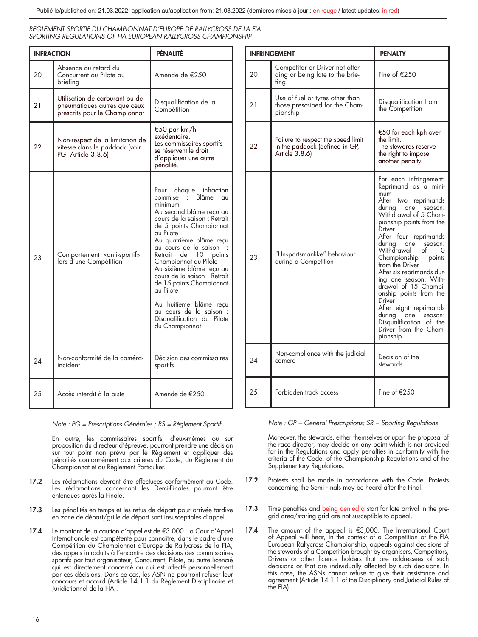| <b>INFRACTION</b> |                                                                                                 | PÉNALITÉ                                                                                                                                                                                                                                                                                                                                                                                                                                                                          |
|-------------------|-------------------------------------------------------------------------------------------------|-----------------------------------------------------------------------------------------------------------------------------------------------------------------------------------------------------------------------------------------------------------------------------------------------------------------------------------------------------------------------------------------------------------------------------------------------------------------------------------|
| 20                | Absence ou retard du<br>Concurrent ou Pilote au<br>briefing                                     | Amende de €250                                                                                                                                                                                                                                                                                                                                                                                                                                                                    |
| 21                | Utilisation de carburant ou de<br>pneumatiques autres que ceux<br>prescrits pour le Championnat | Disqualification de la<br>Compétition                                                                                                                                                                                                                                                                                                                                                                                                                                             |
| 22                | Non-respect de la limitation de<br>vitesse dans le paddock (voir<br>PG, Article 3.8.6)          | €50 par km/h<br>exédentaire.<br>Les commissaires sportifs<br>se réservent le droit<br>d'appliquer une autre<br>pénalité.                                                                                                                                                                                                                                                                                                                                                          |
| 23                | Comportement «anti-sportif»<br>lors d'une Compétition                                           | chaque infraction<br>Pour<br>commise : Blâme au<br>minimum<br>Au second blâme recu au<br>cours de la saison : Retrait<br>de 5 points Championnat<br>au Pilote<br>Au quatrième blâme recu<br>au cours de la saison :<br>Retrait de 10<br>points<br>Championnat au Pilote<br>Au sixième blâme recu au<br>cours de la saison : Retrait<br>de 15 points Championnat<br>au Pilote<br>Au huitième blâme recu<br>au cours de la saison :<br>Disqualification du Pilote<br>du Championnat |
| 24                | Non-conformité de la caméra-<br>incident                                                        | Décision des commissaires<br>sportifs                                                                                                                                                                                                                                                                                                                                                                                                                                             |
| 25                | Accès interdit à la piste                                                                       | Amende de €250                                                                                                                                                                                                                                                                                                                                                                                                                                                                    |

*Note : PG = Prescriptions Générales ; RS = Règlement Sportif*

En outre, les commissaires sportifs, d'eux-mêmes ou sur proposition du directeur d'épreuve, pourront prendre une décision sur tout point non prévu par le Règlement et appliquer des pénalités conformément aux critères du Code, du Règlement du Championnat et du Règlement Particulier.

- 17.2 Les réclamations devront être effectuées conformément au Code. Les réclamations concernant les Demi-Finales pourront être entendues après la Finale.
- 17.3 Les pénalités en temps et les refus de départ pour arrivée tardive en zone de départ/grille de départ sont insusceptibles d'appel.
- 17.4 Le montant de la caution d'appel est de €3 000. La Cour d'Appel Internationale est compétente pour connaître, dans le cadre d'une Compétition du Championnat d'Europe de Rallycross de la FIA, des appels introduits à l'encontre des décisions des commissaires sportifs par tout organisateur, Concurrent, Pilote, ou autre licencié qui est directement concerné ou qui est affecté personnellement par ces décisions. Dans ce cas, les ASN ne pourront refuser leur concours et accord (Article 14.1.1 du Règlement Disciplinaire et Juridictionnel de la FIA).

|    | <b>INFRINGEMENT</b>                                                                    | <b>PENALTY</b>                                                                                                                                                                                                                                                                                                                                                                                                                                                                                                                   |
|----|----------------------------------------------------------------------------------------|----------------------------------------------------------------------------------------------------------------------------------------------------------------------------------------------------------------------------------------------------------------------------------------------------------------------------------------------------------------------------------------------------------------------------------------------------------------------------------------------------------------------------------|
| 20 | Competitor or Driver not atten-<br>ding or being late to the brie-<br>ting             | Fine of €250                                                                                                                                                                                                                                                                                                                                                                                                                                                                                                                     |
| 21 | Use of fuel or tyres other than<br>those prescribed for the Cham-<br>pionship          | Disqualification from<br>the Competition                                                                                                                                                                                                                                                                                                                                                                                                                                                                                         |
| 22 | Failure to respect the speed limit<br>in the paddock (defined in GP,<br>Article 3.8.6) | €50 for each kph over<br>the limit.<br>The stewards reserve<br>the right to impose<br>another penalty.                                                                                                                                                                                                                                                                                                                                                                                                                           |
| 23 | "Unsportsmanlike" behaviour<br>during a Competition                                    | For each infringement:<br>Reprimand as a mini-<br>mum<br>After two reprimands<br>during<br>one season:<br>Withdrawal of 5 Cham-<br>pionship points from the<br>Driver<br>After four reprimands<br>during one season:<br>Withdrawal<br>of<br>10<br>Championship<br>points<br>from the Driver<br>After six reprimands dur-<br>ing one season: With-<br>drawal of 15 Champi-<br>onship points from the<br>Driver<br>After eight reprimands<br>during<br>one season:<br>Disqualification of the<br>Driver from the Cham-<br>pionship |
| 24 | Non-compliance with the judicial<br>camera                                             | Decision of the<br>stewards                                                                                                                                                                                                                                                                                                                                                                                                                                                                                                      |
| 25 | Forbidden track access                                                                 | Fine of €250                                                                                                                                                                                                                                                                                                                                                                                                                                                                                                                     |

*Note : GP = General Prescriptions; SR = Sporting Regulations*

Moreover, the stewards, either themselves or upon the proposal of the race director, may decide on any point which is not provided for in the Regulations and apply penalties in conformity with the criteria of the Code, of the Championship Regulations and of the Supplementary Regulations.

- 17.2 Protests shall be made in accordance with the Code. Protests concerning the Semi-Finals may be heard after the Final.
- 17.3 Time penalties and being denied a start for late arrival in the pregrid area/staring grid are not susceptible to appeal.
- 17.4 The amount of the appeal is €3,000. The International Court of Appeal will hear, in the context of a Competition of the FIA European Rallycross Championship, appeals against decisions of the stewards of a Competition brought by organisers, Competitors, Drivers or other licence holders that are addressees of such decisions or that are individually affected by such decisions. In this case, the ASNs cannot refuse to give their assistance and agreement (Article 14.1.1 of the Disciplinary and Judicial Rules of the FIA).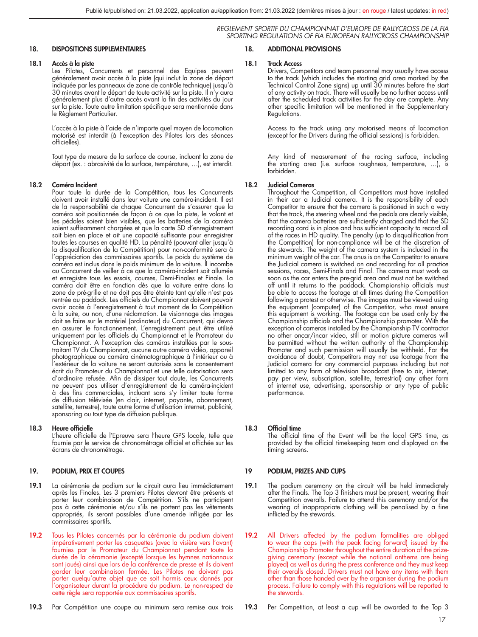#### 18. DISPOSITIONS SUPPLEMENTAIRES

#### 18.1 Accès à la piste

Les Pilotes, Concurrents et personnel des Equipes peuvent généralement avoir accès à la piste (qui inclut la zone de départ  $\mathrm{m}$ indiquée par les panneaux de zone de contrôle technique) jusqu'à 30 minutes avant le départ de toute activité sur la piste. Il n'y aura généralement plus d'autre accès avant la fin des activités du jour sur la piste. Toute autre limitation spécifique sera mentionnée dans le Règlement Particulier.

L'accès à la piste à l'aide de n'importe quel moyen de locomotion motorisé est interdit (à l'exception des Pilotes lors des séances officielles).

Tout type de mesure de la surface de course, incluant la zone de départ (ex. : abrasivité de la surface, température, …), est interdit.

#### 18.2 Caméra Incident

Pour toute la durée de la Compétition, tous les Concurrents doivent avoir installé dans leur voiture une caméra-incident. Il est de la responsabilité de chaque Concurrent de s'assurer que la caméra soit positionnée de façon à ce que la piste, le volant et les pédales soient bien visibles, que les batteries de la caméra soient suffisamment chargées et que la carte SD d'enregistrement soit bien en place et ait une capacité suffisante pour enregistrer toutes les courses en qualité HD. La pénalité (pouvant aller jusqu'à la disqualification de la Compétition) pour non-conformité sera à l'appréciation des commissaires sportifs. Le poids du système de caméra est inclus dans le poids minimum de la voiture. Il incombe au Concurrent de veiller à ce que la caméra-incident soit allumée et enregistre tous les essais, courses, Demi-Finales et Finale. La caméra doit être en fonction dès que la voiture entre dans la zone de pré-grille et ne doit pas être éteinte tant qu'elle n'est pas rentrée au paddock. Les officiels du Championnat doivent pouvoir avoir accès à l'enregistrement à tout moment de la Compétition à la suite, ou non, d'une réclamation. Le visionnage des images doit se faire sur le matériel (ordinateur) du Concurrent, qui devra en assurer le fonctionnement. L'enregistrement peut être utilisé uniquement par les officiels du Championnat et le Promoteur du Championnat. A l'exception des caméras installées par le soustraitant TV du Championnat, aucune autre caméra vidéo, appareil photographique ou caméra cinématographique à l'intérieur ou à l'extérieur de la voiture ne seront autorisés sans le consentement écrit du Promoteur du Championnat et une telle autorisation sera d'ordinaire refusée. Afin de dissiper tout doute, les Concurrents ne peuvent pas utiliser d'enregistrement de la caméra-incident à des fins commerciales, incluant sans s'y limiter toute forme de diffusion télévisée (en clair, internet, payante, abonnement, satellite, terrestre), toute autre forme d'utilisation internet, publicité, sponsoring ou tout type de diffusion publique.

#### 18.3 Heure officielle

L'heure officielle de l'Epreuve sera l'heure GPS locale, telle que fournie par le service de chronométrage officiel et affichée sur les écrans de chronométrage.

#### 19. PODIUM, PRIX ET COUPES

- 19.1 La cérémonie de podium sur le circuit aura lieu immédiatement après les Finales. Les 3 premiers Pilotes devront être présents et porter leur combinaison de Compétition. S'ils ne participent pas à cette cérémonie et/ou s'ils ne portent pas les vêtements appropriés, ils seront passibles d'une amende infligée par les commissaires sportifs.
- 19.2 Tous les Pilotes concernés par la cérémonie du podium doivent impérativement porter les casquettes (avec la visière vers l'avant) fournies par le Promoteur du Championnat pendant toute la durée de la céramonie (excepté lorsque les hymnes nationnaux sont joués) ainsi que lors de la conférence de presse et ils doivent garder leur combinaison fermée. Les Pilotes ne doivent pas porter quelqu'autre objet que ce soit hormis ceux donnés par l'organisateur durant la procédure du podium. Le non-respect de cette règle sera rapportée aux commissaires sportifs.

#### 18. ADDITIONAL PROVISIONS

#### 18.1 Track Access

Drivers, Competitors and team personnel may usually have access to the track (which includes the starting grid area marked by the Technical Control Zone signs) up until 30 minutes before the start of any activity on track. There will usually be no further access until after the scheduled track activities for the day are complete. Any other specific limitation will be mentioned in the Supplementary Regulations.

Access to the track using any motorised means of locomotion (except for the Drivers during the official sessions) is forbidden.

Any kind of measurement of the racing surface, including the starting area (i.e. surface roughness, temperature, ...), is forbidden.

#### 18.2 Judicial Cameras

Throughout the Competition, all Competitors must have installed in their car a Judicial camera. It is the responsibility of each Competitor to ensure that the camera is positioned in such a way that the track, the steering wheel and the pedals are clearly visible, that the camera batteries are sufficiently charged and that the SD recording card is in place and has sufficient capacity to record all of the races in HD quality. The penalty (up to disqualification from the Competition) for non-compliance will be at the discretion of the stewards. The weight of the camera system is included in the minimum weight of the car. The onus is on the Competitor to ensure the Judicial camera is switched on and recording for all practice sessions, races, Semi-Finals and Final. The camera must work as soon as the car enters the pre-grid area and must not be switched off until it returns to the paddock. Championship officials must be able to access the footage at all times during the Competition following a protest or otherwise. The images must be viewed using the equipment (computer) of the Competitor, who must ensure this equipment is working. The footage can be used only by the Championship officials and the Championship promoter. With the exception of cameras installed by the Championship TV contractor no other oncar/incar video, still or motion picture cameras will be permitted without the written authority of the Championship Promoter and such permission will usually be withheld. For the avoidance of doubt, Competitors may not use footage from the Judicial camera for any commercial purposes including but not limited to any form of television broadcast (free to air, internet, pay per view, subscription, satellite, terrestrial) any other form of internet use, advertising, sponsorship or any type of public performance.

#### 18.3 Official time

The official time of the Event will be the local GPS time, as provided by the official timekeeping team and displayed on the timing screens.

#### 19 PODIUM, PRIZES AND CUPS

- 19.1 The podium ceremony on the circuit will be held immediately after the Finals. The Top 3 finishers must be present, wearing their Competition overalls. Failure to attend this ceremony and/or the wearing of inappropriate clothing will be penalised by a fine inflicted by the stewards.
- 19.2 All Drivers affected by the podium formalities are obliged to wear the caps (with the peak facing forward) issued by the Championship Promoter throughout the entire duration of the prizegiving ceremony (except while the national anthems are being played) as well as during the press conference and they must keep their overalls closed. Drivers must not have any items with them other than those handed over by the organiser during the podium process. Failure to comply with this regulations will be reported to the stewards.
- 19.3 Per Competition, at least a cup will be awarded to the Top 3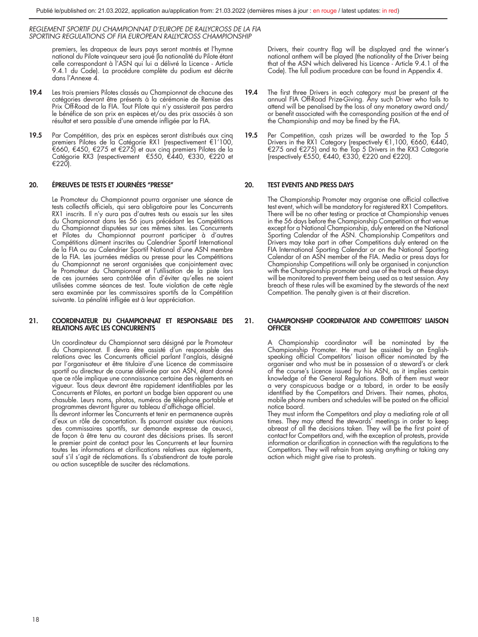premiers, les drapeaux de leurs pays seront montrés et l'hymne national du Pilote vainqueur sera joué (la nationalité du Pilote étant celle correspondant à l'ASN qui lui a délivré la Licence - Article 9.4.1 du Code). La procédure complète du podium est décrite dans l'Annexe 4.

- 19.4 Les trois premiers Pilotes classés au Championnat de chacune des catégories devront être présents à la cérémonie de Remise des Prix Off-Road de la FIA. Tout Pilote qui n'y assisterait pas perdra le bénéfice de son prix en espèces et/ou des prix associés à son résultat et sera passible d'une amende infligée par la FIA.
- 19.5 Par Compétition, des prix en espèces seront distribués aux cinq premiers Pilotes de la Catégorie RX1 (respectivement €1′100,<br>€660, €450, €275 et €275) et aux cinq premiers Pilotes de la Catégorie RX3 (respectivement €550, €440, €330, €220 et €220).

#### 20. ÉPREUVES DE TESTS ET JOURNÉES ''PRESSE''

Le Promoteur du Championnat pourra organiser une séance de tests collectifs officiels, qui sera obligatoire pour les Concurrents RX1 inscrits. Il n'y aura pas d'autres tests ou essais sur les sites du Championnat dans les 56 jours précédant les Compétitions du Championnat disputées sur ces mêmes sites. Les Concurrents et Pilotes du Championnat pourront participer à d'autres Compétitions dûment inscrites au Calendrier Sportif International de la FIA ou au Calendrier Sportif National d'une ASN membre de la FIA. Les journées médias ou presse pour les Compétitions du Championnat ne seront organisées que conjointement avec le Promoteur du Championnat et l'utilisation de la piste lors de ces journées sera contrôlée afin d'éviter qu'elles ne soient utilisées comme séances de test. Toute violation de cette règle sera examinée par les commissaires sportifs de la Compétition suivante. La pénalité infligée est à leur appréciation.

#### 21. COORDINATEUR DU CHAMPIONNAT ET RESPONSABLE DES RELATIONS AVEC LES CONCURRENTS

Un coordinateur du Championnat sera désigné par le Promoteur du Championnat. Il devra être assisté d'un responsable des relations avec les Concurrents officiel parlant l'anglais, désigné par l'organisateur et être titulaire d'une Licence de commissaire sportif ou directeur de course délivrée par son ASN, étant donné que ce rôle implique une connaissance certaine des règlements en vigueur. Tous deux devront être rapidement identifiables par les Concurrents et Pilotes, en portant un badge bien apparent ou une chasuble. Leurs noms, photos, numéros de téléphone portable et programmes devront figurer au tableau d'affichage officiel.

Ils devront informer les Concurrents et tenir en permanence auprès d'eux un rôle de concertation. Ils pourront assister aux réunions des commissaires sportifs, sur demande expresse de ceux-ci, de façon à être tenu au courant des décisions prises. Ils seront le premier point de contact pour les Concurrents et leur fournira toutes les informations et clarifications relatives aux règlements, sauf s'il s'agit de réclamations. Ils s'abstiendront de toute parole ou action susceptible de susciter des réclamations.

Drivers, their country flag will be displayed and the winner's national anthem will be played (the nationality of the Driver being that of the ASN which delivered his Licence - Article 9.4.1 of the Code). The full podium procedure can be found in Appendix 4.

- 19.4 The first three Drivers in each category must be present at the annual FIA Off-Road Prize-Giving. Any such Driver who fails to attend will be penalised by the loss of any monetary award and/ or benefit associated with the corresponding position at the end of the Championship and may be fined by the FIA.
- 19.5 Per Competition, cash prizes will be awarded to the Top 5 Drivers in the RX1 Category (respectively €1,100, €660, €440,<br>€275 and €275) and to the Top 5 Drivers in the RX3 Categorie (respectively €550, €440, €330, €220 and €220).

#### 20. TEST EVENTS AND PRESS DAYS

The Championship Promoter may organise one official collective test event, which will be mandatory for registered RX1 Competitors. There will be no other testing or practice at Championship venues in the 56 days before the Championship Competition at that venue except for a National Championship, duly entered on the National Sporting Calendar of the ASN. Championship Competitors and Drivers may take part in other Competitions duly entered on the FIA International Sporting Calendar or on the National Sporting Calendar of an ASN member of the FIA. Media or press days for Championship Competitions will only be organised in conjunction with the Championship promoter and use of the track at these days will be monitored to prevent them being used as a test session. Any breach of these rules will be examined by the stewards of the next Competition. The penalty given is at their discretion.

#### 21. CHAMPIONSHIP COORDINATOR AND COMPETITORS' LIAISON **OFFICER**

A Championship coordinator will be nominated by the Championship Promoter. He must be assisted by an Englishspeaking official Competitors' liaison officer nominated by the organiser and who must be in possession of a steward's or clerk of the course's Licence issued by his ASN, as it implies certain knowledge of the General Regulations. Both of them must wear a very conspicuous badge or a tabard, in order to be easily identified by the Competitors and Drivers. Their names, photos, mobile phone numbers and schedules will be posted on the official notice board.

They must inform the Competitors and play a mediating role at all times. They may attend the stewards' meetings in order to keep abreast of all the decisions taken. They will be the first point of contact for Competitors and, with the exception of protests, provide information or clarification in connection with the regulations to the Competitors. They will refrain from saying anything or taking any action which might give rise to protests.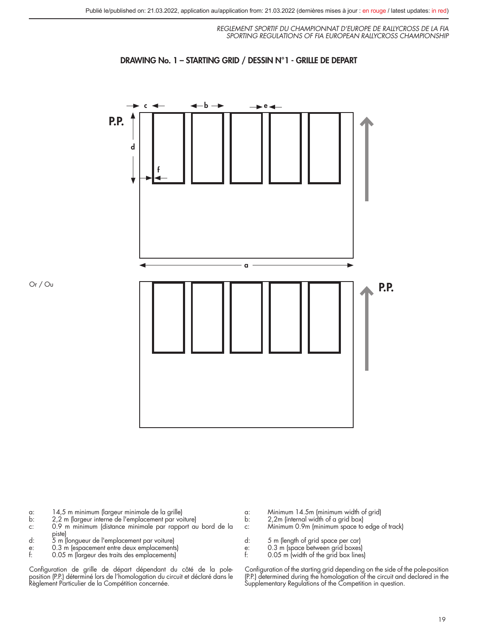



Or / Ou

- 
- a: 14,5 m minimum (largeur minimale de la grille) b: 2,2 m (largeur interne de l'emplacement par voiture)<br>c: 0.9 m minimum (distance minimale par rapport au
- 0.9 m minimum (distance minimale par rapport au bord de la
- piste) d: 5 m (longueur de l'emplacement par voiture)
- 
- e: 0.3 m (espacement entre deux emplacements) f: 0.05 m (largeur des traits des emplacements)
- Configuration de grille de départ dépendant du côté de la pole-<br>position (P.P.) déterminé lors de l'homologation du circuit et déclaré dans le<br>Règlement Particulier de la Compétition concernée.
- a: Minimum 14.5m (minimum width of grid) b: 2,2m (internal width of a grid box)
- 
- c: Minimum 0.9m (minimum space to edge of track)
- 
- d: 5 m (length of grid space per car)<br>e: 0.3 m (space between grid boxes<br>f: 0.05 m (width of the arid box line
- e: 0.3 m (space between grid boxes) f: 0.05 m (width of the grid box lines)

Configuration of the starting grid depending on the side of the pole-position (P.P.) determined during the homologation of the circuit and declared in the Supplementary Regulations of the Competition in question.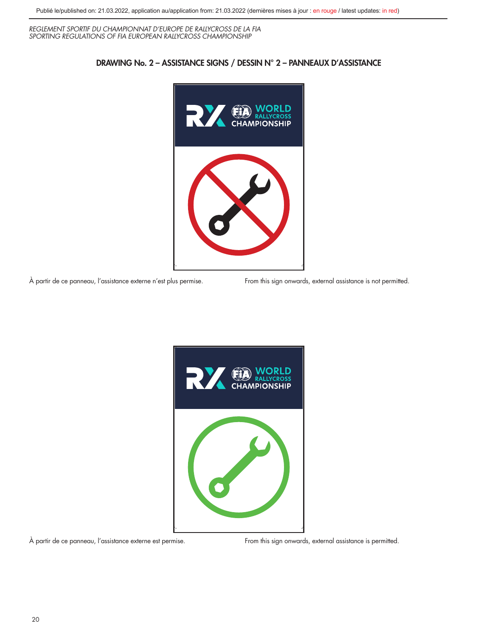

DRAWING No. 2 – ASSISTANCE SIGNS / DESSIN N° 2 – PANNEAUX D'ASSISTANCE

À partir de ce panneau, l'assistance externe n'est plus permise. From this sign onwards, external assistance is not permitted.



À partir de ce panneau, l'assistance externe est permise. From this sign onwards, external assistance is permitted.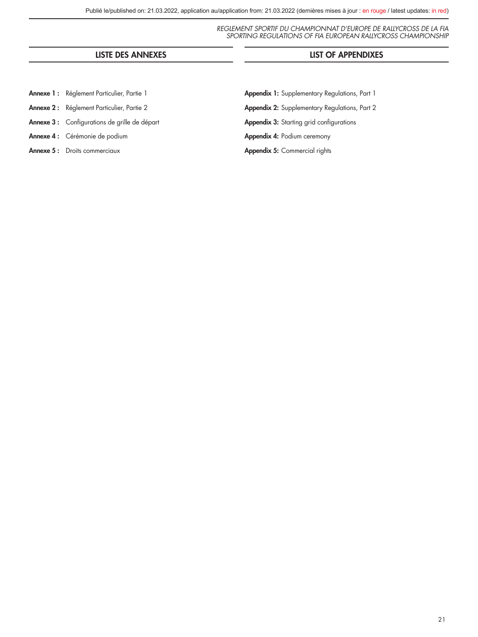### LISTE DES ANNEXES LIST OF APPENDIXES

- Annexe 1: Réglement Particulier, Partie 1
- Annexe 2: Réglement Particulier, Partie 2
- Annexe 3 : Configurations de grille de départ
- Annexe 4 : Cérémonie de podium
- Annexe 5: Droits commerciaux

Appendix 1: Supplementary Regulations, Part 1 Appendix 2: Supplementary Regulations, Part 2 Appendix 3: Starting grid configurations Appendix 4: Podium ceremony Appendix 5: Commercial rights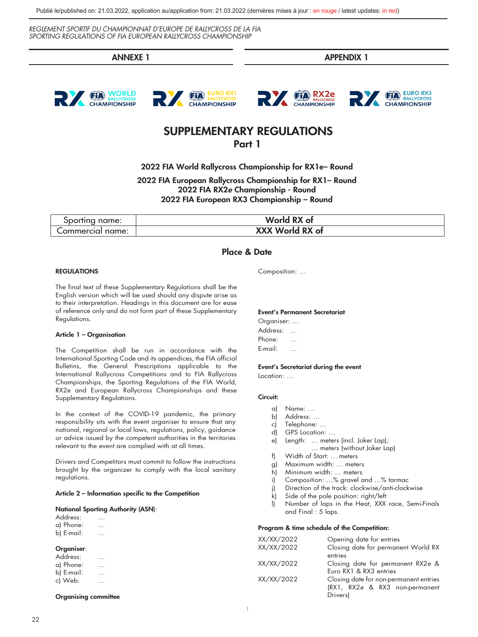ANNEXE 1 APPENDIX 1







### SUPPLEMENTARY REGULATIONS Part 1

2022 FIA World Rallycross Championship for RX1e– Round

2022 FIA European Rallycross Championship for RX1– Round 2022 FIA RX2*e* Championship - Round 2022 FIA European RX3 Championship – Round

| Sporting name:   | World RX of     |
|------------------|-----------------|
| Commercial name: | XXX World RX of |

### Place & Date

#### REGULATIONS

The final text of these Supplementary Regulations shall be the English version which will be used should any dispute arise as to their interpretation. Headings in this document are for ease of reference only and do not form part of these Supplementary Regulations.

#### Article 1 – Organisation

The Competition shall be run in accordance with the International Sporting Code and its appendices, the FIA official Bulletins, the General Prescriptions applicable to the International Rallycross Competitions and to FIA Rallycross Championships, the Sporting Regulations of the FIA World, RX2e and European Rallycross Championships and these Supplementary Regulations.

In the context of the COVID-19 pandemic, the primary responsibility sits with the event organiser to ensure that any national, regional or local laws, regulations, policy, guidance or advice issued by the competent authorities in the territories relevant to the event are complied with at all times.

Drivers and Competitors must commit to follow the instructions brought by the organizer to comply with the local sanitary regulations.

#### Article 2 – Information specific to the Competition

#### National Sporting Authority (ASN):

| Address:   |   |  |
|------------|---|--|
| a) Phone:  | . |  |
| b) E-mail: |   |  |
|            |   |  |

#### Organiser:

| Address:   | .        |  |
|------------|----------|--|
| a) Phone:  | .        |  |
| b) E-mail: | $\cdots$ |  |
| c) Web:    |          |  |

Organising committee

Composition: …

#### Event's Permanent Secretariat

Organiser: … Address: … Phone: … E-mail: …

#### Event's Secretariat during the event

Location: …

#### Circuit:

- a) Name: …
- b) Address: …
- c) Telephone: …
- d) GPS Location: …
- e) Length: … meters (incl. Joker Lap); … meters (without Joker Lap)
- f) Width of Start: … meters
- g) Maximum width: … meters
- h) Minimum width: … meters
- 
- i) Composition: …% gravel and …% tarmac j) Direction of the track: clockwise/anti-clockwise
- 
- k) Side of the pole position: right/left
- l) Number of laps in the Heat, XXX race, Semi-Finals and Final : 5 laps.

#### Program & time schedule of the Competition:

| XX/XX/2022 | Opening date for entries               |
|------------|----------------------------------------|
| XX/XX/2022 | Closing date for permanent World RX    |
|            | entries                                |
| XX/XX/2022 | Closing date for permanent RX2e &      |
|            | Euro RX1 & RX3 entries                 |
| XX/XX/2022 | Closing date for non-permanent entries |
|            | (RX1, RX2e & RX3 non-permanent         |
|            | Drivers)                               |
|            |                                        |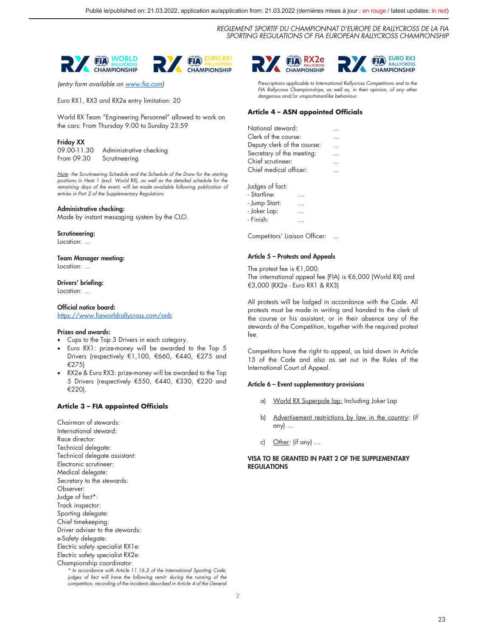

*(entry form available on www.fia.com)*

Euro RX1, RX3 and RX2e entry limitation: 20

World RX Team "Engineering Personnel" allowed to work on the cars: From Thursday 9:00 to Sunday 23:59

#### Friday XX

09.00-11.30 Administrative checking<br>From 09.30 Scrutineering Scrutineering

*Note: the Scrutineering Schedule and the Schedule of the Draw for the starting*  positions in Heat 1 (excl. World RX), as well as the detailed schedule for the *remaining days of the event, will be made available following publication of entries in Part 2 of the Supplementary Regulations*

#### Administrative checking:

Made by instant messaging system by the CLO.

#### Scrutineering:

Location: …

#### Team Manager meeting:

Location: …

#### Drivers' briefing:

Location: …

Official notice board: https://www.fiaworldrallycross.com/onb

#### Prizes and awards:

- Cups to the Top 3 Drivers in each category.
- Euro RX1: prize-money will be awarded to the Top 5 Drivers (respectively €1,100, €660, €440, €275 and €275)
- RX2*e* & Euro RX3: prize-money will be awarded to the Top 5 Drivers (respectively €550, €440, €330, €220 and €220).

#### **Article 3 – FIA appointed Officials**

Chairman of stewards: International steward: Race director: Technical delegate: Technical delegate assistant: Electronic scrutineer: Medical delegate: Secretary to the stewards: Observer: Judge of fact\*: Track inspector: Sporting delegate: Chief timekeeping: Driver adviser to the stewards: e-Safety delegate: Electric safety specialist RX1e: Electric safety specialist RX2e: Championship coordinator: *\* In accordance with Article 11.16.3 of the International Sporting Code, judges of fact will have the following remit: during the running of the* 

*competition, recording of the incidents described in Article 4 of the General* 



*Prescriptions applicable to International Rallycross Competitions and to the FIA Rallycross Championships, as well as, in their opinion, of any other dangerous and/or unsportsmanlike behaviour.*

#### **Article 4 – ASN appointed Officials**

| National steward:           |          |
|-----------------------------|----------|
| Clerk of the course:        |          |
| Deputy clerk of the course: | $\sim$   |
| Secretary of the meeting:   | $\cdots$ |
| Chief scrutineer:           |          |
| Chief medical officer:      |          |
|                             |          |

Judges of fact:

- Startline: …
- Jump Start: …
- Joker Lap: …
- Finish: …

Competitors' Liaison Officer: …

#### Article 5 – Protests and Appeals

The protest fee is €1,000. The international appeal fee (FIA) is €6,000 (World RX) and €3,000 (RX2e - Euro RX1 & RX3)

All protests will be lodged in accordance with the Code. All protests must be made in writing and handed to the clerk of the course or his assistant, or in their absence any of the stewards of the Competition, together with the required protest fee.

Competitors have the right to appeal, as laid down in Article 15 of the Code and also as set out in the Rules of the International Court of Appeal.

#### Article 6 – Event supplementary provisions

- a) World RX Superpole lap: Including Joker Lap
- b) Advertisement restrictions by law in the country: (if any) …
- c) Other: (if any) …

#### VISA TO BE GRANTED IN PART 2 OF THE SUPPLEMENTARY **REGULATIONS**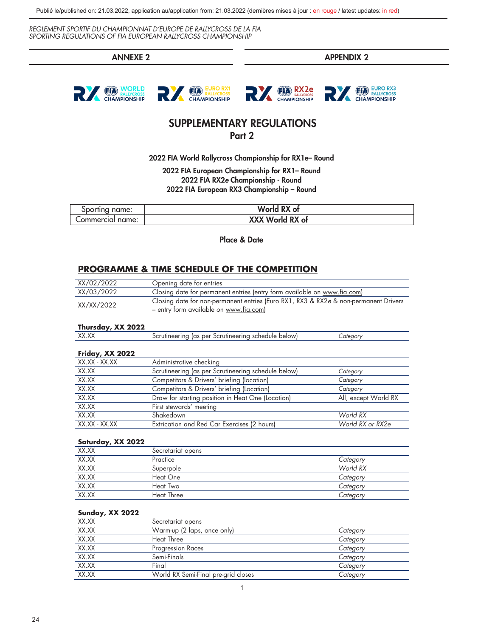Publié le/published on: 21.03.2022, application au/application from: 21.03.2022 (dernières mises à jour : en rouge / latest updates: in red)

*REGLEMENT SPORTIF DU CHAMPIONNAT D'EUROPE DE RALLYCROSS DE LA FIA SPORTING REGULATIONS OF FIA EUROPEAN RALLYCROSS CHAMPIONSHIP* 

ANNEXE 2 APPENDIX 2







### SUPPLEMENTARY REGULATIONS Part 2

2022 FIA World Rallycross Championship for RX1e– Round

2022 FIA European Championship for RX1– Round 2022 FIA RX2*e* Championship - Round 2022 FIA European RX3 Championship – Round

| Sporting name:   | World RX of     |
|------------------|-----------------|
| Commercial name: | XXX World RX of |

Place & Date

### **PROGRAMME & TIME SCHEDULE OF THE COMPETITION**

| XX/02/2022 | Opening date for entries                                                             |
|------------|--------------------------------------------------------------------------------------|
| XX/03/2022 | Closing date for permanent entries (entry form available on www.fia.com)             |
| XX/XX/2022 | Closing date for non-permanent entries (Euro RX1, RX3 & RX2e & non-permanent Drivers |
|            | – entry form available on www.fia.com)                                               |

#### **Thursday, XX 2022**

| <b>VV VV</b><br>88.AA | helow'<br>ner<br>nedule:<br>.SCELITI<br>'neerii<br>ias.<br>эc:<br>rinci<br>$\sim$ |  |
|-----------------------|-----------------------------------------------------------------------------------|--|
|                       |                                                                                   |  |

### **Friday, XX 2022**

| XX.XX - XX.XX | Administrative checking                             |                      |
|---------------|-----------------------------------------------------|----------------------|
| XX.XX         | Scrutineering (as per Scrutineering schedule below) | Category             |
| XX.XX         | Competitors & Drivers' briefing (location)          | Category             |
| XX.XX         | Competitors & Drivers' briefing (Location)          | Category             |
| XX.XX         | Draw for starting position in Heat One (Location)   | All, except World RX |
| XX.XX         | First stewards' meeting                             |                      |
| XX.XX         | Shakedown                                           | World RX             |
| XX.XX - XX.XX | Extrication and Red Car Exercises (2 hours)         | World RX or RX2e     |

#### **Saturday, XX 2022**

| XX.XX | Secretariat opens |          |
|-------|-------------------|----------|
| XX.XX | Practice          | Category |
| XX.XX | Superpole         | World RX |
| XX.XX | Heat One          | Category |
| XX.XX | Heat Two          | Category |
| XX.XX | <b>Heat Three</b> | Category |

### **Sunday, XX 2022**

| XX.XX | Secretariat opens                   |          |
|-------|-------------------------------------|----------|
| XX.XX | Warm-up (2 laps, once only)         | Category |
| XX.XX | Heat Three                          | Category |
| XX.XX | Progression Races                   | Category |
| XX.XX | Semi-Finals                         | Category |
| XX.XX | Final                               | Category |
| XX.XX | World RX Semi-Final pre-grid closes | Category |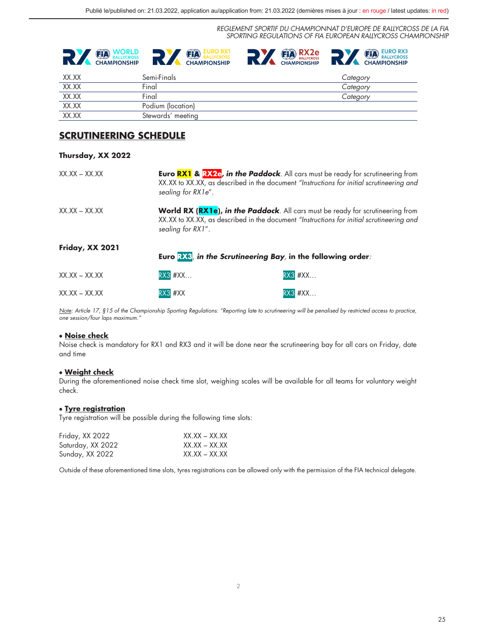





| XX.XX | Semi-Finals       | Category |
|-------|-------------------|----------|
| XX.XX | Final             | Category |
| XX.XX | Final             | Category |
| XX.XX | Podium (location) |          |
| XX.XX | Stewards' meeting |          |

### **SCRUTINEERING SCHEDULE**

#### **Thursday, XX 2022**

| $XX.XX - XX.XX$     | sealing for RX1e". | <b>Euro RX1 &amp; RX2e, in the Paddock</b> . All cars must be ready for scrutineering from<br>XX.XX to XX.XX, as described in the document "Instructions for initial scrutineering and |
|---------------------|--------------------|----------------------------------------------------------------------------------------------------------------------------------------------------------------------------------------|
| $XX$ XX $-$ XX $XX$ | sealing for RX1".  | <b>World RX (RX1e), in the Paddock</b> . All cars must be ready for scrutineering from<br>XX.XX to XX.XX, as described in the document "Instructions for initial scrutineering and     |
| Friday, XX 2021     |                    | Euro $\mathbb{R}$ in the Scrutineering Bay, in the following order:                                                                                                                    |
| $XX$ XX $-$ XX XX   | <b>RX3 #XX</b>     | <b>RX3 #XX</b>                                                                                                                                                                         |
| $XX$ XX $-$ XX $XX$ | $RX3$ # $XX$       | $RX3$ # $XX$                                                                                                                                                                           |

*Note: Article 17, §15 of the Championship Sporting Regulations: "Reporting late to scrutineering will be penalised by restricted access to practice, one session/four laps maximum."*

#### • **Noise check**

Noise check is mandatory for RX1 and RX3 and it will be done near the scrutineering bay for all cars on Friday, date and time

#### • **Weight check**

During the aforementioned noise check time slot, weighing scales will be available for all teams for voluntary weight check.

#### • **Tyre registration**

Tyre registration will be possible during the following time slots:

| Friday, XX 2022   | $XX$ XX $-$ XX XX |
|-------------------|-------------------|
| Saturday, XX 2022 | $XX.XX - XX.XX$   |
| Sunday, XX 2022   | $XX.XX - XX.XX$   |

Outside of these aforementioned time slots, tyres registrations can be allowed only with the permission of the FIA technical delegate.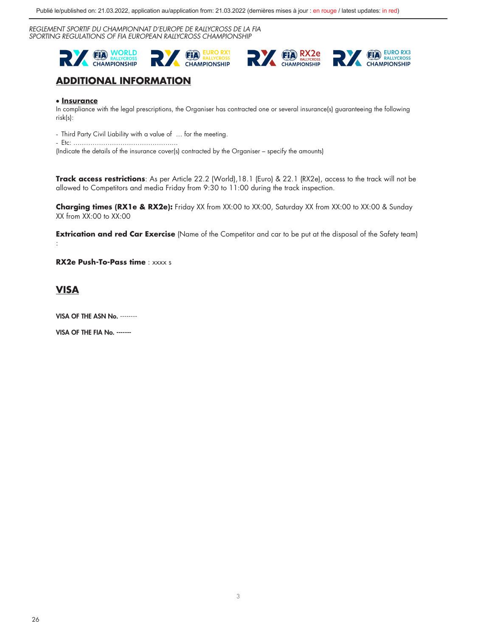Publié le/published on: 21.03.2022, application au/application from: 21.03.2022 (dernières mises à jour : en rouge / latest updates: in red)

*REGLEMENT SPORTIF DU CHAMPIONNAT D'EUROPE DE RALLYCROSS DE LA FIA SPORTING REGULATIONS OF FIA EUROPEAN RALLYCROSS CHAMPIONSHIP* 



## **ADDITIONAL INFORMATION**

### • **Insurance**

In compliance with the legal prescriptions, the Organiser has contracted one or several insurance(s) guaranteeing the following risk(s):

- Third Party Civil Liability with a value of … for the meeting.

- Etc: .………………………………………...

(Indicate the details of the insurance cover(s) contracted by the Organiser – specify the amounts)

**Track access restrictions**: As per Article 22.2 (World),18.1 (Euro) & 22.1 (RX2e), access to the track will not be allowed to Competitors and media Friday from 9:30 to 11:00 during the track inspection.

**Charging times (RX1e & RX2e):** Friday XX from XX:00 to XX:00, Saturday XX from XX:00 to XX:00 & Sunday XX from XX:00 to XX:00

**Extrication and red Car Exercise** (Name of the Competitor and car to be put at the disposal of the Safety team) :

**RX2e Push-To-Pass time** : xxxx s

### **VISA**

VISA OF THE ASN No. --------

VISA OF THE FIA No. -------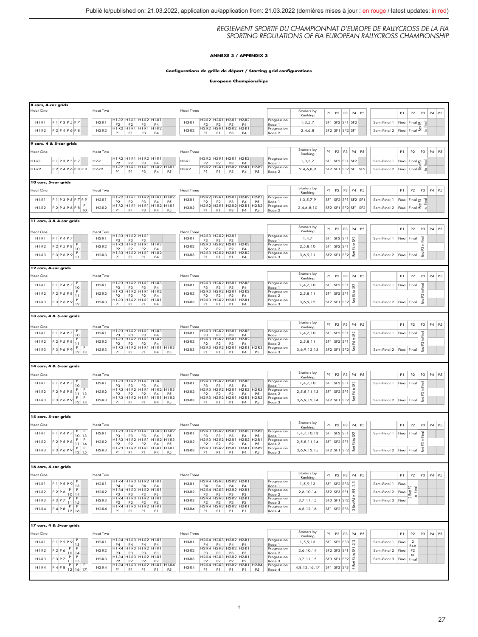#### **ANNEXE 3 / APPENDIX 3**

#### **Configurations de grille de départ / Starting grid configurations**

**European Championships**

| 8 cars, 4-car grids                                                                                                            |                                                                                                                                                                                                                                    |                                                                                                                                           |                                                     |                                                                                        |                                                                                                                                                            |
|--------------------------------------------------------------------------------------------------------------------------------|------------------------------------------------------------------------------------------------------------------------------------------------------------------------------------------------------------------------------------|-------------------------------------------------------------------------------------------------------------------------------------------|-----------------------------------------------------|----------------------------------------------------------------------------------------|------------------------------------------------------------------------------------------------------------------------------------------------------------|
| leat One                                                                                                                       | Heat Two                                                                                                                                                                                                                           | <b>Heat Three</b>                                                                                                                         | Starters by<br>Ranking                              | P2   P3   P4   P5<br>P1                                                                | P <sub>2</sub><br>P3<br>$\mathsf{P}4$<br>P <sub>5</sub><br>P1                                                                                              |
| $P1$ $P3$ $P5$ $P7$<br>H1.R1                                                                                                   | H1-R2 H1-R1 H1-R2 H1-R1<br>$H2-R1$<br>$\begin{array}{ c c c c c c c c } \hline & P2 & P3 & P4 \\ \hline \text{H1-R2} & \text{H1-R1} & \text{H1-R1} & \text{H1-R2} \\\hline \end{array}$                                            | H2-R2 H2-R1 H2-R1 H2-R2<br>H3.R1<br>$P2$ $P2$ $P3$ $P4$<br>H2-R2 H2-R1 H2-R2 H2-R1                                                        | Progression<br>1,3,5,7<br>Race 1                    | SF1 SF2 SF1 SF2                                                                        | Semi-Final 1<br>Final Final p<br><b>P</b>                                                                                                                  |
| $P2$ $P4$ $P6$ $P8$<br>$H1-R2$                                                                                                 | $H2-R2$<br>P1   P1   P3   P4                                                                                                                                                                                                       | $H3-R2$<br>P1   P1   P3   P4                                                                                                              | Progression<br>2,4,6,8<br>Race 2                    | SF2 SF1 SF2 SF1                                                                        | $Final$ $Final$ $\overline{8}$ $\overline{2}$<br>Semi-Final 2                                                                                              |
| 9 cars, 4 & 5-car grids                                                                                                        |                                                                                                                                                                                                                                    |                                                                                                                                           |                                                     |                                                                                        |                                                                                                                                                            |
| leat One                                                                                                                       | Heat Two                                                                                                                                                                                                                           | <b>Heat Three</b>                                                                                                                         | Starters by                                         | $\mathsf{P}2$<br>P3<br>P4<br>P1<br>P <sub>5</sub>                                      | P3<br>$\mathsf{P}4$<br>P <sub>5</sub><br>P1<br>P <sub>2</sub>                                                                                              |
| $11 - R1$<br>$P1$ $P3$ $P5$ $P7$                                                                                               | H1-R2 H1-R1 H1-R2 H1-R1<br>$H2-R1$                                                                                                                                                                                                 | H2-R2 H2-R1 H2-R1 H2-R2<br>H3-R1                                                                                                          | Ranking<br>Progression<br>1,3,5,7                   | SF <sub>1</sub><br>SF <sub>2</sub> SF <sub>1</sub><br>SF <sub>2</sub>                  | Semi-Final 1<br>$\n  Final \boxed{22}$<br>Final                                                                                                            |
| $11-82$<br>P 2 P 4 P 6 P 8 P 9                                                                                                 | P2 P2 P3 P4<br>H1-R2 H1-R1 H1-R1 H1-R2 H1-R1<br>$H2-R2$                                                                                                                                                                            | P2 P2 P3 P4<br>H2-R2 H2-R1 H2-R2 H2-R1 H2-R2<br>H3-R2                                                                                     | Race 1<br>Progression<br>2,4,6,8,9                  | SF2 SF1 SF2 SF1 SF2                                                                    | <b>P</b><br>$Final$ Final $\overline{8}$<br>$\mathfrak{L}% _{A}^{\alpha\beta}$<br>Semi-Final 2                                                             |
|                                                                                                                                | P1   P1   P3   P4   P5                                                                                                                                                                                                             | P1   P3   P4  <br>P1<br><b>P5</b>                                                                                                         | Race 2                                              |                                                                                        |                                                                                                                                                            |
| 10 cars, 5-car grids                                                                                                           |                                                                                                                                                                                                                                    |                                                                                                                                           | Starters by                                         |                                                                                        |                                                                                                                                                            |
| leat One                                                                                                                       | Heat Two<br>H1-R2 H1-R1 H1-R2 H1-R1 H1-R2                                                                                                                                                                                          | Heat Three<br>H2-R2 H2-R1 H2-R1 H2-R2 H2-R1                                                                                               | Ranking<br>Progression                              | P2<br>P3<br>P4 P5<br>P1                                                                | P1<br>P <sub>2</sub><br>P3<br>$\mathsf{P}4$<br>P <sub>5</sub>                                                                                              |
| $P1$ $P3$ $P5$ $P7$ $P9$<br>$H1-R1$                                                                                            | $H2-R1$                                                                                                                                                                                                                            | $H3-R1$<br>P2 P2 P3 P4 P5<br>H2-R2 H2-R1 H2-R2 H2-R1 H2-R2                                                                                | 1,3,5,7,9<br>Race 1<br>Progression                  | $SF2$ SF1<br>SF <sub>1</sub><br>SF <sub>2</sub> SF1                                    | Semi-Final 1<br>$\begin{tabular}{ c c } \hline Find & Find & $\mathbb{S}^3$ \\ \hline Find & Find & $\mathbb{S}^3$ \\ \hline \end{tabular}$<br><b>Ting</b> |
| $P 2 \overline{P 4 P 6 P 8 P}$<br>$H1-R2$                                                                                      | $H2-R2$<br>P1<br>P1<br>P3<br>P4  <br><b>P5</b>                                                                                                                                                                                     | $H3-R2$<br>P <sub>1</sub><br>P1<br>$ $ P3 $ $<br>P4<br>P <sub>5</sub>                                                                     | 2, 4, 6, 8, 10<br>Race 2                            | SF2 SF1 SF2 SF1 SF2                                                                    | Semi-Final 2<br>$\mathfrak{Q}$                                                                                                                             |
| 11 cars, 3 & 4-car grids                                                                                                       |                                                                                                                                                                                                                                    |                                                                                                                                           |                                                     |                                                                                        |                                                                                                                                                            |
| leat One                                                                                                                       | Heat Two                                                                                                                                                                                                                           | <b>Heat Three</b>                                                                                                                         | Starters by<br>Ranking                              | $P1$ $P2$<br>$P3$ $P4$<br>P <sub>5</sub>                                               | P4 P5<br>P1<br>P <sub>2</sub><br>P3                                                                                                                        |
| $P1$ $P4$ $P7$<br>$H1-R1$                                                                                                      | H1-R3 H1-R2 H1-R1<br>$H2-R1$<br>P3<br>P <sub>3</sub><br>P <sub>3</sub>                                                                                                                                                             | H2-R3 H2-R2 H2-R1<br>$H3-R1$<br>P <sub>3</sub><br>P <sub>3</sub><br>P <sub>3</sub>                                                        | Progression<br>1, 4, 7<br>Race 1                    | SF <sub>2</sub> SF <sub>1</sub><br>SF <sub>1</sub><br>S2                               | Semi-Final 1<br>to Final<br>Final<br>Fina                                                                                                                  |
| $\overline{P}$<br>$H1-R2$<br>P 2 P 5 P 8<br>$\frac{10}{P}$                                                                     | $H1-R3$<br>$H1-R2$ $H1-R1$<br>$H1-R3$<br>$H2-R2$<br>$P2$ $P2$ $P2$ $P4$<br>$H1 \cdot R3$ $H1 \cdot R2$ $H1 \cdot R1$ $H1 \cdot R2$                                                                                                 | $H2-R3$<br>H <sub>2-R<sub>2</sub>H<sub>2-R1</sub></sub><br>$H2-R3$<br>$H3-R2$<br>P <sub>2</sub><br>P <sub>2</sub><br>P <sub>2</sub><br>PA | Progression<br>2, 5, 8, 10<br>Race 2                | Best P4 to<br>$SF1$ SF2 SF1                                                            |                                                                                                                                                            |
| P 3   P 6   P 9<br>$H1-R3$<br>'  11                                                                                            | $H2-R3$<br>P1   P1   P1   P4                                                                                                                                                                                                       | H2-R3 H2-R2 H2-R1 H2-R2<br>$H3-R3$<br>P1<br>P1 P1 P4                                                                                      | rogression<br>3.6.9.11<br>Race 3                    | SF2 SF1 SF2                                                                            | Best P3<br>Final Final<br>Semi-Final 2                                                                                                                     |
| 2 cars, 4-car grids                                                                                                            |                                                                                                                                                                                                                                    |                                                                                                                                           |                                                     |                                                                                        |                                                                                                                                                            |
| leat One                                                                                                                       | Heat Two                                                                                                                                                                                                                           | <b>Heat Three</b>                                                                                                                         | Starters by<br>Ranking                              | P4<br>P2<br>P <sub>3</sub><br><b>P.5</b><br>P1                                         | P4 P5<br>P1<br>P <sub>2</sub><br>P3                                                                                                                        |
| $P1$ $P4$ $P7$<br>$H1-R1$                                                                                                      | H1-R3 H1-R2 H1-R1 H1-R3<br>$H2-R1$                                                                                                                                                                                                 | H2-R3   H2-R2   H2-R1   H2-R3<br>$H3-R1$                                                                                                  | Progression<br>1.4.7.10<br>Race 1                   | SF <sub>2</sub> SF <sub>1</sub><br>SF <sub>1</sub>                                     | <b>Ting</b><br>Semi-Final 1<br>Final Final                                                                                                                 |
| $\frac{10}{P}$<br>P 2 P 5 P 8<br>H1.B2<br>$\overline{1}$                                                                       | $\begin{array}{c c c c c c c c c} p3 & p3 & p4 & p4 \\ \hline H1 & R3 & H1 & R2 & H1 & R1 & H1 & R2 \\ \end{array}$<br>$H2-R2$                                                                                                     | P3 P3 P3 P4<br>H2-R3 H2-R2 H2-R1 H2-R2<br>$H3-R2$                                                                                         | Progression<br>2, 5, 8, 11<br>Race 2                | Best P4 to SF2<br>$SF1$ SF2 SF1                                                        | $\overline{2}$                                                                                                                                             |
| $P3 P6 P9 12$<br>$H1-R3$                                                                                                       | $P2$ $P2$ $P2$ $P4$<br>$H1-R3$ $H1-R2$ $H1-R1$ $H1-R1$<br>$H2-R3$<br>$P1$ $P1$ $P1$<br><b>P4</b>                                                                                                                                   | P2 P2 P2 P4<br>H2-R3 H2-R2 H2-R1 H2-R1<br>$H3-R3$<br>P1<br>P1   P1   P4                                                                   | Progression<br>3,6,9,12<br>Race 3                   | SF2 SF1 SF2                                                                            | Best P3<br>Semi-Final 2<br>Final Final                                                                                                                     |
|                                                                                                                                |                                                                                                                                                                                                                                    |                                                                                                                                           |                                                     |                                                                                        |                                                                                                                                                            |
| 3 cars, 4 & 5-car grids                                                                                                        |                                                                                                                                                                                                                                    |                                                                                                                                           | Starters by                                         |                                                                                        |                                                                                                                                                            |
| leat One                                                                                                                       | Heat Two<br>H1-R3 H1-R2 H1-R1 H1-R3<br>$H2-R1$                                                                                                                                                                                     | <b>Heat Three</b><br>H2-R3   H2-R2   H2-R1   H2-R3<br>H3.81                                                                               | Ranking<br>Progression                              | P2<br>P3 P4<br>P <sub>5</sub><br>P1<br>SE <sub>1</sub>                                 | P2<br>P3<br>P4 P5<br>P1                                                                                                                                    |
| $P1$ $P4$ $P7$<br>$H1-R1$<br>$\frac{10}{P}$                                                                                    | P3<br>P3<br>P3<br>PA<br>$H1.83$ $H1.82$ $H1.81$ $H1.82$<br>H2R2                                                                                                                                                                    | P3<br>P3<br>P3<br>PA<br>H2-R3 H2-R2 H2-R1 H2-R2                                                                                           | 1, 4, 7, 10<br>Race 1<br>rogression                 | SF <sub>2</sub> SF <sub>1</sub><br>SE2 SE1<br>SE <sub>1</sub>                          | Fing <br>Semi-Final 1<br>Final Final<br>$\mathfrak{D}$                                                                                                     |
| P 2 P 5 P 8<br>H1.B2<br>$\frac{11}{P}$<br>$H1-R3$                                                                              | $P2$ $P2$ $P2$ $P4$<br>H1-R3 H1-R2 H1-R1 H1-R1 H1-R3<br>$H2-R3$                                                                                                                                                                    | H3R2<br>P2 P2 P2 P4<br>H2-R3 H2-R2 H2-R1 H2-R1 H2-R3<br>$H3-R3$                                                                           | 2.5.8.11<br>Race 2<br>Progression                   | Best P4 to SF2                                                                         | Best P3<br>Semi-Final 2                                                                                                                                    |
| P3P6P971213                                                                                                                    | P1 P1 P1 P4 P5                                                                                                                                                                                                                     | P1 P1 P1 P4 P5                                                                                                                            | 3,6,9,12,13<br>Race 3                               | $SF2$ SF1 SF2                                                                          | Final Final                                                                                                                                                |
| 4 cars, 4 & 5-car grids                                                                                                        |                                                                                                                                                                                                                                    |                                                                                                                                           |                                                     |                                                                                        |                                                                                                                                                            |
| leat One                                                                                                                       | Heat Two                                                                                                                                                                                                                           | <b>Heat Three</b>                                                                                                                         | Starters by<br>Ranking                              | P2<br>P <sub>3</sub><br>P4<br>P <sub>5</sub><br>P1                                     | P1<br>P2<br>P3<br>P4 P5                                                                                                                                    |
| F<br>$P1$ $P4$ $P7$<br>H1.R1                                                                                                   | H1-R3   H1-R2   H1-R1   H1-R3<br>$H2-R1$<br>$\begin{array}{ c c c c c c c c c } \hline \text{P3} & \text{P3} & \text{P4} \\ \hline \text{H1-R3} & \text{H1-R2} & \text{H1-R1} & \text{H1-R2} & \text{H1-R3} \\ \hline \end{array}$ | H2-R3   H2-R2   H2-R1   H2-R3<br>H3.R1<br>P3 P3 P3 P4<br>H2-R3 H2-R2 H2-R1 H2-R2 H2-R3                                                    | Progression<br>1, 4, 7, 10<br>Race 1                | SF1 SF2 SF1                                                                            | <b>Tel</b><br>Semi-Final 1<br>Final Final                                                                                                                  |
| $\begin{array}{c c}\n10 & p \\ \hline\nP & P \\ \hline\n11 & 13 \\ \hline\nP & P\n\end{array}$<br>$H1-R2$<br>P 2 P 5 P 8       | $H2-R2$<br>P2 P2 P2 P4 P5<br>H1-R3 H1-R2 H1-R1 H1-R1 H1-R2                                                                                                                                                                         | $H3-R2$<br>P2 P2 P2 P4 P5<br>H2-R3 H2-R2 H2-R1 H2-R1 H2-R2                                                                                | Progression<br>2, 5, 8, 11, 13<br>Race 2            | Best P4 to SF2<br>SF1 SF2 SF1                                                          | $\frac{1}{2}$                                                                                                                                              |
| P3P6P97214<br>$H1-R3$                                                                                                          | $H2-R3$<br>$P1$ $P1$ $P1$ $P4$<br>P <sub>5</sub>                                                                                                                                                                                   | $H3-R3$<br>P1<br>P1   P1   P4<br>P <sub>5</sub>                                                                                           | Progression<br>3,6,9,12,14<br>Race 3                | $SF2$ SF1 SF2                                                                          | Ĵst<br>Semi-Final 2<br>Final Final                                                                                                                         |
|                                                                                                                                |                                                                                                                                                                                                                                    |                                                                                                                                           |                                                     |                                                                                        |                                                                                                                                                            |
| 5 cars, 5-car grids                                                                                                            |                                                                                                                                                                                                                                    |                                                                                                                                           | Starters by                                         |                                                                                        |                                                                                                                                                            |
| leat One<br>$\overline{P}$                                                                                                     | Heat Two<br>H1-R3   H1-R2   H1-R1   H1-R3   H1-R2                                                                                                                                                                                  | <b>Heat Three</b><br>H2-R3 H2-R2 H2-R1 H2-R3 H2-R3                                                                                        | Ranking<br>Progression                              | P2   P3   P4   P5<br>P1                                                                | P4 P5<br>P1<br>P <sub>2</sub><br>P3                                                                                                                        |
| $P1$ $P4$ $P7$<br>$H1-R1$<br>$\begin{array}{c c}\n10 & 13 \\ \hline\nP & P\n\end{array}$<br>$H1-R2$                            | $H2-R1$<br>P <sub>3</sub><br>P <sub>3</sub><br><b>P4</b><br>P <sub>5</sub><br>P3   P3   P3   P4   P5<br>H1-R3   H1-R2   H1-R1   H1-R2   H1-R3<br>$H2-R2$                                                                           | $H3-R1$<br>P3<br>P <sub>3</sub><br>P3<br>P <sub>4</sub><br>P <sub>5</sub><br>H2-R3 H2-R2 H2-R1 H2-R2 H2-R1<br>$H3-R2$                     | 1, 4, 7, 10, 13<br>Race 1<br>Progression            | SF <sub>1</sub><br>SF <sub>2</sub> SF <sub>1</sub><br>SF <sub>2</sub><br>$SF1$ SF2 SF1 | Semi-Final 1<br>Final<br>Fina                                                                                                                              |
| $P 2$ $P 5$ $P 8$<br>$\frac{11}{P}$<br>$\frac{14}{P}$<br>$\sqrt{P}$ 3 $P$ 6 $\sqrt{P}$ 9<br>$H1-R3$                            | $H2-R3$                                                                                                                                                                                                                            | P2 P2 P2 P4 P5<br>H2-R3 H2-R2 H2-R1 H2-R1 H2-R2<br>$H3-R3$                                                                                | 2,5,8,11,14<br>Race 2<br>Progression<br>3.6.9.12.15 | Best P4 to 3<br>$SF2$ SF1 SF2                                                          | Best P3 to Final<br>Semi-Final 2   Final Final                                                                                                             |
| $12$ 15                                                                                                                        | P1 P1 P1 P4 P5                                                                                                                                                                                                                     | P1 P1 P1 P4 P5                                                                                                                            | Race 3                                              |                                                                                        |                                                                                                                                                            |
| 16 cars, 4-car grids                                                                                                           |                                                                                                                                                                                                                                    |                                                                                                                                           |                                                     |                                                                                        |                                                                                                                                                            |
| eat One                                                                                                                        | Heat Two                                                                                                                                                                                                                           | <b>Heat Three</b>                                                                                                                         | Starters by<br>Ranking                              | $\mathsf{P}2$<br>P3<br>P4<br>P <sub>5</sub><br>P1                                      | P3<br>P4 P5<br>P1<br>P <sub>2</sub>                                                                                                                        |
| $P1$ $P5$ $P9$<br>$H1-R1$                                                                                                      | H1-R4 H1-R3 H1-R2 H1-R1<br>$H2-R1$<br>P4<br>P4<br>P <sub>4</sub><br>P <sub>4</sub>                                                                                                                                                 | H2-R4 H2-R3 H2-R2 H2-R1<br>$H3-R1$<br>PA<br>P4<br>P <sub>4</sub><br>PA                                                                    | Progression<br>1,5,9,13<br>Race 1                   | 2.3<br>SF <sub>1</sub><br>SF <sub>2</sub> SF <sub>3</sub>                              | Semi-Final 1<br>Final                                                                                                                                      |
| $\frac{P \times 13}{P}$<br>P2P6<br>$H1-R2$                                                                                     | $H1.84$ $H1.83$ $H1.82$ $H1.81$<br>$H2-R2$                                                                                                                                                                                         | $H2-R4$<br>H2-R3 H2-R2 H2-R1<br>$H3-R2$                                                                                                   | Progression<br>2,6,10,14<br>Race 2                  | 丽<br>SF2 SF3 SF1                                                                       | <b>Ting</b><br>$Final \overline{8}$<br>Semi-Final 2                                                                                                        |
| $\begin{array}{c c}\n10 & 14 \\ \hline\nP & P\n\end{array}$<br>P 3 P 7<br>$H1-R3$<br>$\frac{11}{P}$ $\frac{15}{P}$             | $H2-R3$<br>$P2$ $P2$ $P2$ $P2$<br>H1-R4 H1-R3 H1-R2 H1-R1                                                                                                                                                                          | P3 P3 P3 P3<br>H2-R4 H2-R3 H2-R2 H2-R1<br>$H3-R3$<br>P2 P2 P2 P2<br>H2-R4 H2-R3 H2-R2 H2-R1                                               | Progression<br>3,7,11,15<br>Race 3                  | 3 Best P4 to<br>SF3 SF1 SF2                                                            | $\mathbf{r}$<br>Semi-Final 3<br>Final                                                                                                                      |
| $H1-R4$<br>P 4 P 8<br>12<br>16                                                                                                 | $H2-R4$<br>$PI$ $PI$ $PI$<br>P1                                                                                                                                                                                                    | $H3-R4$<br>$P1$ $P1$ $P1$<br>P1                                                                                                           | Progression<br>4,8,12,16<br>Race 4                  | $SF1$ SF2 SF3                                                                          |                                                                                                                                                            |
|                                                                                                                                |                                                                                                                                                                                                                                    |                                                                                                                                           |                                                     |                                                                                        |                                                                                                                                                            |
| 7 cars, 4 & 5-car grids                                                                                                        |                                                                                                                                                                                                                                    |                                                                                                                                           | Starters by                                         |                                                                                        |                                                                                                                                                            |
| leat One                                                                                                                       | Heat Two<br>H1-R4 H1-R3 H1-R2 H1-R1                                                                                                                                                                                                | Heat Three<br>H2-R4   H2-R3   H2-R2   H2-R1                                                                                               | Ranking<br>Progression                              | $P_{A}$<br>P <sub>2</sub><br>P3<br>P <sub>5</sub><br>P1                                | P4 P5<br>P1<br>P <sub>2</sub><br>P3<br>$\,$                                                                                                                |
| $P1$ $P5$ $P9$<br>$H1-R1$<br>$\begin{array}{c c}\nP9 & 13 \\ \hline\nP & P\n\end{array}$                                       | $H2-R1$<br>P <sub>4</sub><br>P <sub>4</sub><br>P <sub>4</sub><br>$H1.84$ $H1.83$ $H1.82$ $H1.81$                                                                                                                                   | H3.R1<br>P4<br>P <sub>4</sub><br>P <sub>4</sub><br>H2-R4 H2-R3 H2-R2 H2-R1                                                                | 1,5,9,13<br>Race 1<br>Progression                   | 2.3<br>SF1 SF2 SF3                                                                     | Semi-Final 1<br>Fina<br>Best                                                                                                                               |
| $H1-R2$<br>P 2 P 6                                                                                                             | $H2-R2$                                                                                                                                                                                                                            | $H3-R2$<br>P <sub>3</sub><br>P <sub>3</sub><br>P <sub>3</sub><br>P <sub>3</sub><br>H2-R4 H2-R3 H2-R2 H2-R1                                | 2.6.10.14<br>Race 2<br>rogression                   | $SF2$ SF3 SF1                                                                          | P <sub>2</sub><br>Semi-Final 2<br>Fina<br>to                                                                                                               |
| $\begin{array}{c c}\n10 & 14 \\ \hline\nP & P \\ \hline\n11 & 15 \\ \hline\nP & P\n\end{array}$<br>P 3 P 7<br>H1.R3<br>$H1-R4$ | $H2-R3$<br>$\begin{array}{ c c c c c c c c } \hline p2 & p2 & p2 & p2 \\ \hline H1.R4 & H1.R3 & H1.R2 & H1.R1 & H1.R4 \\ \hline \end{array}$<br>$H2-RA$                                                                            | $H3-R3$<br>P2 P2 P2 P2<br>H2-R4 H2-R3 H2-R2 H2-R1 H2-R4<br>H3.RA                                                                          | 3.7.11.15<br>Race 3<br>Progression<br>4.8.12.16.17  | 3 Best P4 to SF1<br>$SF3$ $SF1$<br>SF <sub>2</sub><br>SF1 SF2 SF3                      | Semi-Final 3<br>Final<br>Final                                                                                                                             |
| P 4   P 8<br> 12 16 17                                                                                                         | P1 P1 P1 P1 P5                                                                                                                                                                                                                     | P1 P1 P1 P1 P5                                                                                                                            | Race 4                                              |                                                                                        |                                                                                                                                                            |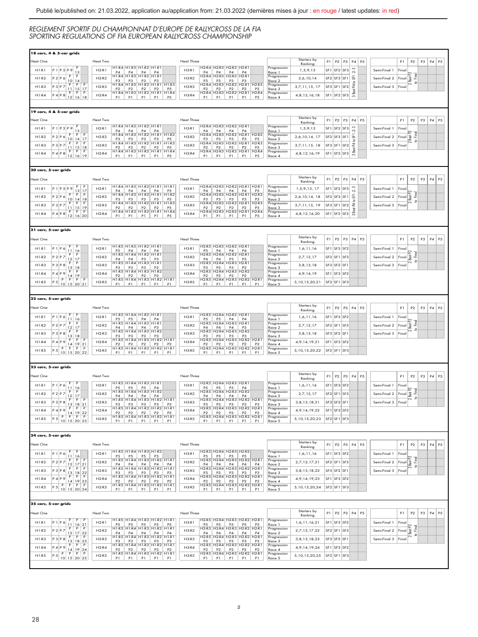|                      | 4 & 5-car grids                                                                                                                                                  |          |                                                                                                                                                   |                                                                                                                                                                                                                                                          |                   |                |                                                          |                                                    |                                                      |                                            |                        |                 |                                                 |                        |                |              |                                                                                                                                                         |                     |    |                                 |
|----------------------|------------------------------------------------------------------------------------------------------------------------------------------------------------------|----------|---------------------------------------------------------------------------------------------------------------------------------------------------|----------------------------------------------------------------------------------------------------------------------------------------------------------------------------------------------------------------------------------------------------------|-------------------|----------------|----------------------------------------------------------|----------------------------------------------------|------------------------------------------------------|--------------------------------------------|------------------------|-----------------|-------------------------------------------------|------------------------|----------------|--------------|---------------------------------------------------------------------------------------------------------------------------------------------------------|---------------------|----|---------------------------------|
| teat One             |                                                                                                                                                                  | Heat Two |                                                                                                                                                   |                                                                                                                                                                                                                                                          | Heat Three        |                |                                                          |                                                    |                                                      |                                            | Starters by<br>Ranking |                 |                                                 | P1   P2   P3   P4   P5 |                |              | P1                                                                                                                                                      | P <sub>2</sub>      | P3 | P4<br>P <sub>5</sub>            |
|                      |                                                                                                                                                                  |          | H1-R4 H1-R3 H1-R2 H1-R1                                                                                                                           |                                                                                                                                                                                                                                                          |                   |                |                                                          | H2-R4 H2-R3 H2-R2 H2-R1                            |                                                      | Progression                                |                        |                 | SE1 SE2 SE3                                     |                        |                |              |                                                                                                                                                         |                     |    |                                 |
| H1.R1                | P1P5P9<br>$\frac{13}{P}$                                                                                                                                         | $H2-R1$  | P4 P4 P4 P4<br>H1-R4 H1-R3 H1-R2 H1-R1                                                                                                            |                                                                                                                                                                                                                                                          | H3.R1             |                |                                                          | P4 P4 P4 P4<br>H2-R4 H2-R3 H2-R2 H2-R1             |                                                      | Race 1<br>Progression                      | 1,5,9,13               |                 |                                                 | 2.3                    |                | Semi-Final 1 | Final                                                                                                                                                   |                     |    |                                 |
| $H1-R2$              | $\overline{P}$<br>P2P6                                                                                                                                           | $H2-R2$  |                                                                                                                                                   |                                                                                                                                                                                                                                                          | $H3-R2$           |                |                                                          |                                                    |                                                      |                                            | 2.6.10.14              |                 | SF2 SF3 SF1                                     |                        |                | Semi-Final 2 | $\frac{a}{8}$                                                                                                                                           | Z                   |    |                                 |
| $H1-R3$              | $\overline{P}$<br>P 3 P 7                                                                                                                                        | $H2-R3$  |                                                                                                                                                   | P3 P3 P3 P3<br>H1-R4 H1-R3 H1-R2 H1-R1 H1-R3                                                                                                                                                                                                             | $H3-R3$           |                |                                                          |                                                    | P3 P3 P3 P3<br>H2-R4 H2-R3 H2-R2 H2-R1 H2-R3         | Race 2<br>Progressic                       | 3.7.11.15.17           |                 | $SF3$ $SF1$ $SF2$                               |                        |                | Semi-Final 3 |                                                                                                                                                         | $\mathcal{Q}$       |    |                                 |
|                      | $\begin{array}{c c}\n10 & 14 \\ \hline\nP & P \\ \hline\n11 & 15 \\ \hline\nP & P\n\end{array}$<br>$\begin{array}{c c c}\n15 & 17 \\ \hline\nP & P\n\end{array}$ |          |                                                                                                                                                   | $\begin{array}{ c c c c c c c c } \hline & \text{{\it P2}} & \text{{\it P2}} & \text{{\it P2}} & \text{{\it P5}} \\ \hline \text{{\it H1-R4}} & \text{{\it H1-R3}} & \text{{\it H1-R2}} & \text{{\it H1-R1}} & \text{{\it H1-R4}} \\ \hline \end{array}$ |                   |                |                                                          |                                                    | P2 P2 P2 P2 P5<br>H2-R4 H2-R3 H2-R2 H2-R1 H2-R4      | Race 3                                     |                        |                 |                                                 |                        |                |              | Final                                                                                                                                                   |                     |    |                                 |
| $H1-R4$              | P 4   P 8<br>12   16   18                                                                                                                                        | $H2-R4$  |                                                                                                                                                   | P1 P1 P1 P1 P5                                                                                                                                                                                                                                           | $H3-R4$           |                |                                                          |                                                    | P1 P1 P1 P1 P5                                       | Race 4                                     | 4, 8, 12, 16, 18       |                 | $SF1$ SF2 SF3                                   | 3 Best P4 to SFT       |                |              |                                                                                                                                                         |                     |    |                                 |
|                      |                                                                                                                                                                  |          |                                                                                                                                                   |                                                                                                                                                                                                                                                          |                   |                |                                                          |                                                    |                                                      |                                            |                        |                 |                                                 |                        |                |              |                                                                                                                                                         |                     |    |                                 |
|                      |                                                                                                                                                                  |          |                                                                                                                                                   |                                                                                                                                                                                                                                                          |                   |                |                                                          |                                                    |                                                      |                                            |                        |                 |                                                 |                        |                |              |                                                                                                                                                         |                     |    |                                 |
|                      | 19 cars, 4 & 5-car grids                                                                                                                                         |          |                                                                                                                                                   |                                                                                                                                                                                                                                                          |                   |                |                                                          |                                                    |                                                      |                                            |                        |                 |                                                 |                        |                |              |                                                                                                                                                         |                     |    |                                 |
| leat One             |                                                                                                                                                                  | Heat Two |                                                                                                                                                   |                                                                                                                                                                                                                                                          | <b>Heat Three</b> |                |                                                          |                                                    |                                                      |                                            | Starters by<br>Ranking | P1              |                                                 | P2 P3 P4 P5            |                |              | P1                                                                                                                                                      | P2                  | P3 | P4 P5                           |
| H1.81                |                                                                                                                                                                  | $H2-R1$  | H1-R4 H1-R3 H1-R2 H1-R1                                                                                                                           |                                                                                                                                                                                                                                                          | H3.81             |                |                                                          | H2-R4   H2-R3   H2-R2   H2-R1                      |                                                      | Progression                                |                        |                 | SE1 SE2 SE3                                     |                        |                |              |                                                                                                                                                         |                     |    |                                 |
|                      | P1 P5 P9<br>$\frac{13}{P}$                                                                                                                                       |          |                                                                                                                                                   | P4 P4 P4 P4<br>H1-R4 H1-R3 H1-R2 H1-R1 H1-R2                                                                                                                                                                                                             |                   |                |                                                          |                                                    | P4 P4 P4 P4<br>H2-R4 H2-R3 H2-R2 H2-R1 H2-R2         | Race 1<br>Progression                      | 1,5,9,13               |                 |                                                 | 2.3                    |                | Semi-Final 1 | Final                                                                                                                                                   |                     |    |                                 |
| $H1-R2$              | $\overline{P}$<br>$\overline{\mathsf{P}}$<br>P2P6                                                                                                                | $H2-R2$  |                                                                                                                                                   |                                                                                                                                                                                                                                                          | $H3-R2$           |                |                                                          |                                                    |                                                      |                                            | 2,6,10,14, 17          |                 | SF2 SF3 SF1                                     |                        |                | Semi-Final 2 | $Find \frac{15}{20}$                                                                                                                                    | <b>R</b>            |    |                                 |
| $H1-R3$              | P 3 P 7                                                                                                                                                          | $H2-R3$  |                                                                                                                                                   |                                                                                                                                                                                                                                                          | $H3-R3$           |                |                                                          |                                                    | P3 P3 P3 P3 P5<br>H2-R4 H2-R3 H2-R2 H2-R1 H2-R3      | Race 2<br>Progression                      | 3,7,11,15,18           |                 | $SF3$ SF1 SF2                                   |                        |                | Semi-Final 3 | Final                                                                                                                                                   | $\mathfrak{Q}$      |    |                                 |
|                      | $\begin{array}{c ccccc}\n10 & 14 & 17 \\ \hline\nP & P & P \\ 11 & 15 & 18 \\ P & P & P \\ 12 & 16 & 19\n\end{array}$                                            |          |                                                                                                                                                   |                                                                                                                                                                                                                                                          |                   |                |                                                          |                                                    | P2 P2 P2 P2 P5<br>H2-R4 H2-R3 H2-R2 H2-R1 H2-R4      | $\frac{Rate 3}{Rate 3}$                    |                        |                 |                                                 | 3 Best P4 to SFI       |                |              |                                                                                                                                                         |                     |    |                                 |
| $H1-R4$              | P 4 P 8                                                                                                                                                          | $H2-R4$  |                                                                                                                                                   | P1   P1   P1   P1   P5                                                                                                                                                                                                                                   | H3-R4             |                |                                                          |                                                    | P1 P1 P1 P1 P5                                       | rogression<br>Race 4                       | 4, 8, 12, 16, 19       |                 | $SF1$ SF2 SF3                                   |                        |                |              |                                                                                                                                                         |                     |    |                                 |
|                      |                                                                                                                                                                  |          |                                                                                                                                                   |                                                                                                                                                                                                                                                          |                   |                |                                                          |                                                    |                                                      |                                            |                        |                 |                                                 |                        |                |              |                                                                                                                                                         |                     |    |                                 |
|                      |                                                                                                                                                                  |          |                                                                                                                                                   |                                                                                                                                                                                                                                                          |                   |                |                                                          |                                                    |                                                      |                                            |                        |                 |                                                 |                        |                |              |                                                                                                                                                         |                     |    |                                 |
| 20 cars, 5-car grids |                                                                                                                                                                  |          |                                                                                                                                                   |                                                                                                                                                                                                                                                          |                   |                |                                                          |                                                    |                                                      |                                            |                        |                 |                                                 |                        |                |              |                                                                                                                                                         |                     |    |                                 |
| teat One             |                                                                                                                                                                  | Heat Two |                                                                                                                                                   |                                                                                                                                                                                                                                                          | Heat Three        |                |                                                          |                                                    |                                                      |                                            | Starters by            | $P1$ $P2$       |                                                 | P3<br>$\mathsf{P}4$    | P <sub>5</sub> |              | P1                                                                                                                                                      | P2                  | P3 | P4 P5                           |
|                      | $\overline{P}$                                                                                                                                                   |          |                                                                                                                                                   | H1-R4 H1-R3 H1-R2 H1-R1 H1-R1                                                                                                                                                                                                                            |                   |                |                                                          |                                                    | H2-R4   H2-R3   H2-R2   H2-R1   H2-R1                |                                            | Ranking                |                 |                                                 |                        |                |              |                                                                                                                                                         |                     |    |                                 |
| $H1-R1$              | P1P5P9                                                                                                                                                           | $H2-R1$  |                                                                                                                                                   |                                                                                                                                                                                                                                                          | $H3-R1$           |                |                                                          |                                                    |                                                      | Progression                                | 1,5,9,13, 17           |                 | SF1 SF2 SF3                                     | 2.3                    |                | Semi-Final 1 | Final                                                                                                                                                   |                     |    |                                 |
| $H1-R2$              | $\frac{13}{P}$<br>$\frac{17}{P}$<br>$\mathsf P$<br>P2P6                                                                                                          | $H2-R2$  |                                                                                                                                                   | P4 P4 P4 P4 P5<br>H1-R4 H1-R3 H1-R2 H1-R1 H1-R2                                                                                                                                                                                                          | $H3-R2$           |                |                                                          |                                                    | P4 P4 P4 P4 P5<br>H2-R4 H2-R3 H2-R2 H2-R1 H2-R2      | Race 1<br>Progressio                       | 2,6,10,14, 18          |                 | $SF2$ SF3 SF1                                   |                        |                | Semi-Final 2 | Final 공                                                                                                                                                 | 3                   |    |                                 |
|                      |                                                                                                                                                                  |          |                                                                                                                                                   | P3 P3 P3 P3 P5<br>H1-R4 H1-R3 H1-R2 H1-R1 H1-R3                                                                                                                                                                                                          |                   |                |                                                          |                                                    | P3 P3 P3 P3 P5<br>H2-R4 H2-R3 H2-R2 H2-R1 H2-R3      | Race 2<br>Progression                      |                        |                 |                                                 |                        |                |              |                                                                                                                                                         | $\mathbf{r}$        |    |                                 |
| $H1-R3$              | $\frac{10}{P}$<br>$\frac{11}{P}$<br>P 3 P 7                                                                                                                      | $H2-R3$  |                                                                                                                                                   |                                                                                                                                                                                                                                                          | $H3-R3$           |                |                                                          |                                                    |                                                      |                                            | 3,7,11,15, 19          |                 | $SF3$ SF1 SF2                                   |                        |                | Semi-Final 3 | Final                                                                                                                                                   |                     |    |                                 |
| $H1-R4$              | $\begin{array}{c c}\n14 & 18 \\ \hline\nP & P \\ 15 & 19 \\ \hline\nP & P\n\end{array}$                                                                          | $H2-R4$  |                                                                                                                                                   | P2 P2 P2 P2 P5<br>H1-R4 H1-R3 H1-R2 H1-R1 H1-R4                                                                                                                                                                                                          | H3-R4             |                |                                                          |                                                    | P2 P2 P2 P2 P5<br>H2-R4 H2-R3 H2-R2 H2-R1 H2-R4      | Race 3<br>Progression                      | 4, 8, 12, 16, 20       |                 | $SF1$ SF2 SF3                                   | 3 Best P4 to SF1       |                |              |                                                                                                                                                         |                     |    |                                 |
|                      |                                                                                                                                                                  |          |                                                                                                                                                   | $P1$   $P1$   $P1$   $P1$                                                                                                                                                                                                                                | <b>P5</b>         | P1             |                                                          | $PI$ $PI$                                          | P1   P5                                              | Race 4                                     |                        |                 |                                                 |                        |                |              |                                                                                                                                                         |                     |    |                                 |
|                      |                                                                                                                                                                  |          |                                                                                                                                                   |                                                                                                                                                                                                                                                          |                   |                |                                                          |                                                    |                                                      |                                            |                        |                 |                                                 |                        |                |              |                                                                                                                                                         |                     |    |                                 |
| 21 cars, 5-car grids |                                                                                                                                                                  |          |                                                                                                                                                   |                                                                                                                                                                                                                                                          |                   |                |                                                          |                                                    |                                                      |                                            |                        |                 |                                                 |                        |                |              |                                                                                                                                                         |                     |    |                                 |
|                      |                                                                                                                                                                  |          |                                                                                                                                                   |                                                                                                                                                                                                                                                          |                   |                |                                                          |                                                    |                                                      |                                            | Starters by            |                 |                                                 |                        |                |              |                                                                                                                                                         |                     |    |                                 |
| leat One             |                                                                                                                                                                  | Heat Two |                                                                                                                                                   |                                                                                                                                                                                                                                                          | <b>Heat Three</b> |                |                                                          |                                                    |                                                      |                                            | Ranking                |                 |                                                 | P1   P2   P3   P4   P5 |                |              | P1                                                                                                                                                      | P2                  | P3 | P4 P5                           |
| $H1-R1$              | P1P6                                                                                                                                                             | $H2-R1$  | H1-R5 H1-R3 H1-R2 H1-R1                                                                                                                           |                                                                                                                                                                                                                                                          | $H3-R1$           |                |                                                          | H2-R5 H2-R3 H2-R2 H2-R1                            |                                                      | Progression                                | 1,6,11,16              | SF <sub>1</sub> | SF3<br>SF <sub>2</sub>                          |                        |                | Semi-Final 1 | Final                                                                                                                                                   |                     |    |                                 |
|                      | $\frac{11}{P}$<br>$\frac{16}{P}$                                                                                                                                 |          | P5 P4 P4 P4<br>H1-R5 H1-R4 H1-R2 H1-R1                                                                                                            |                                                                                                                                                                                                                                                          |                   |                |                                                          | P5   P4   P4   P4<br>H2-R5 H2-R4 H2-R2 H2-R1       |                                                      | Race 1<br>Progression                      |                        |                 |                                                 |                        |                |              |                                                                                                                                                         | <b>Cond</b>         |    |                                 |
| $H1-R2$              | $P2$ $P7$<br>$\frac{1}{p}$<br>$\frac{17}{P}$                                                                                                                     | $H2-R2$  |                                                                                                                                                   |                                                                                                                                                                                                                                                          | $H3-R2$           |                |                                                          |                                                    |                                                      | Race 2                                     | 2,7,12,17              |                 | $SF2$ SF1 SF3                                   |                        |                | Semi-Final 2 | $F_{\text{inal}}$ $\frac{2}{8}$                                                                                                                         | $\mathcal{L}$       |    |                                 |
| $H1-R3$              | P 3 P 8                                                                                                                                                          | $H2-R3$  | P4 P4 P3 P3<br>H1-R5 H1-R4 H1-R3 H1-R1                                                                                                            |                                                                                                                                                                                                                                                          | $H3-R3$           |                |                                                          | P4   P4   P3   P3<br>H2-R5   H2-R4   H2-R3   H2-R1 |                                                      | Progression                                | 3, 8, 13, 18           |                 | SF3 SF2 SF1                                     |                        |                | Semi-Final 3 | Fina                                                                                                                                                    |                     |    |                                 |
|                      | $\frac{13}{P}$<br>$\frac{18}{P}$                                                                                                                                 |          | P3 P3 P3 P2<br>H1-R5 H1-R4 H1-R3 H1-R2                                                                                                            |                                                                                                                                                                                                                                                          |                   |                |                                                          | P3 P3 P3 P2<br>H2-R5 H2-R4 H2-R3 H2-R2             |                                                      | Race 3<br>Progression                      |                        |                 |                                                 |                        |                |              |                                                                                                                                                         |                     |    |                                 |
| $H1-R4$              | P 4 P 9<br>$\begin{array}{c c c}\n14 & 19 \\ \hline\nP & P\n\end{array}$                                                                                         | $H2-R4$  |                                                                                                                                                   |                                                                                                                                                                                                                                                          | $H3-R4$           |                |                                                          |                                                    | P2 P2 P2 P2<br>H2-R5 H2-R4 H2-R3 H2-R2 H2-R1         | Racc 4                                     | 4,9,14,19              |                 | SF1 SF3 SF2                                     |                        |                |              |                                                                                                                                                         |                     |    |                                 |
| H1.R.5               | $\overline{P}$<br>$\overline{P}$<br>P 5   10   15   20   21                                                                                                      | $H2-R5$  |                                                                                                                                                   |                                                                                                                                                                                                                                                          | H3.85             |                |                                                          |                                                    |                                                      | Progression                                | 5,10,15,20,21          |                 | SF2 SF1 SF3                                     |                        |                |              |                                                                                                                                                         |                     |    |                                 |
|                      |                                                                                                                                                                  |          |                                                                                                                                                   | P1 P1 P1 P1 P1                                                                                                                                                                                                                                           |                   |                |                                                          |                                                    | P1 P1 P1 P1 P1                                       | Race 5                                     |                        |                 |                                                 |                        |                |              |                                                                                                                                                         |                     |    |                                 |
|                      |                                                                                                                                                                  |          |                                                                                                                                                   |                                                                                                                                                                                                                                                          |                   |                |                                                          |                                                    |                                                      |                                            |                        |                 |                                                 |                        |                |              |                                                                                                                                                         |                     |    |                                 |
| 22 cars, 5-car grids |                                                                                                                                                                  |          |                                                                                                                                                   |                                                                                                                                                                                                                                                          |                   |                |                                                          |                                                    |                                                      |                                            |                        |                 |                                                 |                        |                |              |                                                                                                                                                         |                     |    |                                 |
| teat One             |                                                                                                                                                                  | Heat Two |                                                                                                                                                   |                                                                                                                                                                                                                                                          | <b>Heat Three</b> |                |                                                          |                                                    |                                                      |                                            | Starters by            |                 |                                                 | P1 P2 P3 P4 P5         |                |              | P1                                                                                                                                                      | P <sub>2</sub>      | P3 | P4 P5                           |
|                      |                                                                                                                                                                  |          |                                                                                                                                                   |                                                                                                                                                                                                                                                          |                   |                |                                                          |                                                    |                                                      |                                            | Ranking                |                 |                                                 |                        |                |              |                                                                                                                                                         |                     |    |                                 |
| $H1-R1$              | $P1$ $P6$                                                                                                                                                        | $H2-R1$  | H1-R5 H1-R4 H1-R2 H1-R1                                                                                                                           |                                                                                                                                                                                                                                                          | $H3-R1$           |                |                                                          | H2-R5 H2-R4 H2-R2 H2-R1                            |                                                      | Progression                                | 1,6,11,16              |                 | $SF1$ SF3 SF2                                   |                        |                | Semi-Final 1 | Fina                                                                                                                                                    |                     |    |                                 |
|                      |                                                                                                                                                                  |          |                                                                                                                                                   |                                                                                                                                                                                                                                                          |                   |                |                                                          |                                                    |                                                      |                                            |                        |                 |                                                 |                        |                |              |                                                                                                                                                         |                     |    |                                 |
|                      | $\frac{11}{P}$<br>$\frac{16}{P}$                                                                                                                                 |          | P5 P5 P4 P4<br>H1-R5 H1-R4 H1-R3 H1-R1                                                                                                            |                                                                                                                                                                                                                                                          |                   |                |                                                          |                                                    |                                                      |                                            |                        |                 |                                                 |                        |                |              |                                                                                                                                                         |                     |    |                                 |
| $H1-R2$              | P2P7                                                                                                                                                             | $H2-R2$  |                                                                                                                                                   |                                                                                                                                                                                                                                                          | $H3-R2$           |                | P5 P5 P4 P4<br>H2-R5 H2-R4 H2-R3 H2-R1                   |                                                    |                                                      | Race 1<br>Progression<br>Race <sub>2</sub> | 2,7,12,17              |                 | SF <sub>2</sub> SF <sub>1</sub> SF <sub>3</sub> |                        |                | Semi-Final 2 | $\n  F$ inal $\left  \begin{smallmatrix} \overline{16} \\ 0 \end{smallmatrix} \right $                                                                  | 2                   |    |                                 |
| H1.R3                | $\frac{1}{p}$<br>$\frac{17}{P}$                                                                                                                                  | $H2-R3$  | $P4$ $P4$ $P4$ $P3$<br>$H1-R5$ $H1-R4$ $H1-R3$ $H1-R2$                                                                                            |                                                                                                                                                                                                                                                          | H3.R3             |                |                                                          | P4 P4 P4 P3<br>H2-R5 H2-R4 H2-R3 H2-R2             |                                                      | Progression                                | 3.8.13.18              |                 | SE3 SE2 SE1                                     |                        |                | Semi-Final 3 | Final                                                                                                                                                   | $\mathcal{Q}$       |    |                                 |
|                      | P 3 P 8<br>$\frac{13}{P}$<br>$\overline{P}$                                                                                                                      |          |                                                                                                                                                   |                                                                                                                                                                                                                                                          | $H1-R$            |                |                                                          |                                                    |                                                      |                                            |                        |                 |                                                 |                        |                |              |                                                                                                                                                         |                     |    |                                 |
| $H1-R4$              | $\frac{18}{P}$<br>P 4 P 9                                                                                                                                        | $H2-R4$  | $\begin{array}{ c c c c c c c c } \hline & P3 & P3 & P3 \\ \hline \text{H1-R5} & \text{H1-R4} & \text{H1-R3} & \text{H1-R2} \\\hline \end{array}$ |                                                                                                                                                                                                                                                          | $H3-R4$           | P <sub>2</sub> | P3 P3 P3<br>H2-R5 H2-R4 H2-R3<br>P <sub>2</sub>          | P <sub>2</sub>                                     | $P3$ H2-R2 H2-R1<br>P <sub>2</sub><br>P <sub>2</sub> | Race 3<br>Progression<br>Race 4            | 4, 9, 14, 19, 21       |                 | SF1 SF3 SF2                                     |                        |                |              |                                                                                                                                                         |                     |    |                                 |
| $H1-R5$              |                                                                                                                                                                  | $H2-R5$  |                                                                                                                                                   | P2 P2 P2 P2 P2<br>H1-R5 H1-R4 H1-R3 H1-R2 H1-R1                                                                                                                                                                                                          | $H3-R5$           |                |                                                          |                                                    | H2-R5 H2-R4 H2-R3 H2-R2 H2-R1                        | Progression<br>Race 5                      | 5, 10, 15, 20, 22      |                 | SF2 SF1 SF3                                     |                        |                |              |                                                                                                                                                         |                     |    |                                 |
|                      | P 4 P 9 14 19 21<br>P 5 P P P P P<br>10 15 20 22                                                                                                                 |          | P1                                                                                                                                                | P1   P1   P1                                                                                                                                                                                                                                             | P1                | P1             | P1                                                       | P1                                                 | P1<br>P1                                             |                                            |                        |                 |                                                 |                        |                |              |                                                                                                                                                         |                     |    |                                 |
|                      |                                                                                                                                                                  |          |                                                                                                                                                   |                                                                                                                                                                                                                                                          |                   |                |                                                          |                                                    |                                                      |                                            |                        |                 |                                                 |                        |                |              |                                                                                                                                                         |                     |    |                                 |
| 23 cars, 5-car grids |                                                                                                                                                                  |          |                                                                                                                                                   |                                                                                                                                                                                                                                                          |                   |                |                                                          |                                                    |                                                      |                                            |                        |                 |                                                 |                        |                |              |                                                                                                                                                         |                     |    |                                 |
|                      |                                                                                                                                                                  |          |                                                                                                                                                   |                                                                                                                                                                                                                                                          |                   |                |                                                          |                                                    |                                                      |                                            | Starters by            |                 |                                                 |                        |                |              |                                                                                                                                                         |                     |    |                                 |
| leat One             |                                                                                                                                                                  | Heat Two |                                                                                                                                                   |                                                                                                                                                                                                                                                          | <b>Heat Three</b> |                |                                                          |                                                    |                                                      |                                            | Ranking                | P1              | P2                                              | P3<br>$\mathsf{P}4$    | P <sub>5</sub> |              | P1                                                                                                                                                      | P2                  | P3 | P4<br>P <sub>5</sub>            |
| H1.R1                | $P1$ $P6$                                                                                                                                                        | $H2-R1$  | H1-R5 H1-R4 H1-R3 H1-R1                                                                                                                           |                                                                                                                                                                                                                                                          | H3.R1             |                |                                                          | H2-R5 H2-R4 H2-R3 H2-R1                            |                                                      | Progression                                | 1,6,11,16              |                 | SE1 SE3 SE2                                     |                        |                | Semi-Final 1 | Final                                                                                                                                                   |                     |    |                                 |
|                      | $\frac{11}{P}$<br>$\frac{16}{P}$                                                                                                                                 |          | $\frac{PS}{H1-R5}$                                                                                                                                | $P5$ $P5$ $P4$<br>H1-R4 H1-R3 H1-R2                                                                                                                                                                                                                      |                   |                | $\frac{P5}{P12 \cdot R5}$ H <sub>2</sub> -R <sub>4</sub> | $\frac{P5}{H2-R3}$                                 | $P_4$<br>H <sub>2-</sub> R <sub>2</sub>              | Race 1<br>Progression                      |                        |                 |                                                 |                        |                |              |                                                                                                                                                         |                     |    |                                 |
| $H1-R2$              | P2P7                                                                                                                                                             | $H2-R2$  | PA<br>PA                                                                                                                                          | P4<br>PA                                                                                                                                                                                                                                                 | $H3-R2$           | P4             | P4                                                       | PA                                                 | PA                                                   | Race 2                                     | 2.7.12.17              |                 | SF2 SF1 SF3                                     |                        |                | Semi-Final 2 | $\n  F$ inal                                                                                                                                            | 2<br>$\mathfrak{D}$ |    |                                 |
| $H1-R3$              | P 3 P 8                                                                                                                                                          | $H2-R3$  |                                                                                                                                                   | H1-R5 H1-R4 H1-R3 H1-R2 H1-R1                                                                                                                                                                                                                            | $H3-R3$           |                |                                                          |                                                    | H2-R5 H2-R4 H2-R3 H2-R2 H2-R1                        | Progression<br>Race 3                      | 3, 8, 13, 18, 21       |                 | SF3 SF2 SF1                                     |                        |                | Semi-Final 3 | Fina                                                                                                                                                    |                     |    |                                 |
| H1-R4                | $\frac{12}{P}$<br>$\frac{13}{P}$<br>$\begin{array}{c c}\n17 & P \\ 18 & 21 \\ P & P\n\end{array}$<br>P 4 P 9                                                     | $H2-R4$  |                                                                                                                                                   | P3 P3 P3 P3 P3 P3<br>H1-R5 H1-R4 H1-R3 H1-R2 H1-R1                                                                                                                                                                                                       | $H3-R4$           |                |                                                          |                                                    | P3 P3 P3 P3 P3 P3<br>H2-R5 H2-R4 H2-R3 H2-R2 H2-R1   | Progression                                | 4,9,14,19,22           |                 | $SF1$ SF3 SF2                                   |                        |                |              |                                                                                                                                                         |                     |    |                                 |
|                      | $\begin{array}{c c} \n19 & 22 \\ \hline\nP & P\n\end{array}$<br>$\frac{14}{P}$<br>$\overline{P}$                                                                 |          |                                                                                                                                                   |                                                                                                                                                                                                                                                          |                   |                |                                                          |                                                    | P2 P2 P2 P2 P2 P2<br>H2-R5 H2-R4 H2-R3 H2-R2 H2-R1   |                                            |                        |                 |                                                 |                        |                |              |                                                                                                                                                         |                     |    |                                 |
| $H1-R5$              |                                                                                                                                                                  | $H2-R5$  |                                                                                                                                                   | $P1$ $P1$ $P1$ $P1$ $P1$                                                                                                                                                                                                                                 | $H3-R5$           |                |                                                          |                                                    | P1   P1   P1   P1   P1                               | Race 4<br>Progression<br>Race 5            | 5, 10, 15, 20, 23      |                 | $SF2$ SF1 SF3                                   |                        |                |              |                                                                                                                                                         |                     |    |                                 |
|                      | P 5   10   15   20   23                                                                                                                                          |          |                                                                                                                                                   |                                                                                                                                                                                                                                                          |                   |                |                                                          |                                                    |                                                      |                                            |                        |                 |                                                 |                        |                |              |                                                                                                                                                         |                     |    |                                 |
|                      |                                                                                                                                                                  |          |                                                                                                                                                   |                                                                                                                                                                                                                                                          |                   |                |                                                          |                                                    |                                                      |                                            |                        |                 |                                                 |                        |                |              |                                                                                                                                                         |                     |    |                                 |
| 24 cars, 5-car grids |                                                                                                                                                                  |          |                                                                                                                                                   |                                                                                                                                                                                                                                                          |                   |                |                                                          |                                                    |                                                      |                                            |                        |                 |                                                 |                        |                |              |                                                                                                                                                         |                     |    |                                 |
| leat One             |                                                                                                                                                                  | Heat Two |                                                                                                                                                   |                                                                                                                                                                                                                                                          | <b>Heat Three</b> |                |                                                          |                                                    |                                                      |                                            |                        | P1              | $P2$ $P3$                                       |                        | P4 P5          |              | P1                                                                                                                                                      | P <sub>2</sub>      | P3 | P4 P5                           |
|                      |                                                                                                                                                                  |          |                                                                                                                                                   | H1-R5 H1-R4 H1-R3 H1-R2                                                                                                                                                                                                                                  |                   |                |                                                          | 12-R5 H2-R4 H2-R3 H2-R2                            |                                                      | Progression                                | Starters by<br>Ranking |                 |                                                 |                        |                |              |                                                                                                                                                         |                     |    |                                 |
| $H1-R1$              | P1P6                                                                                                                                                             | $H2-R1$  |                                                                                                                                                   |                                                                                                                                                                                                                                                          | $H3-R1$           |                |                                                          |                                                    |                                                      | Race 1                                     | 1,6,11,16              | SF <sub>1</sub> | SF3 SF2                                         |                        |                | Semi-Final 1 | Fina                                                                                                                                                    |                     |    |                                 |
| $H1-R2$              | $\frac{11}{P}$<br>$\frac{16}{P}$<br>P<br>$P2$ $P7$                                                                                                               | $H2-R2$  |                                                                                                                                                   | P5 P5 P5 P5<br>H1-R5 H1-R4 H1-R3 H1-R2 H1-R1                                                                                                                                                                                                             | $H3-R2$           |                |                                                          |                                                    | P5 P5 P5 P5 P5<br>H2-R5 H2-R4 H2-R3 H2-R2 H2-R1      | Progression                                | 2,7,12,17,21           |                 | $SF2$ SF1 SF3                                   |                        |                | Semi-Final 2 |                                                                                                                                                         | 3                   |    |                                 |
|                      | $\frac{1}{p}$<br>$\frac{17}{P} \left  \frac{21}{P} \right $                                                                                                      |          |                                                                                                                                                   |                                                                                                                                                                                                                                                          |                   |                |                                                          |                                                    | P4 P4 P4 P4 P4<br>H2-R5 H2-R4 H2-R3 H2-R2 H2-R1      | Race <sub>2</sub>                          |                        |                 |                                                 |                        |                |              | $Final$ $\frac{2}{8}$                                                                                                                                   | ø                   |    |                                 |
| $H1-R3$              | P 3 P 8                                                                                                                                                          | $H2-R3$  |                                                                                                                                                   |                                                                                                                                                                                                                                                          | $H3-R3$           |                |                                                          |                                                    |                                                      | Progression                                | 3, 8, 13, 18, 22       |                 | SF3 SF2 SF1                                     |                        |                | Semi-Final 3 | Fina                                                                                                                                                    |                     |    |                                 |
| $H1-R4$              | $\begin{array}{c c}\n18 & 22 \\ \hline\nP & P\n\end{array}$<br>$\frac{13}{P}$<br>P 4 P 9                                                                         | $H2-R4$  |                                                                                                                                                   | P3 P3 P3 P3 P3 P3<br>H1-R5 H1-R4 H1-R3 H1-R2 H1-R1                                                                                                                                                                                                       | $H3-R4$           |                |                                                          |                                                    | P3 P3 P3 P3 P3<br>H2-R5 H2-R4 H2-R3 H2-R2 H2-R1      | Race 3<br>Progression                      | 4, 9, 14, 19, 23       |                 | SF1 SF3 SF2                                     |                        |                |              |                                                                                                                                                         |                     |    |                                 |
|                      | $\frac{14}{P}$<br>$\frac{19}{P}$ 23<br>$\overline{P}$                                                                                                            |          |                                                                                                                                                   | P2 P2 P2 P2 P2<br>H1-R5 H1-R4 H1-R3 H1-R2 H1-R1                                                                                                                                                                                                          |                   |                |                                                          |                                                    | P2 P2 P2 P2 P2<br>H2-R5 H2-R4 H2-R3 H2-R2 H2-R1      | Race 4<br>Progression                      |                        |                 |                                                 |                        |                |              |                                                                                                                                                         |                     |    |                                 |
| $H1-R5$              |                                                                                                                                                                  | $H2-R5$  |                                                                                                                                                   | P1 P1 P1 P1 P1                                                                                                                                                                                                                                           | $H3-R5$           |                |                                                          |                                                    | P1 P1 P1 P1 P1                                       | Race 5                                     | 5,10,15,20,24          |                 | $SF2$ SF1 SF3                                   |                        |                |              |                                                                                                                                                         |                     |    |                                 |
|                      | P 5   10   15   20   24                                                                                                                                          |          |                                                                                                                                                   |                                                                                                                                                                                                                                                          |                   |                |                                                          |                                                    |                                                      |                                            |                        |                 |                                                 |                        |                |              |                                                                                                                                                         |                     |    |                                 |
|                      |                                                                                                                                                                  |          |                                                                                                                                                   |                                                                                                                                                                                                                                                          |                   |                |                                                          |                                                    |                                                      |                                            |                        |                 |                                                 |                        |                |              |                                                                                                                                                         |                     |    |                                 |
| 25 cars, 5-car grids |                                                                                                                                                                  |          |                                                                                                                                                   |                                                                                                                                                                                                                                                          |                   |                |                                                          |                                                    |                                                      |                                            |                        |                 |                                                 |                        |                |              |                                                                                                                                                         |                     |    |                                 |
| teat One             |                                                                                                                                                                  | Heat Two |                                                                                                                                                   |                                                                                                                                                                                                                                                          | <b>Heat Three</b> |                |                                                          |                                                    |                                                      |                                            | Starters by            | P1              | P2                                              | P3<br>P4               | l P5           |              | P1                                                                                                                                                      | P <sub>2</sub>      | P3 | $\mathsf{P}4$<br>P <sub>5</sub> |
|                      | $\overline{P}$                                                                                                                                                   |          |                                                                                                                                                   | H1-R5 H1-R4 H1-R3 H1-R2 H1-R1                                                                                                                                                                                                                            |                   |                |                                                          |                                                    | H2-R5 H2-R4 H2-R3 H2-R2 H2-R1                        | Progression                                | Ranking                |                 |                                                 |                        |                |              |                                                                                                                                                         |                     |    |                                 |
| $H1-R1$              | P1 P6                                                                                                                                                            | $H2-R1$  |                                                                                                                                                   |                                                                                                                                                                                                                                                          | $H3-R1$           |                |                                                          |                                                    |                                                      |                                            | 1,6,11,16,21           |                 | $SF1$ SF3 SF2                                   |                        |                | Semi-Final 1 | Fina                                                                                                                                                    |                     |    |                                 |
| $H1-R2$              | $\frac{11}{P}$<br>$\frac{16}{P}$ 21<br>$P2$ $P7$                                                                                                                 | $H2-R2$  |                                                                                                                                                   | P5 P5 P5 P5 P5 P5<br>H1-R5 H1-R4 H1-R3 H1-R2 H1-R1                                                                                                                                                                                                       | $H3-R2$           |                |                                                          |                                                    | P5 P5 P5 P5 P5<br>H2-R5 H2-R4 H2-R3 H2-R2 H2-R1      | Race 1<br>Progression                      | 2,7,12,17,22           |                 | $SF2$ SF1 SF3                                   |                        |                | Semi-Final 2 |                                                                                                                                                         | Z                   |    |                                 |
| H1.R3                | $\frac{12}{P}$<br>$\frac{17}{P}$<br>$\frac{22}{P}$<br>P 3 P 8                                                                                                    | $H2-R3$  |                                                                                                                                                   | P4 P4 P4 P4 P4<br>H1-R5 H1-R4 H1-R3 H1-R2 H1-R1                                                                                                                                                                                                          | H3.R3             |                |                                                          |                                                    | P4 P4 P4 P4 P4<br>H2-R5 H2-R4 H2-R3 H2-R2 H2-R1      | Race 2                                     | 3,8,13,18,23           |                 | SF3 SF2 SF1                                     |                        |                | Semi-Final 3 | $\begin{tabular}{ c c } \hline & $\mathbb{R}$ \\ \hline \hline Find $B$ \\ \hline $v_{\rm pr}$ \\ \hline $v_{\rm pr}$ \\ \hline \end{tabular}$<br>Final | $\mathcal{Q}$       |    |                                 |
|                      |                                                                                                                                                                  |          |                                                                                                                                                   |                                                                                                                                                                                                                                                          |                   |                |                                                          |                                                    |                                                      | Race 3                                     |                        |                 |                                                 |                        |                |              |                                                                                                                                                         |                     |    |                                 |
| $H1-R4$              |                                                                                                                                                                  | $H2-R4$  |                                                                                                                                                   |                                                                                                                                                                                                                                                          | $H3-R4$           |                |                                                          |                                                    | P3 P3 P3 P3 P3<br>H2-R5 H2-R4 H2-R3 H2-R2 H2-R1      | Progression<br>Race 4                      | 4, 9, 14, 19, 24       |                 | SF1 SF3 SF2                                     |                        |                |              |                                                                                                                                                         |                     |    |                                 |
| $H1-R5$              |                                                                                                                                                                  | $H2-R5$  |                                                                                                                                                   | P2 P2 P2 P2 P2<br>H1-R5 H1-R4 H1-R3 H1-R2 H1-R1                                                                                                                                                                                                          | H3-R5             |                |                                                          |                                                    | P2 P2 P2 P2 P2<br>H2-R5 H2-R4 H2-R3 H2-R2 H2-R1      | Progression                                | 5, 10, 15, 20, 25      |                 | SF2 SF1 SF3                                     |                        |                |              |                                                                                                                                                         |                     |    |                                 |
|                      | P 3 P 8 13 18 23<br>P 4 P 9 14 19 24<br>P 5 P P P P 10 15 20 25                                                                                                  |          | P1                                                                                                                                                | P1   P1   P1                                                                                                                                                                                                                                             | P1                | P1             | P1                                                       | P1                                                 | P1<br>P1                                             | Race 5                                     |                        |                 |                                                 |                        |                |              |                                                                                                                                                         |                     |    |                                 |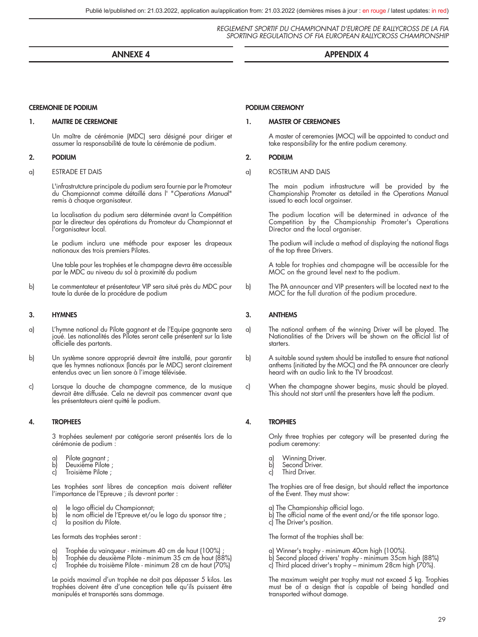#### ANNEXE 4 APPENDIX 4

#### CEREMONIE DE PODIUM

#### 1. MAITRE DE CEREMONIE

Un maître de cérémonie (MDC) sera désigné pour diriger et assumer la responsabilité de toute la cérémonie de podium.

#### 2. PODIUM

a) ESTRADE ET DAIS

L'infrastrutcture principale du podium sera fournie par le Promoteur du Championnat comme détaillé dans l' "*Operations Manua*l" remis à chaque organisateur.

La localisation du podium sera déterminée avant la Compétition par le directeur des opérations du Promoteur du Championnat et l'organisateur local.

Le podium inclura une méthode pour exposer les drapeaux nationaux des trois premiers Pilotes.

Une table pour les trophées et le champagne devra être accessible par le MDC au niveau du sol à proximité du podium

b) Le commentateur et présentateur VIP sera situé près du MDC pour toute la durée de la procédure de podium

#### 3. HYMNES

- a) L'hymne national du Pilote gagnant et de l'Equipe gagnante sera joué. Les nationalités des Pilotes seront celle présentent sur la liste officielle des partants.
- b) Un système sonore approprié devrait être installé, pour garantir que les hymnes nationaux (lancés par le MDC) seront clairement entendus avec un lien sonore à l'image télévisée.
- c) Lorsque la douche de champagne commence, de la musique devrait être diffusée. Cela ne devrait pas commencer avant que les présentateurs aient quitté le podium.

#### 4. TROPHEES

3 trophées seulement par catégorie seront présentés lors de la cérémonie de podium :

- a) Pilote gagnant ;<br>b) Deuxième Pilote
- Deuxième Pilote ;
- c) Troisième Pilote ;

Les trophées sont libres de conception mais doivent refléter l'importance de l'Epreuve ; ils devront porter :

- le logo officiel du Championnat;
- b) le nom officiel de l'Epreuve et/ou le logo du sponsor titre ;<br>c) la position du Pilote.
- la position du Pilote.

Les formats des trophées seront :

- 
- a) Trophée du vainqueur minimum 40 cm de haut (100%) ; b) Trophée du deuxième Pilote minimum 35 cm de haut (88%)
- c) Trophée du troisième Pilote minimum 28 cm de haut (70%)

Le poids maximal d'un trophée ne doit pas dépasser 5 kilos. Les trophées doivent être d'une conception telle qu'ils puissent être manipulés et transportés sans dommage.

#### PODIUM CEREMONY

### 1. MASTER OF CEREMONIES

A master of ceremonies (MOC) will be appointed to conduct and take responsibility for the entire podium ceremony.

#### 2. PODIUM

a) ROSTRUM AND DAIS

The main podium infrastructure will be provided by the Championship Promoter as detailed in the Operations Manual issued to each local orgainser.

The podium location will be determined in advance of the Competition by the Championship Promoter's Operations Director and the local organiser.

The podium will include a method of displaying the national flags of the top three Drivers.

A table for trophies and champagne will be accessible for the MOC on the ground level next to the podium.

b) The PA announcer and VIP presenters will be located next to the MOC for the full duration of the podium procedure.

### 3. ANTHEMS

- a) The national anthem of the winning Driver will be played. The Nationalities of the Drivers will be shown on the official list of starters.
- b) A suitable sound system should be installed to ensure that national anthems (initiated by the MOC) and the PA announcer are clearly heard with an audio link to the TV broadcast.
- c) When the champagne shower begins, music should be played. This should not start until the presenters have left the podium.

#### 4. TROPHIES

Only three trophies per category will be presented during the podium ceremony:

- 
- a) Winning Driver.<br>b) Second Driver. b) Second Driver.<br>c) Third Driver
- Third Driver.

The trophies are of free design, but should reflect the importance of the Event. They must show:

- a) The Championship official logo.
- b) The official name of the event and/or the title sponsor logo.
- c) The Driver's position.

The format of the trophies shall be:

- a) Winner's trophy minimum 40cm high (100%).
- b) Second placed drivers' trophy minimum 35cm high (88%)
- c) Third placed driver's trophy minimum 28cm high (70%).

The maximum weight per trophy must not exceed 5 kg. Trophies must be of a design that is capable of being handled and transported without damage.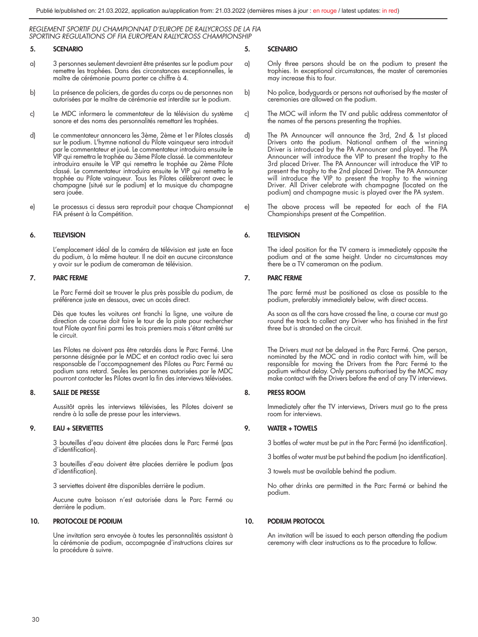### 5. SCENARIO

- a) 3 personnes seulement devraient être présentes sur le podium pour remettre les trophées. Dans des circonstances exceptionnelles, le maître de cérémonie pourra porter ce chiffre à 4.
- b) La présence de policiers, de gardes du corps ou de personnes non autorisées par le maître de cérémonie est interdite sur le podium.
- c) Le MDC informera le commentateur de la télévision du système sonore et des noms des personnalités remettant les trophées.
- d) Le commentateur annoncera les 3ème, 2ème et 1er Pilotes classés sur le podium. L'hymne national du Pilote vainqueur sera introduit par le commentateur et joué. Le commentateur introduira ensuite le VIP qui remettra le trophée au 3ème Pilote classé. Le commentateur introduira ensuite le VIP qui remettra le trophée au 2ème Pilote classé. Le commentateur introduira ensuite le VIP qui remettra le trophée au Pilote vainqueur. Tous les Pilotes célèbreront avec le champagne (situé sur le podium) et la musique du champagne sera jouée.
- e) Le processus ci dessus sera reproduit pour chaque Championnat FIA présent à la Compétition.

#### 6. TELEVISION

L'emplacement idéal de la caméra de télévision est juste en face du podium, à la même hauteur. Il ne doit en aucune circonstance y avoir sur le podium de cameraman de télévision.

#### 7. PARC FERME

Le Parc Fermé doit se trouver le plus près possible du podium, de préférence juste en dessous, avec un accès direct.

Dès que toutes les voitures ont franchi la ligne, une voiture de direction de course doit faire le tour de la piste pour rechercher tout Pilote ayant fini parmi les trois premiers mais s'étant arrêté sur le circuit.

Les Pilotes ne doivent pas être retardés dans le Parc Fermé. Une personne désignée par le MDC et en contact radio avec lui sera responsable de l'accompagnement des Pilotes au Parc Fermé au podium sans retard. Seules les personnes autorisées par le MDC pourront contacter les Pilotes avant la fin des interviews télévisées.

#### 8. SALLE DE PRESSE

Aussitôt après les interviews télévisées, les Pilotes doivent se rendre à la salle de presse pour les interviews.

#### 9. EAU + SERVIETTES

3 bouteilles d'eau doivent être placées dans le Parc Fermé (pas d'identification).

3 bouteilles d'eau doivent être placées derrière le podium (pas d'identification).

3 serviettes doivent être disponibles derrière le podium.

Aucune autre boisson n'est autorisée dans le Parc Fermé ou derrière le podium.

#### 10. PROTOCOLE DE PODIUM

Une invitation sera envoyée à toutes les personnalités assistant à la cérémonie de podium, accompagnée d'instructions claires sur la procédure à suivre.

#### 5. SCENARIO

- a) Only three persons should be on the podium to present the trophies. In exceptional circumstances, the master of ceremonies may increase this to four.
- b) No police, bodyguards or persons not authorised by the master of ceremonies are allowed on the podium.
- c) The MOC will inform the TV and public address commentator of the names of the persons presenting the trophies.
- d) The PA Announcer will announce the 3rd, 2nd & 1st placed Drivers onto the podium. National anthem of the winning Driver is introduced by the PA Announcer and played. The PA Announcer will introduce the VIP to present the trophy to the 3rd placed Driver. The PA Announcer will introduce the VIP to present the trophy to the 2nd placed Driver. The PA Announcer will introduce the VIP to present the trophy to the winning Driver. All Driver celebrate with champagne (located on the podium) and champagne music is played over the PA system.
- e) The above process will be repeated for each of the FIA Championships present at the Competition.

#### 6. TELEVISION

The ideal position for the TV camera is immediately opposite the podium and at the same height. Under no circumstances may there be a TV cameraman on the podium.

#### 7. PARC FERME

The parc fermé must be positioned as close as possible to the podium, preferably immediately below, with direct access.

As soon as all the cars have crossed the line, a course car must go round the track to collect any Driver who has finished in the first three but is stranded on the circuit.

The Drivers must not be delayed in the Parc Fermé. One person, nominated by the MOC and in radio contact with him, will be responsible for moving the Drivers from the Parc Fermé to the podium without delay. Only persons authorised by the MOC may make contact with the Drivers before the end of any TV interviews.

#### 8. PRESS ROOM

Immediately after the TV interviews, Drivers must go to the press room for interviews.

#### 9. WATER + TOWELS

3 bottles of water must be put in the Parc Fermé (no identification).

3 bottles of water must be put behind the podium (no identification).

3 towels must be available behind the podium.

No other drinks are permitted in the Parc Fermé or behind the podium.

#### 10. PODIUM PROTOCOL

An invitation will be issued to each person attending the podium ceremony with clear instructions as to the procedure to follow.